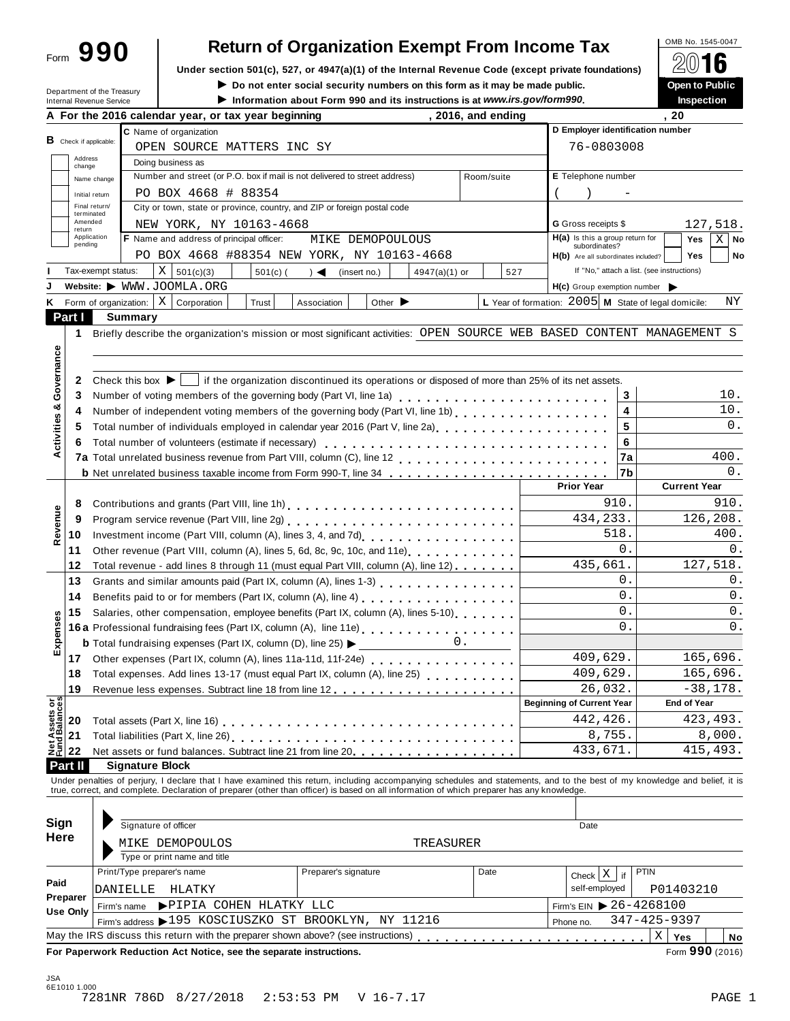Form **990**

# **Return of Organization Exempt From Income Tax**<br>section 501(c), 527, or 4947(a)(1) of the Internal Revenue Code (except private foundations)  $\bigotimes_{\text{op}} \mathbf{0}$

Under section 501(c), 527, or 4947(a)(1) of the Internal Revenue Code (except private foundations) **A** △ △ △ △ △<br>▶ Do not enter social security numbers on this form as it may be made public. ● ● ● ● ● ● ● ● ● ● ● ● ● ● ●

 $\blacktriangleright$  Do not enter social security numbers on this form as it may be made public.

|  | Inspection |
|--|------------|
|  |            |

| Department of the Treasury           | $\blacktriangleright$ Do not enter social security numbers on this form as it may be made public.<br>Information about Form 990 and its instructions is at www.irs.gov/form990.                                                |                                                      | Open to Public<br><b>Inspection</b>        |
|--------------------------------------|--------------------------------------------------------------------------------------------------------------------------------------------------------------------------------------------------------------------------------|------------------------------------------------------|--------------------------------------------|
| Internal Revenue Service             | , 2016, and ending<br>A For the 2016 calendar year, or tax year beginning                                                                                                                                                      |                                                      | . 20                                       |
|                                      | C Name of organization                                                                                                                                                                                                         |                                                      | D Employer identification number           |
| <b>B</b> Check if applicable:        | OPEN SOURCE MATTERS INC SY                                                                                                                                                                                                     | 76-0803008                                           |                                            |
| Address<br>change                    | Doing business as                                                                                                                                                                                                              |                                                      |                                            |
| Name change                          | Number and street (or P.O. box if mail is not delivered to street address)<br>Room/suite                                                                                                                                       | E Telephone number                                   |                                            |
| Initial return                       | PO BOX 4668 # 88354                                                                                                                                                                                                            |                                                      |                                            |
| Final return/                        | City or town, state or province, country, and ZIP or foreign postal code                                                                                                                                                       |                                                      |                                            |
| terminated<br>Amended                | NEW YORK, NY 10163-4668                                                                                                                                                                                                        | <b>G</b> Gross receipts \$                           | 127,518.                                   |
| return<br>Application                | F Name and address of principal officer:<br>MIKE DEMOPOULOUS                                                                                                                                                                   | $H(a)$ is this a group return for                    | Yes<br>X <sub>1</sub><br>No                |
| pending                              | PO BOX 4668 #88354 NEW YORK, NY 10163-4668                                                                                                                                                                                     | subordinates?<br>H(b) Are all subordinates included? | <b>Yes</b><br>No                           |
| Tax-exempt status:                   | X   501(c)(3)<br>$501(c)$ (<br>$\rightarrow$<br>(insert no.)<br>$4947(a)(1)$ or                                                                                                                                                | 527                                                  | If "No," attach a list. (see instructions) |
|                                      | Website: WWW.JOOMLA.ORG                                                                                                                                                                                                        | H(c) Group exemption number                          |                                            |
|                                      | Form of organization: $\mid X \mid$ Corporation<br>Trust<br>Other $\blacktriangleright$<br>Association                                                                                                                         | L Year of formation: 2005 M State of legal domicile: | ΝY                                         |
| Part I                               | <b>Summary</b>                                                                                                                                                                                                                 |                                                      |                                            |
| 1                                    | Briefly describe the organization's mission or most significant activities: OPEN SOURCE WEB BASED CONTENT MANAGEMENT S                                                                                                         |                                                      |                                            |
|                                      |                                                                                                                                                                                                                                |                                                      |                                            |
|                                      |                                                                                                                                                                                                                                |                                                      |                                            |
| Governance<br>2                      | if the organization discontinued its operations or disposed of more than 25% of its net assets.<br>Check this box $\blacktriangleright$                                                                                        |                                                      |                                            |
| 3                                    |                                                                                                                                                                                                                                |                                                      | 3<br>10.                                   |
| 4                                    | Number of voting members of the governing body (Part VI, line 1a)<br>                                                                                                                                                          |                                                      | 4<br>10.                                   |
|                                      | Number of independent voting members of the governing body (Part VI, line 1b)                                                                                                                                                  |                                                      | 5<br>0.                                    |
| 5                                    | Total number of individuals employed in calendar year 2016 (Part V, line 2a)<br>The 2a)                                                                                                                                        |                                                      | 6                                          |
| 6                                    | Total number of volunteers (estimate if necessary)                                                                                                                                                                             |                                                      | 400.                                       |
|                                      |                                                                                                                                                                                                                                |                                                      | 7a<br>0.                                   |
|                                      | <b>b</b> Net unrelated business taxable income from Form 990-T, line 34                                                                                                                                                        | <b>Prior Year</b>                                    | 7b<br><b>Current Year</b>                  |
|                                      |                                                                                                                                                                                                                                |                                                      | 910.<br>910.                               |
| 8                                    |                                                                                                                                                                                                                                |                                                      |                                            |
| 9                                    | Program service revenue (Part VIII, line 2g)<br>                                                                                                                                                                               | 434,233.                                             | 126,208.                                   |
| 10                                   |                                                                                                                                                                                                                                |                                                      | 518.<br>400.<br>$\Omega$ .                 |
| 11                                   | Other revenue (Part VIII, column (A), lines 5, 6d, 8c, 9c, 10c, and 11e) [100]                                                                                                                                                 |                                                      | 0.                                         |
| 12                                   | Total revenue - add lines 8 through 11 (must equal Part VIII, column (A), line 12)                                                                                                                                             | 435,661.                                             | 127,518.                                   |
| 13                                   | Grants and similar amounts paid (Part IX, column (A), lines 1-3) [10] Canada and similar amounts and similar and the SC and SC and SC and SC and SC and SC and SC and SC and SC and SC and SC and SC and SC and SC and SC and  |                                                      | 0.<br>0.<br>$\Omega$ .                     |
| 14                                   | Benefits paid to or for members (Part IX, column (A), line 4)                                                                                                                                                                  |                                                      | 0.<br>$\overline{0}$ .                     |
| 15                                   | Salaries, other compensation, employee benefits (Part IX, column (A), lines 5-10)                                                                                                                                              |                                                      | 0.<br>$\overline{0}$ .                     |
|                                      | 16a Professional fundraising fees (Part IX, column (A), line 11e)<br>16a Professional fundraising fees (Part IX, column (A), line 11e)                                                                                         |                                                      | 0.                                         |
|                                      | <b>b</b> Total fundraising expenses (Part IX, column (D), line 25) $\blacktriangleright$<br>0.                                                                                                                                 |                                                      |                                            |
|                                      | 17 Other expenses (Part IX, column (A), lines 11a-11d, 11f-24e)                                                                                                                                                                | 409,629.                                             | 165,696.                                   |
| 18                                   | Total expenses. Add lines 13-17 (must equal Part IX, column (A), line 25)                                                                                                                                                      | 409,629.                                             | 165,696.                                   |
| 19                                   |                                                                                                                                                                                                                                | 26,032.<br><b>Beginning of Current Year</b>          | $-38,178.$                                 |
|                                      |                                                                                                                                                                                                                                |                                                      | <b>End of Year</b>                         |
| Net Assets or<br>Fund Balances<br>20 |                                                                                                                                                                                                                                | 442,426.                                             | 423, 493.                                  |
| 21                                   |                                                                                                                                                                                                                                | 8,755.                                               | 8,000.                                     |
| 22                                   | Net assets or fund balances. Subtract line 21 from line 20.                                                                                                                                                                    | 433,671.                                             | 415,493.                                   |
| Part II                              | <b>Signature Block</b>                                                                                                                                                                                                         |                                                      |                                            |
|                                      | Under penalties of perjury, I declare that I have examined this return, including accompanying schedules and statements, and to the best of my knowledge and belief, it is true, correct, and complete. Declaration of prepare |                                                      |                                            |
|                                      |                                                                                                                                                                                                                                |                                                      |                                            |
| Sign                                 | Signature of officer                                                                                                                                                                                                           | Date                                                 |                                            |
| Here                                 |                                                                                                                                                                                                                                |                                                      |                                            |
|                                      | MIKE DEMOPOULOS<br>TREASURER                                                                                                                                                                                                   |                                                      |                                            |
|                                      | Type or print name and title                                                                                                                                                                                                   |                                                      |                                            |
| Paid                                 | Print/Type preparer's name<br>Preparer's signature<br>Date                                                                                                                                                                     | Check $X$ if                                         | <b>PTIN</b>                                |
| Preparer                             | DANIELLE<br>HLATKY                                                                                                                                                                                                             | self-employed                                        | P01403210                                  |
| Use Only                             | PIPIA COHEN HLATKY LLC<br>Firm's name                                                                                                                                                                                          |                                                      | Firm's EIN 26-4268100                      |
|                                      |                                                                                                                                                                                                                                | Phone no.                                            | 347-425-9397                               |
|                                      | Firm's address > 195 KOSCIUSZKO ST BROOKLYN, NY 11216                                                                                                                                                                          |                                                      | $\mathbf X$                                |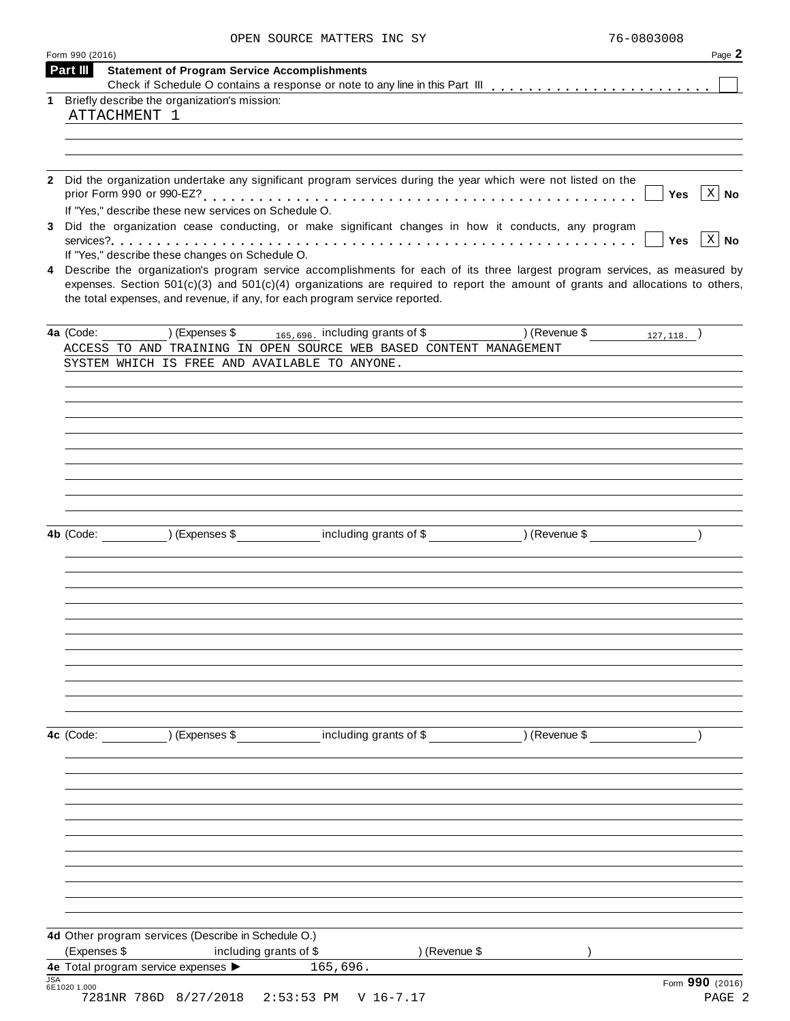| Form 990 (2016) |                                                                                                                                |                                                                                                                                                                                                                                                                    |                                    | Page 2                             |
|-----------------|--------------------------------------------------------------------------------------------------------------------------------|--------------------------------------------------------------------------------------------------------------------------------------------------------------------------------------------------------------------------------------------------------------------|------------------------------------|------------------------------------|
| Part III        | <b>Statement of Program Service Accomplishments</b>                                                                            |                                                                                                                                                                                                                                                                    |                                    |                                    |
|                 | 1 Briefly describe the organization's mission:                                                                                 |                                                                                                                                                                                                                                                                    |                                    |                                    |
|                 | ATTACHMENT 1                                                                                                                   |                                                                                                                                                                                                                                                                    |                                    |                                    |
|                 |                                                                                                                                |                                                                                                                                                                                                                                                                    |                                    |                                    |
|                 |                                                                                                                                |                                                                                                                                                                                                                                                                    |                                    |                                    |
|                 |                                                                                                                                | Did the organization undertake any significant program services during the year which were not listed on the                                                                                                                                                       |                                    | $\vert$ X $\vert$ No<br>Yes        |
|                 | If "Yes," describe these new services on Schedule O.                                                                           | Did the organization cease conducting, or make significant changes in how it conducts, any program                                                                                                                                                                 |                                    |                                    |
|                 |                                                                                                                                |                                                                                                                                                                                                                                                                    |                                    | $\vert$ X $\vert$ No<br><b>Yes</b> |
|                 | If "Yes," describe these changes on Schedule O.<br>the total expenses, and revenue, if any, for each program service reported. | 4 Describe the organization's program service accomplishments for each of its three largest program services, as measured by<br>expenses. Section $501(c)(3)$ and $501(c)(4)$ organizations are required to report the amount of grants and allocations to others, |                                    |                                    |
| 4a (Code:       | ) (Expenses \$                                                                                                                 | $165,696$ including grants of $\overline{\$}$                                                                                                                                                                                                                      | (127, 118. )                       |                                    |
|                 |                                                                                                                                | ACCESS TO AND TRAINING IN OPEN SOURCE WEB BASED CONTENT MANAGEMENT                                                                                                                                                                                                 |                                    |                                    |
|                 | SYSTEM WHICH IS FREE AND AVAILABLE TO ANYONE.                                                                                  |                                                                                                                                                                                                                                                                    |                                    |                                    |
|                 |                                                                                                                                |                                                                                                                                                                                                                                                                    |                                    |                                    |
|                 |                                                                                                                                |                                                                                                                                                                                                                                                                    |                                    |                                    |
|                 |                                                                                                                                |                                                                                                                                                                                                                                                                    |                                    |                                    |
|                 |                                                                                                                                |                                                                                                                                                                                                                                                                    |                                    |                                    |
|                 | 4b (Code: ) (Expenses \$                                                                                                       |                                                                                                                                                                                                                                                                    | including grants of \$ (Revenue \$ |                                    |
|                 |                                                                                                                                |                                                                                                                                                                                                                                                                    |                                    |                                    |
|                 |                                                                                                                                |                                                                                                                                                                                                                                                                    |                                    |                                    |
|                 |                                                                                                                                |                                                                                                                                                                                                                                                                    |                                    |                                    |
|                 |                                                                                                                                |                                                                                                                                                                                                                                                                    |                                    |                                    |
|                 |                                                                                                                                |                                                                                                                                                                                                                                                                    |                                    |                                    |
|                 |                                                                                                                                | 4c (Code: ) (Expenses \$ including grants of \$ ) (Revenue \$                                                                                                                                                                                                      |                                    |                                    |
|                 |                                                                                                                                |                                                                                                                                                                                                                                                                    |                                    |                                    |
|                 |                                                                                                                                |                                                                                                                                                                                                                                                                    |                                    |                                    |
|                 |                                                                                                                                |                                                                                                                                                                                                                                                                    |                                    |                                    |
|                 |                                                                                                                                |                                                                                                                                                                                                                                                                    |                                    |                                    |
|                 |                                                                                                                                |                                                                                                                                                                                                                                                                    |                                    |                                    |
| (Expenses \$    | 4d Other program services (Describe in Schedule O.)<br>including grants of \$                                                  | ) (Revenue \$                                                                                                                                                                                                                                                      |                                    |                                    |
|                 | 4e Total program service expenses                                                                                              | 165,696.                                                                                                                                                                                                                                                           |                                    |                                    |
| 6E1020 1.000    | 7281NR 786D 8/27/2018 2:53:53 PM V 16-7.17                                                                                     |                                                                                                                                                                                                                                                                    |                                    | Form 990 (2016)<br>PAGE 2          |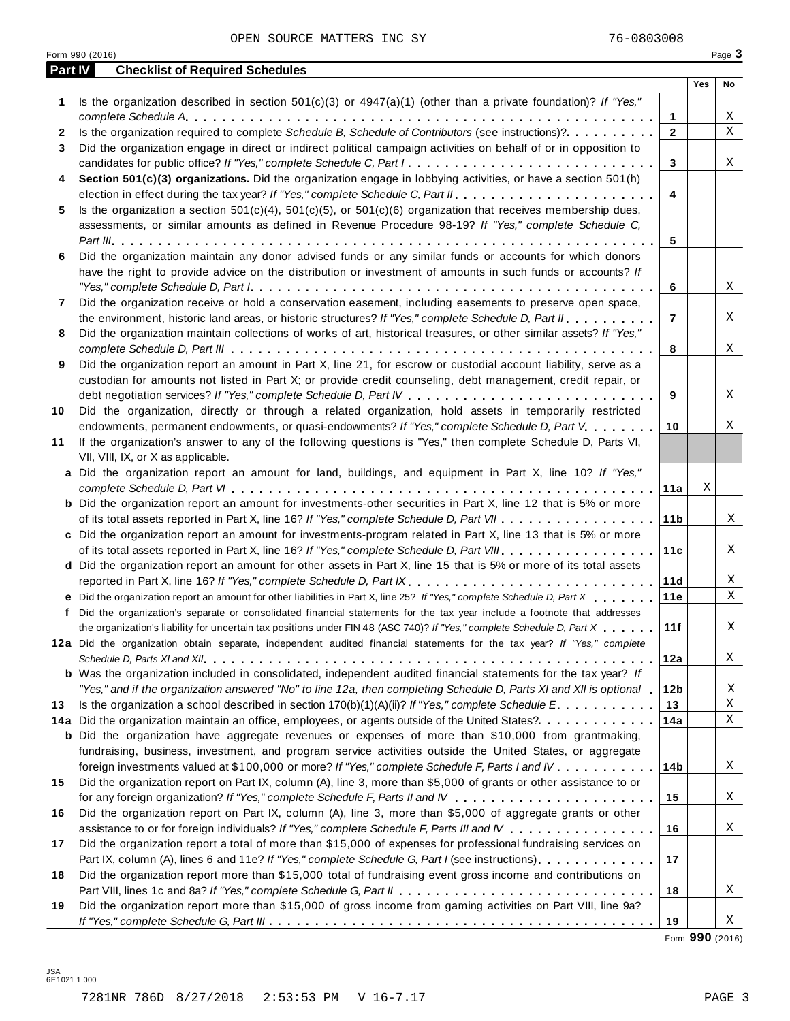OPEN SOURCE MATTERS INC SY **16-0803008** 

| <b>Part IV</b> | <b>Checklist of Required Schedules</b>                                                                                    |                 |     |    |
|----------------|---------------------------------------------------------------------------------------------------------------------------|-----------------|-----|----|
|                |                                                                                                                           |                 | Yes | No |
| 1              | Is the organization described in section $501(c)(3)$ or $4947(a)(1)$ (other than a private foundation)? If "Yes,"         |                 |     |    |
|                |                                                                                                                           | 1               |     | X  |
| 2              | Is the organization required to complete Schedule B, Schedule of Contributors (see instructions)?.                        | $\overline{2}$  |     | X  |
| 3              | Did the organization engage in direct or indirect political campaign activities on behalf of or in opposition to          |                 |     |    |
|                |                                                                                                                           | 3               |     | Χ  |
| 4              | Section 501(c)(3) organizations. Did the organization engage in lobbying activities, or have a section 501(h)             |                 |     |    |
|                |                                                                                                                           | 4               |     |    |
|                |                                                                                                                           |                 |     |    |
| 5              | Is the organization a section $501(c)(4)$ , $501(c)(5)$ , or $501(c)(6)$ organization that receives membership dues,      |                 |     |    |
|                | assessments, or similar amounts as defined in Revenue Procedure 98-19? If "Yes," complete Schedule C,                     |                 |     |    |
|                |                                                                                                                           | 5               |     |    |
| 6              | Did the organization maintain any donor advised funds or any similar funds or accounts for which donors                   |                 |     |    |
|                | have the right to provide advice on the distribution or investment of amounts in such funds or accounts? If               |                 |     |    |
|                |                                                                                                                           | 6               |     | X  |
| 7              | Did the organization receive or hold a conservation easement, including easements to preserve open space,                 |                 |     |    |
|                | the environment, historic land areas, or historic structures? If "Yes," complete Schedule D, Part II                      | $\overline{7}$  |     | Χ  |
| 8              | Did the organization maintain collections of works of art, historical treasures, or other similar assets? If "Yes,"       |                 |     |    |
|                |                                                                                                                           | 8               |     | Χ  |
| 9              | Did the organization report an amount in Part X, line 21, for escrow or custodial account liability, serve as a           |                 |     |    |
|                | custodian for amounts not listed in Part X; or provide credit counseling, debt management, credit repair, or              |                 |     |    |
|                |                                                                                                                           | 9               |     | X  |
| 10             | Did the organization, directly or through a related organization, hold assets in temporarily restricted                   |                 |     |    |
|                | endowments, permanent endowments, or quasi-endowments? If "Yes," complete Schedule D, Part V.                             | 10              |     | Χ  |
| 11             | If the organization's answer to any of the following questions is "Yes," then complete Schedule D, Parts VI,              |                 |     |    |
|                | VII, VIII, IX, or X as applicable.                                                                                        |                 |     |    |
|                | a Did the organization report an amount for land, buildings, and equipment in Part X, line 10? If "Yes,"                  |                 |     |    |
|                |                                                                                                                           |                 | X   |    |
|                |                                                                                                                           | 11a             |     |    |
|                | <b>b</b> Did the organization report an amount for investments-other securities in Part X, line 12 that is 5% or more     |                 |     |    |
|                |                                                                                                                           | 11 <sub>b</sub> |     | Χ  |
|                | c Did the organization report an amount for investments-program related in Part X, line 13 that is 5% or more             |                 |     |    |
|                |                                                                                                                           | 11c             |     | Χ  |
|                | d Did the organization report an amount for other assets in Part X, line 15 that is 5% or more of its total assets        |                 |     |    |
|                | reported in Part X, line 16? If "Yes," complete Schedule D, Part IX.                                                      | 11d             |     | Χ  |
|                | e Did the organization report an amount for other liabilities in Part X, line 25? If "Yes," complete Schedule D, Part X   | 11e             |     | Χ  |
|                | f Did the organization's separate or consolidated financial statements for the tax year include a footnote that addresses |                 |     |    |
|                | the organization's liability for uncertain tax positions under FIN 48 (ASC 740)? If "Yes," complete Schedule D, Part X    | 11f             |     | Χ  |
|                | 12a Did the organization obtain separate, independent audited financial statements for the tax year? If "Yes," complete   |                 |     |    |
|                |                                                                                                                           | 12a             |     | Χ  |
|                | b Was the organization included in consolidated, independent audited financial statements for the tax year? If            |                 |     |    |
|                | "Yes," and if the organization answered "No" to line 12a, then completing Schedule D, Parts XI and XII is optional 1      | 12 <sub>b</sub> |     | Χ  |
| 13             | Is the organization a school described in section $170(b)(1)(A)(ii)?$ If "Yes," complete Schedule E.                      | 13              |     | Χ  |
|                | 14a Did the organization maintain an office, employees, or agents outside of the United States?.                          | 14a             |     | Χ  |
|                | <b>b</b> Did the organization have aggregate revenues or expenses of more than \$10,000 from grantmaking,                 |                 |     |    |
|                | fundraising, business, investment, and program service activities outside the United States, or aggregate                 |                 |     |    |
|                | foreign investments valued at \$100,000 or more? If "Yes," complete Schedule F, Parts I and IV                            | 14b             |     | Χ  |
| 15             | Did the organization report on Part IX, column (A), line 3, more than \$5,000 of grants or other assistance to or         |                 |     |    |
|                |                                                                                                                           |                 |     |    |
|                |                                                                                                                           | 15              |     | Χ  |
| 16             | Did the organization report on Part IX, column (A), line 3, more than \$5,000 of aggregate grants or other                |                 |     |    |
|                | assistance to or for foreign individuals? If "Yes," complete Schedule F, Parts III and IV                                 | 16              |     | Χ  |
| 17             | Did the organization report a total of more than \$15,000 of expenses for professional fundraising services on            |                 |     |    |
|                | Part IX, column (A), lines 6 and 11e? If "Yes," complete Schedule G, Part I (see instructions)                            | 17              |     |    |
| 18             | Did the organization report more than \$15,000 total of fundraising event gross income and contributions on               |                 |     |    |
|                |                                                                                                                           | 18              |     | Χ  |

Form **990** (2016)

**19**

Did the organization report more than \$15,000 of gross income from gaming activities on Part VIII, line 9a? *If "Yes," complete Schedule G, Part III* m m m m m m m m m m m m m m m m m m m m m m m m m m m m m m m m m m m m m m m m m m

**19**

X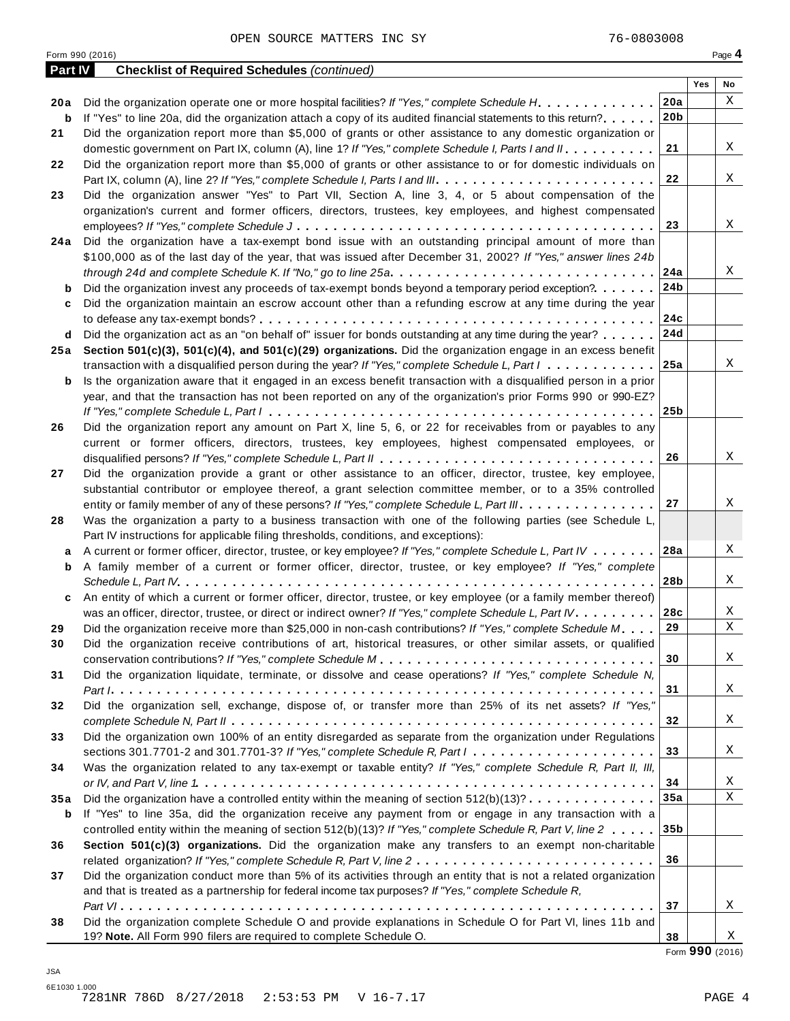Form <sup>990</sup> (2016) Page **4**

| <b>Part IV</b> | <b>Checklist of Required Schedules (continued)</b>                                                                                |                 |     |             |
|----------------|-----------------------------------------------------------------------------------------------------------------------------------|-----------------|-----|-------------|
|                |                                                                                                                                   |                 | Yes | No          |
| 20 a           | Did the organization operate one or more hospital facilities? If "Yes," complete Schedule H.                                      | 20a             |     | X           |
| b              | If "Yes" to line 20a, did the organization attach a copy of its audited financial statements to this return?                      | 20 <sub>b</sub> |     |             |
| 21             | Did the organization report more than \$5,000 of grants or other assistance to any domestic organization or                       |                 |     |             |
|                | domestic government on Part IX, column (A), line 1? If "Yes," complete Schedule I, Parts I and II.                                | 21              |     | Χ           |
| 22             | Did the organization report more than \$5,000 of grants or other assistance to or for domestic individuals on                     |                 |     |             |
|                |                                                                                                                                   | 22              |     | Χ           |
| 23             | Did the organization answer "Yes" to Part VII, Section A, line 3, 4, or 5 about compensation of the                               |                 |     |             |
|                | organization's current and former officers, directors, trustees, key employees, and highest compensated                           |                 |     |             |
|                |                                                                                                                                   | 23              |     | X           |
| 24 a           | Did the organization have a tax-exempt bond issue with an outstanding principal amount of more than                               |                 |     |             |
|                | \$100,000 as of the last day of the year, that was issued after December 31, 2002? If "Yes," answer lines 24b                     |                 |     |             |
|                | through 24d and complete Schedule K. If "No," go to line 25a                                                                      | 24a             |     | Χ           |
| b              | Did the organization invest any proceeds of tax-exempt bonds beyond a temporary period exception?                                 | 24b             |     |             |
| c              | Did the organization maintain an escrow account other than a refunding escrow at any time during the year                         |                 |     |             |
|                |                                                                                                                                   | 24c             |     |             |
| d              | Did the organization act as an "on behalf of" issuer for bonds outstanding at any time during the year?                           | 24d             |     |             |
| 25 a           | Section 501(c)(3), 501(c)(4), and 501(c)(29) organizations. Did the organization engage in an excess benefit                      |                 |     |             |
|                | transaction with a disqualified person during the year? If "Yes," complete Schedule L, Part $1, \ldots, \ldots, \ldots$           | 25a             |     | Χ           |
| b              | Is the organization aware that it engaged in an excess benefit transaction with a disqualified person in a prior                  |                 |     |             |
|                | year, and that the transaction has not been reported on any of the organization's prior Forms 990 or 990-EZ?                      |                 |     |             |
|                |                                                                                                                                   | 25 <sub>b</sub> |     |             |
| 26             | Did the organization report any amount on Part X, line 5, 6, or 22 for receivables from or payables to any                        |                 |     |             |
|                | current or former officers, directors, trustees, key employees, highest compensated employees, or                                 |                 |     |             |
|                |                                                                                                                                   | 26              |     | Χ           |
| 27             | Did the organization provide a grant or other assistance to an officer, director, trustee, key employee,                          |                 |     |             |
|                | substantial contributor or employee thereof, a grant selection committee member, or to a 35% controlled                           |                 |     |             |
|                | entity or family member of any of these persons? If "Yes," complete Schedule L, Part III.                                         | 27              |     | Χ           |
| 28             | Was the organization a party to a business transaction with one of the following parties (see Schedule L,                         |                 |     |             |
|                | Part IV instructions for applicable filing thresholds, conditions, and exceptions):                                               |                 |     |             |
| а              | A current or former officer, director, trustee, or key employee? If "Yes," complete Schedule L, Part IV                           | 28a             |     | Χ           |
| b              | A family member of a current or former officer, director, trustee, or key employee? If "Yes," complete                            |                 |     |             |
|                |                                                                                                                                   | 28b             |     | Χ           |
| c              | An entity of which a current or former officer, director, trustee, or key employee (or a family member thereof)                   |                 |     |             |
|                | was an officer, director, trustee, or direct or indirect owner? If "Yes," complete Schedule L, Part IV.                           | 28c             |     | Χ           |
| 29             | Did the organization receive more than \$25,000 in non-cash contributions? If "Yes," complete Schedule M.                         | 29              |     | Χ           |
| 30             | Did the organization receive contributions of art, historical treasures, or other similar assets, or qualified                    |                 |     |             |
|                |                                                                                                                                   | 30              |     | Χ           |
| 31             | Did the organization liquidate, terminate, or dissolve and cease operations? If "Yes," complete Schedule N,                       |                 |     |             |
|                |                                                                                                                                   | 31              |     | Χ           |
| 32             | Did the organization sell, exchange, dispose of, or transfer more than 25% of its net assets? If "Yes,"                           |                 |     |             |
|                |                                                                                                                                   | 32              |     | Χ           |
| 33             | Did the organization own 100% of an entity disregarded as separate from the organization under Regulations                        |                 |     |             |
|                | sections 301.7701-2 and 301.7701-3? If "Yes," complete Schedule R, Part $l_1, \ldots, l_l, \ldots, l_l, \ldots, l_l, \ldots, l_l$ | 33              |     | Χ           |
| 34             | Was the organization related to any tax-exempt or taxable entity? If "Yes," complete Schedule R, Part II, III,                    |                 |     |             |
|                |                                                                                                                                   | 34              |     | Χ           |
| 35a            | Did the organization have a controlled entity within the meaning of section $512(b)(13)? \ldots \ldots \ldots \ldots$             | 35a             |     | $\mathbf X$ |
| b              | If "Yes" to line 35a, did the organization receive any payment from or engage in any transaction with a                           |                 |     |             |
|                | controlled entity within the meaning of section 512(b)(13)? If "Yes," complete Schedule R, Part V, line 2                         | 35 <sub>b</sub> |     |             |
| 36             | Section 501(c)(3) organizations. Did the organization make any transfers to an exempt non-charitable                              |                 |     |             |
|                |                                                                                                                                   | 36              |     |             |
| 37             | Did the organization conduct more than 5% of its activities through an entity that is not a related organization                  |                 |     |             |
|                | and that is treated as a partnership for federal income tax purposes? If "Yes," complete Schedule R,                              |                 |     |             |
|                |                                                                                                                                   | 37              |     | Χ           |
| 38             | Did the organization complete Schedule O and provide explanations in Schedule O for Part VI, lines 11b and                        |                 |     |             |
|                | 19? Note. All Form 990 filers are required to complete Schedule O.                                                                | 38              |     | Χ           |

Form **990** (2016)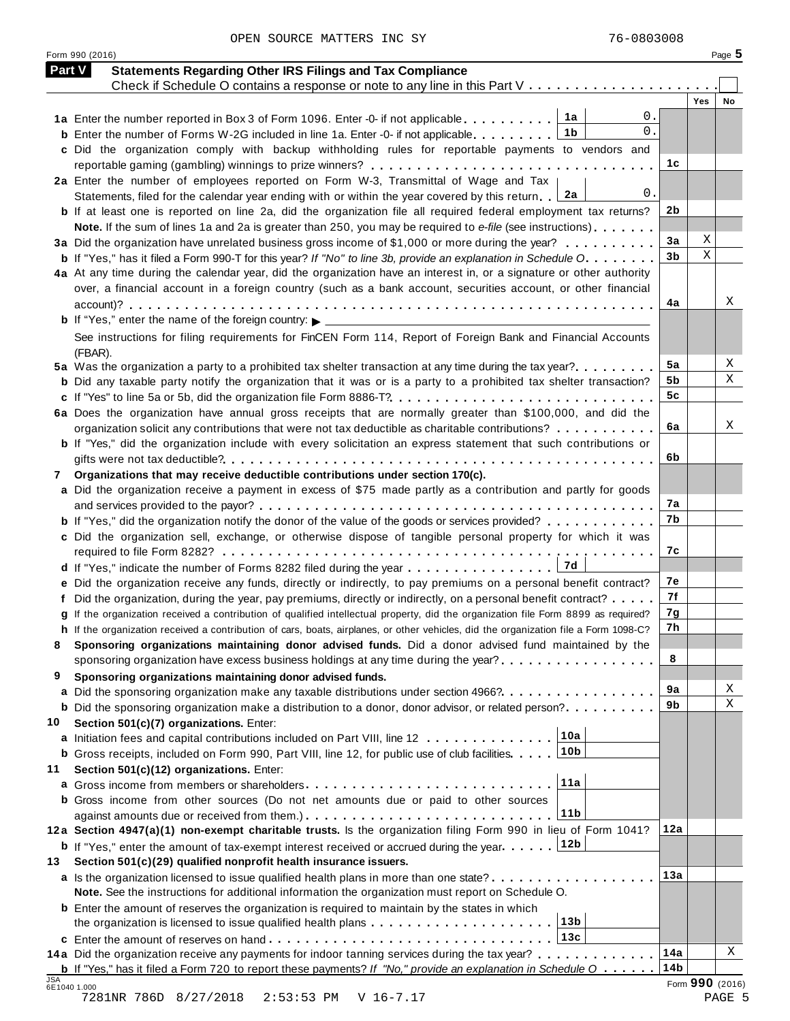OPEN SOURCE MATTERS INC SY 76-0803008

| <b>Part V</b> | <b>Statements Regarding Other IRS Filings and Tax Compliance</b><br>Check if Schedule O contains a response or note to any line in this Part V                                                     |                 |                 |    |
|---------------|----------------------------------------------------------------------------------------------------------------------------------------------------------------------------------------------------|-----------------|-----------------|----|
|               |                                                                                                                                                                                                    |                 | Yes             | No |
|               | $0$ .<br>1a<br>1a Enter the number reported in Box 3 of Form 1096. Enter -0- if not applicable                                                                                                     |                 |                 |    |
|               | 0.<br>1b<br><b>b</b> Enter the number of Forms W-2G included in line 1a. Enter -0- if not applicable                                                                                               |                 |                 |    |
|               | c Did the organization comply with backup withholding rules for reportable payments to vendors and                                                                                                 |                 |                 |    |
|               | 2a Enter the number of employees reported on Form W-3, Transmittal of Wage and Tax                                                                                                                 | 1c              |                 |    |
|               | 0.<br>2a<br>Statements, filed for the calendar year ending with or within the year covered by this return.                                                                                         |                 |                 |    |
|               | <b>b</b> If at least one is reported on line 2a, did the organization file all required federal employment tax returns?                                                                            | 2 <sub>b</sub>  |                 |    |
|               | Note. If the sum of lines 1a and 2a is greater than 250, you may be required to e-file (see instructions)                                                                                          |                 |                 |    |
|               | 3a Did the organization have unrelated business gross income of \$1,000 or more during the year?                                                                                                   | 3a              | Χ               |    |
|               | <b>b</b> If "Yes," has it filed a Form 990-T for this year? If "No" to line 3b, provide an explanation in Schedule O                                                                               | 3b              | Χ               |    |
|               | 4a At any time during the calendar year, did the organization have an interest in, or a signature or other authority                                                                               |                 |                 |    |
|               | over, a financial account in a foreign country (such as a bank account, securities account, or other financial                                                                                     |                 |                 |    |
|               |                                                                                                                                                                                                    | 4a              |                 | Χ  |
|               | <b>b</b> If "Yes," enter the name of the foreign country: $\triangleright$ ______________________                                                                                                  |                 |                 |    |
|               | See instructions for filing requirements for FinCEN Form 114, Report of Foreign Bank and Financial Accounts                                                                                        |                 |                 |    |
|               | (FBAR).<br>5a Was the organization a party to a prohibited tax shelter transaction at any time during the tax year?                                                                                | 5a              |                 | Χ  |
|               | <b>b</b> Did any taxable party notify the organization that it was or is a party to a prohibited tax shelter transaction?                                                                          | 5b              |                 | Χ  |
|               | c If "Yes" to line 5a or 5b, did the organization file Form 8886-T?                                                                                                                                | 5c              |                 |    |
|               | 6a Does the organization have annual gross receipts that are normally greater than \$100,000, and did the                                                                                          |                 |                 |    |
|               | organization solicit any contributions that were not tax deductible as charitable contributions?                                                                                                   | 6a              |                 | Χ  |
|               | <b>b</b> If "Yes," did the organization include with every solicitation an express statement that such contributions or                                                                            |                 |                 |    |
|               |                                                                                                                                                                                                    | 6b              |                 |    |
| 7             | Organizations that may receive deductible contributions under section 170(c).                                                                                                                      |                 |                 |    |
|               | a Did the organization receive a payment in excess of \$75 made partly as a contribution and partly for goods                                                                                      | 7a              |                 |    |
|               | <b>b</b> If "Yes," did the organization notify the donor of the value of the goods or services provided?                                                                                           | 7b              |                 |    |
|               | c Did the organization sell, exchange, or otherwise dispose of tangible personal property for which it was                                                                                         |                 |                 |    |
|               |                                                                                                                                                                                                    | 7c              |                 |    |
|               |                                                                                                                                                                                                    |                 |                 |    |
|               | e Did the organization receive any funds, directly or indirectly, to pay premiums on a personal benefit contract?                                                                                  | 7e              |                 |    |
|               | f Did the organization, during the year, pay premiums, directly or indirectly, on a personal benefit contract?                                                                                     | 7f              |                 |    |
|               | g If the organization received a contribution of qualified intellectual property, did the organization file Form 8899 as required?                                                                 | 7g              |                 |    |
|               | h If the organization received a contribution of cars, boats, airplanes, or other vehicles, did the organization file a Form 1098-C?                                                               | 7h              |                 |    |
|               | Sponsoring organizations maintaining donor advised funds. Did a donor advised fund maintained by the                                                                                               |                 |                 |    |
|               | sponsoring organization have excess business holdings at any time during the year?                                                                                                                 | 8               |                 |    |
| 9             | Sponsoring organizations maintaining donor advised funds.                                                                                                                                          | 9a              |                 | Χ  |
|               | a Did the sponsoring organization make any taxable distributions under section 4966?<br><b>b</b> Did the sponsoring organization make a distribution to a donor, donor advisor, or related person? | 9b              |                 | Χ  |
| 10            | Section 501(c)(7) organizations. Enter:                                                                                                                                                            |                 |                 |    |
|               | 10a<br>a Initiation fees and capital contributions included on Part VIII, line 12                                                                                                                  |                 |                 |    |
|               | 10b<br><b>b</b> Gross receipts, included on Form 990, Part VIII, line 12, for public use of club facilities.                                                                                       |                 |                 |    |
| 11            | Section 501(c)(12) organizations. Enter:                                                                                                                                                           |                 |                 |    |
|               | 11a                                                                                                                                                                                                |                 |                 |    |
|               | <b>b</b> Gross income from other sources (Do not net amounts due or paid to other sources                                                                                                          |                 |                 |    |
|               | 11 <sub>b</sub>                                                                                                                                                                                    |                 |                 |    |
|               | 12a Section 4947(a)(1) non-exempt charitable trusts. Is the organization filing Form 990 in lieu of Form 1041?                                                                                     | 12a             |                 |    |
|               | 12b<br><b>b</b> If "Yes," enter the amount of tax-exempt interest received or accrued during the year                                                                                              |                 |                 |    |
| 13            | Section 501(c)(29) qualified nonprofit health insurance issuers.                                                                                                                                   | 13a             |                 |    |
|               | a Is the organization licensed to issue qualified health plans in more than one state?<br>Note. See the instructions for additional information the organization must report on Schedule O.        |                 |                 |    |
|               | <b>b</b> Enter the amount of reserves the organization is required to maintain by the states in which                                                                                              |                 |                 |    |
|               | 13 <sub>b</sub>                                                                                                                                                                                    |                 |                 |    |
|               | 13c                                                                                                                                                                                                |                 |                 |    |
|               | 14a Did the organization receive any payments for indoor tanning services during the tax year?                                                                                                     | 14a             |                 | Χ  |
|               | <b>b</b> If "Yes," has it filed a Form 720 to report these payments? If "No," provide an explanation in Schedule $0$                                                                               | 14 <sub>b</sub> |                 |    |
| JSA           | 6E1040 1.000                                                                                                                                                                                       |                 | Form 990 (2016) |    |

Form <sup>990</sup> (2016) Page **5**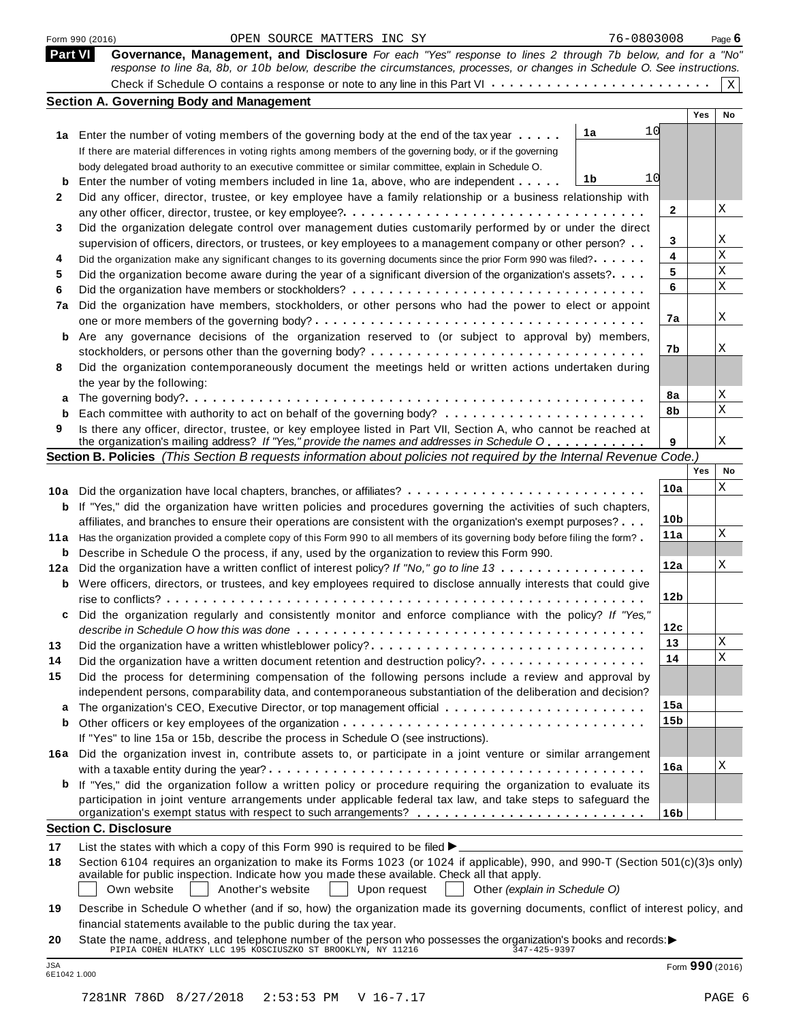|         | Form 990 (2016)<br>OPEN SOURCE MATTERS INC SY                                                                                                                                                                                           | 76-0803008      |     | Page $6$    |
|---------|-----------------------------------------------------------------------------------------------------------------------------------------------------------------------------------------------------------------------------------------|-----------------|-----|-------------|
| Part VI | Governance, Management, and Disclosure For each "Yes" response to lines 2 through 7b below, and for a "No"<br>response to line 8a, 8b, or 10b below, describe the circumstances, processes, or changes in Schedule O. See instructions. |                 |     |             |
|         |                                                                                                                                                                                                                                         |                 |     | $\mathbf X$ |
|         | <b>Section A. Governing Body and Management</b>                                                                                                                                                                                         |                 | Yes | No          |
|         |                                                                                                                                                                                                                                         | 10              |     |             |
|         | 1a<br>1a Enter the number of voting members of the governing body at the end of the tax year                                                                                                                                            |                 |     |             |
|         | If there are material differences in voting rights among members of the governing body, or if the governing                                                                                                                             |                 |     |             |
|         | body delegated broad authority to an executive committee or similar committee, explain in Schedule O.<br>1b                                                                                                                             | 10              |     |             |
| b       | Enter the number of voting members included in line 1a, above, who are independent<br>Did any officer, director, trustee, or key employee have a family relationship or a business relationship with                                    |                 |     |             |
| 2       |                                                                                                                                                                                                                                         | 2               |     | Χ           |
| 3       | Did the organization delegate control over management duties customarily performed by or under the direct                                                                                                                               |                 |     |             |
|         | supervision of officers, directors, or trustees, or key employees to a management company or other person?                                                                                                                              | 3               |     | Χ           |
| 4       | Did the organization make any significant changes to its governing documents since the prior Form 990 was filed?                                                                                                                        | 4               |     | Χ           |
| 5       | Did the organization become aware during the year of a significant diversion of the organization's assets?                                                                                                                              | 5               |     | Χ           |
| 6       |                                                                                                                                                                                                                                         | 6               |     | Χ           |
| 7a      | Did the organization have members, stockholders, or other persons who had the power to elect or appoint                                                                                                                                 |                 |     |             |
|         |                                                                                                                                                                                                                                         | 7a              |     | Χ           |
| b       | Are any governance decisions of the organization reserved to (or subject to approval by) members,                                                                                                                                       |                 |     |             |
|         |                                                                                                                                                                                                                                         | 7b              |     | Χ           |
| 8       | Did the organization contemporaneously document the meetings held or written actions undertaken during                                                                                                                                  |                 |     |             |
|         | the year by the following:                                                                                                                                                                                                              | 8a              |     | Χ           |
| а       |                                                                                                                                                                                                                                         | 8b              |     | Χ           |
| b<br>9  |                                                                                                                                                                                                                                         |                 |     |             |
|         | Is there any officer, director, trustee, or key employee listed in Part VII, Section A, who cannot be reached at<br>the organization's mailing address? If "Yes," provide the names and addresses in Schedule O                         | 9               |     | Χ           |
|         | Section B. Policies (This Section B requests information about policies not required by the Internal Revenue Code.                                                                                                                      |                 |     |             |
|         |                                                                                                                                                                                                                                         |                 | Yes | No          |
|         |                                                                                                                                                                                                                                         | 10a             |     | Χ           |
|         | <b>b</b> If "Yes," did the organization have written policies and procedures governing the activities of such chapters,                                                                                                                 |                 |     |             |
|         | affiliates, and branches to ensure their operations are consistent with the organization's exempt purposes?                                                                                                                             | 10 <sub>b</sub> |     |             |
|         | 11a Has the organization provided a complete copy of this Form 990 to all members of its governing body before filing the form?                                                                                                         | 11a             |     | Χ           |
| b       | Describe in Schedule O the process, if any, used by the organization to review this Form 990.                                                                                                                                           |                 |     |             |
| 12a     | Did the organization have a written conflict of interest policy? If "No," go to line 13                                                                                                                                                 | 12a             |     | Χ           |
| b       | Were officers, directors, or trustees, and key employees required to disclose annually interests that could give                                                                                                                        |                 |     |             |
|         |                                                                                                                                                                                                                                         | 12 <sub>b</sub> |     |             |
|         | Did the organization regularly and consistently monitor and enforce compliance with the policy? If "Yes,                                                                                                                                |                 |     |             |
|         |                                                                                                                                                                                                                                         | 12c<br>13       |     | Χ           |
| 13      | Did the organization have a written whistleblower policy?                                                                                                                                                                               | 14              |     | X           |
| 14      | Did the organization have a written document retention and destruction policy?                                                                                                                                                          |                 |     |             |
| 15      | Did the process for determining compensation of the following persons include a review and approval by<br>independent persons, comparability data, and contemporaneous substantiation of the deliberation and decision?                 |                 |     |             |
| а       | The organization's CEO, Executive Director, or top management official                                                                                                                                                                  | 15a             |     |             |
| b       |                                                                                                                                                                                                                                         | 15b             |     |             |
|         | If "Yes" to line 15a or 15b, describe the process in Schedule O (see instructions).                                                                                                                                                     |                 |     |             |
|         | 16a Did the organization invest in, contribute assets to, or participate in a joint venture or similar arrangement                                                                                                                      |                 |     |             |
|         |                                                                                                                                                                                                                                         | 16a             |     | Χ           |
| b       | If "Yes," did the organization follow a written policy or procedure requiring the organization to evaluate its                                                                                                                          |                 |     |             |
|         | participation in joint venture arrangements under applicable federal tax law, and take steps to safeguard the                                                                                                                           |                 |     |             |
|         |                                                                                                                                                                                                                                         | 16 <sub>b</sub> |     |             |
|         | <b>Section C. Disclosure</b>                                                                                                                                                                                                            |                 |     |             |
| 17      | List the states with which a copy of this Form 990 is required to be filed $\blacktriangleright$ .                                                                                                                                      |                 |     |             |
| 18      | Section 6104 requires an organization to make its Forms 1023 (or 1024 if applicable), 990, and 990-T (Section 501(c)(3)s only)                                                                                                          |                 |     |             |
|         | available for public inspection. Indicate how you made these available. Check all that apply.<br>Own website<br>Another's website<br>Upon request<br>Other (explain in Schedule O)                                                      |                 |     |             |
| 19      | Describe in Schedule O whether (and if so, how) the organization made its governing documents, conflict of interest policy, and                                                                                                         |                 |     |             |
|         | financial statements available to the public during the tax year.                                                                                                                                                                       |                 |     |             |
| 20      | State the name, address, and telephone number of the person who possesses the organization's books and records: $\blacktriangleright$<br>PIPIA COHEN HLATKY LLC 195 KOSCIUSZKO ST BROOKLYN, NY 11216 347-425-9397                       |                 |     |             |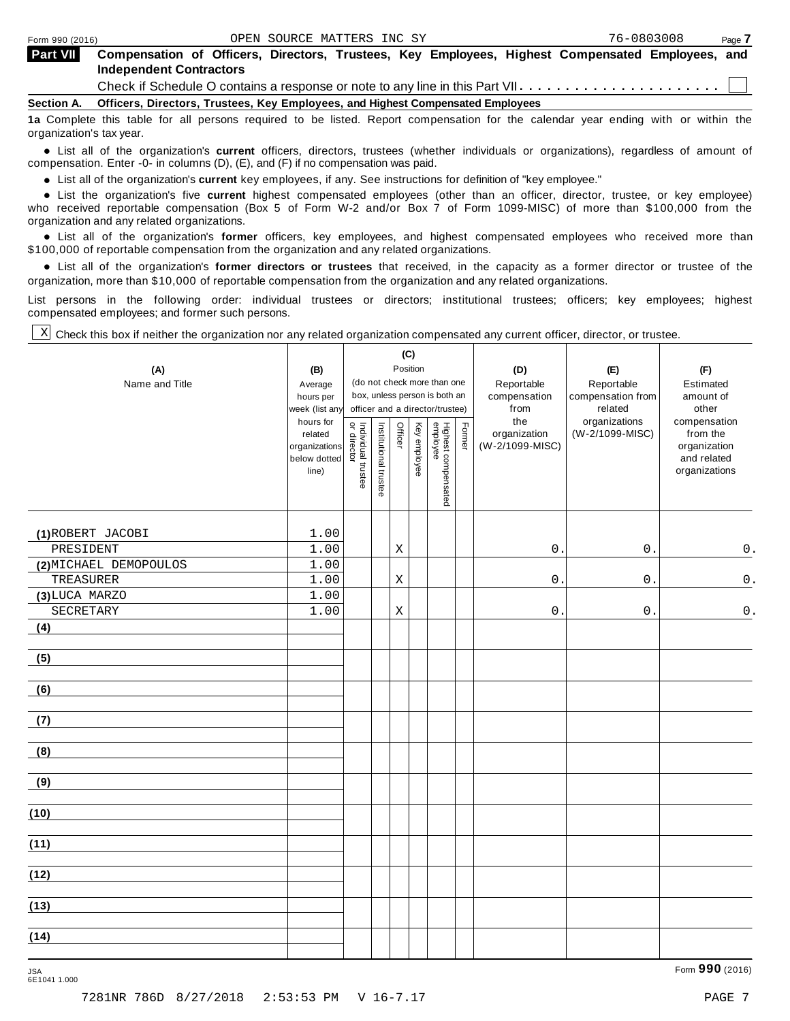| <b>Part VII</b> | Compensation of Officers, Directors, Trustees, Key Employees, Highest Compensated Employees, and<br><b>Independent Contractors</b> |
|-----------------|------------------------------------------------------------------------------------------------------------------------------------|
|                 | Check if Schedule O contains a response or note to any line in this Part VII                                                       |
|                 | Section A. Officers, Directors, Trustees, Key Employees, and Highest Compensated Employees                                         |
|                 | to Complete this tople for all persons required to be listed. Depart componention for the colondar wear anding with ar within the  |

Iomplete this table for all persons required to be listed. Report compensation for the calendar  $\,$ organization's tax year.

anization's lax year.<br>● List all of the organization's **current** officers, directors, trustees (whether individuals or organizations), regardless of amount of<br>nnensation Enter -0- in columns (D) (E) and (E) if no compensa compensation. Enter -0- in columns (D), (E), and (F) if no compensation was paid.

• List all of the organization's **current** key employees, if any. See instructions for definition of "key employee."<br>● List the experientials five expect highest expressed explores (other than an efficer director of

**Example in the organization's current** key employees, if any. See instructions for definition of key employee.<br>• List the organization's five **current** highest compensated employees (other than an officer, director, trust who received reportable compensation (Box 5 of Form W-2 and/or Box 7 of Form 1099-MISC) of more than \$100,000 from the

organization and any related organizations.<br>• List all of the organization's **former** officers, key employees, and highest compensated employees who received more than<br>\$1.00.000 of reportable componention from the erganiza \$100,000 of reportable compensation from the organization and any related organizations.

% List all of the organization's **former directors or trustees** that received, in the capacity as a former director or trustee of the organization, more than \$10,000 of reportable compensation from the organization and any related organizations.

List persons in the following order: individual trustees or directors; institutional trustees; officers; key employees; highest compensated employees; and former such persons.

Check this box if neither the organization nor any related organization compensated any current officer, director, or trustee. X

|                        |                             |                                     |                       | (C)         |              |                                                                  |        |                      |                              |                              |
|------------------------|-----------------------------|-------------------------------------|-----------------------|-------------|--------------|------------------------------------------------------------------|--------|----------------------|------------------------------|------------------------------|
| (A)                    | (B)                         | Position                            |                       |             |              |                                                                  |        | (D)                  | (E)                          | (F)                          |
| Name and Title         | Average                     |                                     |                       |             |              | (do not check more than one                                      |        | Reportable           | Reportable                   | Estimated                    |
|                        | hours per<br>week (list any |                                     |                       |             |              | box, unless person is both an<br>officer and a director/trustee) |        | compensation<br>from | compensation from<br>related | amount of<br>other           |
|                        | hours for                   |                                     |                       |             |              |                                                                  |        | the                  | organizations                | compensation                 |
|                        | related                     | Individual trustee<br>  or director | Institutional trustee | Officer     | Key employee |                                                                  | Former | organization         | (W-2/1099-MISC)              | from the                     |
|                        | organizations               |                                     |                       |             |              |                                                                  |        | (W-2/1099-MISC)      |                              | organization                 |
|                        | below dotted<br>line)       |                                     |                       |             |              |                                                                  |        |                      |                              | and related<br>organizations |
|                        |                             |                                     |                       |             |              |                                                                  |        |                      |                              |                              |
|                        |                             |                                     |                       |             |              | Highest compensated<br>employee                                  |        |                      |                              |                              |
|                        |                             |                                     |                       |             |              |                                                                  |        |                      |                              |                              |
| (1) ROBERT JACOBI      | 1.00                        |                                     |                       |             |              |                                                                  |        |                      |                              |                              |
| PRESIDENT              | 1.00                        |                                     |                       | Χ           |              |                                                                  |        | 0.                   | $0$ .                        | 0.                           |
| (2) MICHAEL DEMOPOULOS | 1.00                        |                                     |                       |             |              |                                                                  |        |                      |                              |                              |
| TREASURER              | 1.00                        |                                     |                       | Χ           |              |                                                                  |        | $0$ .                | 0.                           | $\mathsf 0$ .                |
| (3) LUCA MARZO         | 1.00                        |                                     |                       |             |              |                                                                  |        |                      |                              |                              |
| SECRETARY              | 1.00                        |                                     |                       | $\mathbf X$ |              |                                                                  |        | $\mathsf{O}$ .       | $0$ .                        | $\mathsf{0}$ .               |
| (4)                    |                             |                                     |                       |             |              |                                                                  |        |                      |                              |                              |
|                        |                             |                                     |                       |             |              |                                                                  |        |                      |                              |                              |
| (5)                    |                             |                                     |                       |             |              |                                                                  |        |                      |                              |                              |
|                        |                             |                                     |                       |             |              |                                                                  |        |                      |                              |                              |
| (6)                    |                             |                                     |                       |             |              |                                                                  |        |                      |                              |                              |
| (7)                    |                             |                                     |                       |             |              |                                                                  |        |                      |                              |                              |
|                        |                             |                                     |                       |             |              |                                                                  |        |                      |                              |                              |
| (8)                    |                             |                                     |                       |             |              |                                                                  |        |                      |                              |                              |
|                        |                             |                                     |                       |             |              |                                                                  |        |                      |                              |                              |
| (9)                    |                             |                                     |                       |             |              |                                                                  |        |                      |                              |                              |
|                        |                             |                                     |                       |             |              |                                                                  |        |                      |                              |                              |
| (10)                   |                             |                                     |                       |             |              |                                                                  |        |                      |                              |                              |
|                        |                             |                                     |                       |             |              |                                                                  |        |                      |                              |                              |
| (11)                   |                             |                                     |                       |             |              |                                                                  |        |                      |                              |                              |
|                        |                             |                                     |                       |             |              |                                                                  |        |                      |                              |                              |
| (12)                   |                             |                                     |                       |             |              |                                                                  |        |                      |                              |                              |
|                        |                             |                                     |                       |             |              |                                                                  |        |                      |                              |                              |
| (13)                   |                             |                                     |                       |             |              |                                                                  |        |                      |                              |                              |
| (14)                   |                             |                                     |                       |             |              |                                                                  |        |                      |                              |                              |
|                        |                             |                                     |                       |             |              |                                                                  |        |                      |                              |                              |
|                        |                             |                                     |                       |             |              |                                                                  |        |                      |                              |                              |

Form **990** (2016) JSA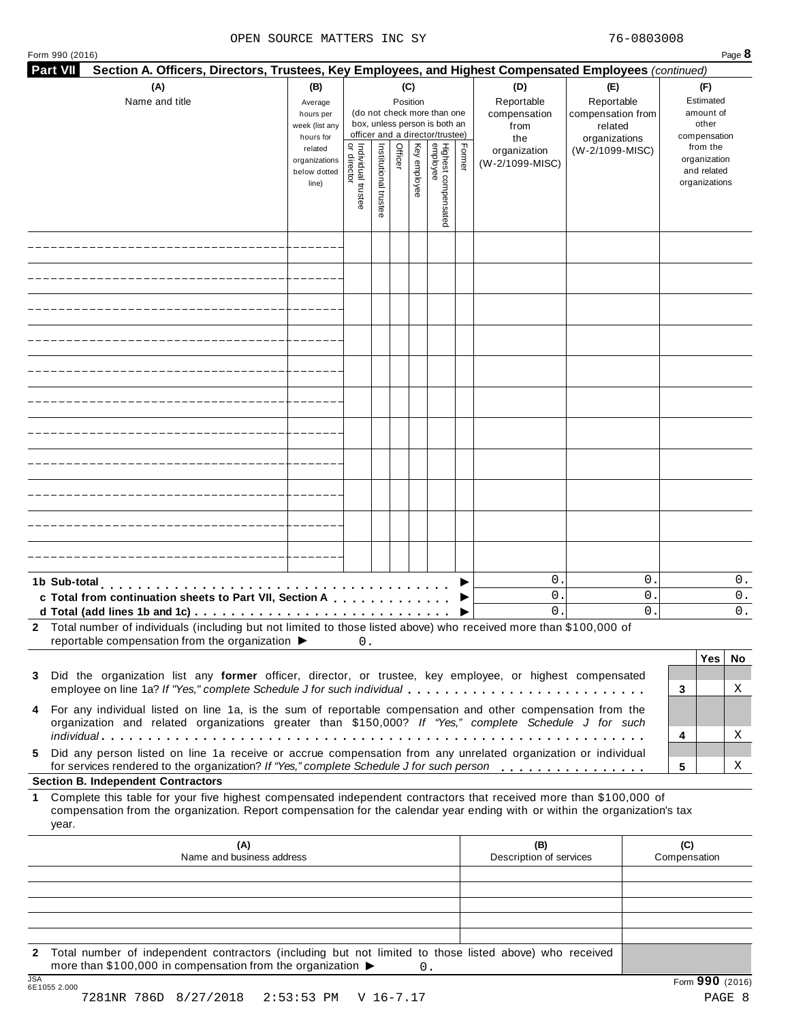#### OPEN SOURCE MATTERS INC SY 76-0803008

|       |                                                                                                                                                                                                                                                                                                  |                                                            |                                   |                       |                         |                                                                                                 |        |                                                  |                                                                    |                     | Section A. Officers, Directors, Trustees, Key Employees, and Highest Compensated Employees (continued) |          |
|-------|--------------------------------------------------------------------------------------------------------------------------------------------------------------------------------------------------------------------------------------------------------------------------------------------------|------------------------------------------------------------|-----------------------------------|-----------------------|-------------------------|-------------------------------------------------------------------------------------------------|--------|--------------------------------------------------|--------------------------------------------------------------------|---------------------|--------------------------------------------------------------------------------------------------------|----------|
|       | (A)<br>Name and title                                                                                                                                                                                                                                                                            | (B)<br>Average<br>hours per<br>week (list any<br>hours for |                                   |                       | (C)<br>Position         | (do not check more than one<br>box, unless person is both an<br>officer and a director/trustee) |        | (D)<br>Reportable<br>compensation<br>from<br>the | (E)<br>Reportable<br>compensation from<br>related<br>organizations |                     | (F)<br>Estimated<br>amount of<br>other<br>compensation<br>from the                                     |          |
|       |                                                                                                                                                                                                                                                                                                  | related<br>organizations<br>below dotted<br>line)          | Individual trustee<br>or director | Institutional trustee | Officer<br>Key employee | Highest compensated<br>employee                                                                 | Former | organization<br>(W-2/1099-MISC)                  | (W-2/1099-MISC)                                                    |                     | organization<br>and related<br>organizations                                                           |          |
|       |                                                                                                                                                                                                                                                                                                  |                                                            |                                   |                       |                         |                                                                                                 |        |                                                  |                                                                    |                     |                                                                                                        |          |
|       |                                                                                                                                                                                                                                                                                                  |                                                            |                                   |                       |                         |                                                                                                 |        |                                                  |                                                                    |                     |                                                                                                        |          |
|       |                                                                                                                                                                                                                                                                                                  |                                                            |                                   |                       |                         |                                                                                                 |        |                                                  |                                                                    |                     |                                                                                                        |          |
|       |                                                                                                                                                                                                                                                                                                  |                                                            |                                   |                       |                         |                                                                                                 |        |                                                  |                                                                    |                     |                                                                                                        |          |
|       |                                                                                                                                                                                                                                                                                                  |                                                            |                                   |                       |                         |                                                                                                 |        |                                                  |                                                                    |                     |                                                                                                        |          |
|       |                                                                                                                                                                                                                                                                                                  |                                                            |                                   |                       |                         |                                                                                                 |        |                                                  |                                                                    |                     |                                                                                                        |          |
|       |                                                                                                                                                                                                                                                                                                  |                                                            |                                   |                       |                         |                                                                                                 |        |                                                  |                                                                    |                     |                                                                                                        |          |
|       |                                                                                                                                                                                                                                                                                                  |                                                            |                                   |                       |                         |                                                                                                 |        |                                                  |                                                                    |                     |                                                                                                        |          |
|       |                                                                                                                                                                                                                                                                                                  |                                                            |                                   |                       |                         |                                                                                                 |        |                                                  |                                                                    |                     |                                                                                                        |          |
|       |                                                                                                                                                                                                                                                                                                  |                                                            |                                   |                       |                         |                                                                                                 |        |                                                  |                                                                    |                     |                                                                                                        |          |
|       |                                                                                                                                                                                                                                                                                                  |                                                            |                                   |                       |                         |                                                                                                 |        |                                                  |                                                                    |                     |                                                                                                        |          |
|       | 1b Sub-total<br>c Total from continuation sheets to Part VII, Section A                                                                                                                                                                                                                          |                                                            |                                   |                       |                         |                                                                                                 |        | $\mathbf 0$ .<br>$\mathbf 0$ .                   | $\mathsf{O}$ .<br>$\mathsf{O}$ .                                   |                     |                                                                                                        | 0.<br>О. |
|       | d Total (add lines 1b and 1c) $\ldots \ldots \ldots \ldots \ldots \ldots \ldots \ldots \ldots \ldots \ldots$<br>2 Total number of individuals (including but not limited to those listed above) who received more than \$100,000 of                                                              |                                                            |                                   |                       |                         |                                                                                                 |        | 0.                                               | $\mathbf 0$ .                                                      |                     |                                                                                                        | 0.       |
|       | reportable compensation from the organization ▶                                                                                                                                                                                                                                                  |                                                            | 0.                                |                       |                         |                                                                                                 |        |                                                  |                                                                    |                     |                                                                                                        |          |
|       | 3 Did the organization list any former officer, director, or trustee, key employee, or highest compensated                                                                                                                                                                                       |                                                            |                                   |                       |                         |                                                                                                 |        |                                                  |                                                                    |                     | Yes                                                                                                    | No       |
|       | employee on line 1a? If "Yes," complete Schedule J for such individual<br>4 For any individual listed on line 1a, is the sum of reportable compensation and other compensation from the<br>organization and related organizations greater than \$150,000? If "Yes," complete Schedule J for such |                                                            |                                   |                       |                         |                                                                                                 |        |                                                  |                                                                    | 3                   |                                                                                                        | Χ        |
|       |                                                                                                                                                                                                                                                                                                  |                                                            |                                   |                       |                         |                                                                                                 |        |                                                  |                                                                    | 4                   |                                                                                                        | Χ        |
|       | Did any person listed on line 1a receive or accrue compensation from any unrelated organization or individual<br>for services rendered to the organization? If "Yes," complete Schedule J for such person                                                                                        |                                                            |                                   |                       |                         |                                                                                                 |        |                                                  |                                                                    | 5                   |                                                                                                        | Χ        |
| year. | <b>Section B. Independent Contractors</b><br>Complete this table for your five highest compensated independent contractors that received more than \$100,000 of<br>compensation from the organization. Report compensation for the calendar year ending with or within the organization's tax    |                                                            |                                   |                       |                         |                                                                                                 |        |                                                  |                                                                    |                     |                                                                                                        |          |
|       | (A)<br>Name and business address                                                                                                                                                                                                                                                                 |                                                            |                                   |                       |                         |                                                                                                 |        | (B)<br>Description of services                   |                                                                    | (C)<br>Compensation |                                                                                                        |          |
|       |                                                                                                                                                                                                                                                                                                  |                                                            |                                   |                       |                         |                                                                                                 |        |                                                  |                                                                    |                     |                                                                                                        |          |
|       |                                                                                                                                                                                                                                                                                                  |                                                            |                                   |                       |                         |                                                                                                 |        |                                                  |                                                                    |                     |                                                                                                        |          |
|       | 2 Total number of independent contractors (including but not limited to those listed above) who received                                                                                                                                                                                         |                                                            |                                   |                       |                         |                                                                                                 |        |                                                  |                                                                    |                     |                                                                                                        |          |

Total number of independent contractors (including but not limited to the more than \$100,000 in compensation from the organization  $\triangleright$  0. JSA Form **990** (2016) 6E1055 2.000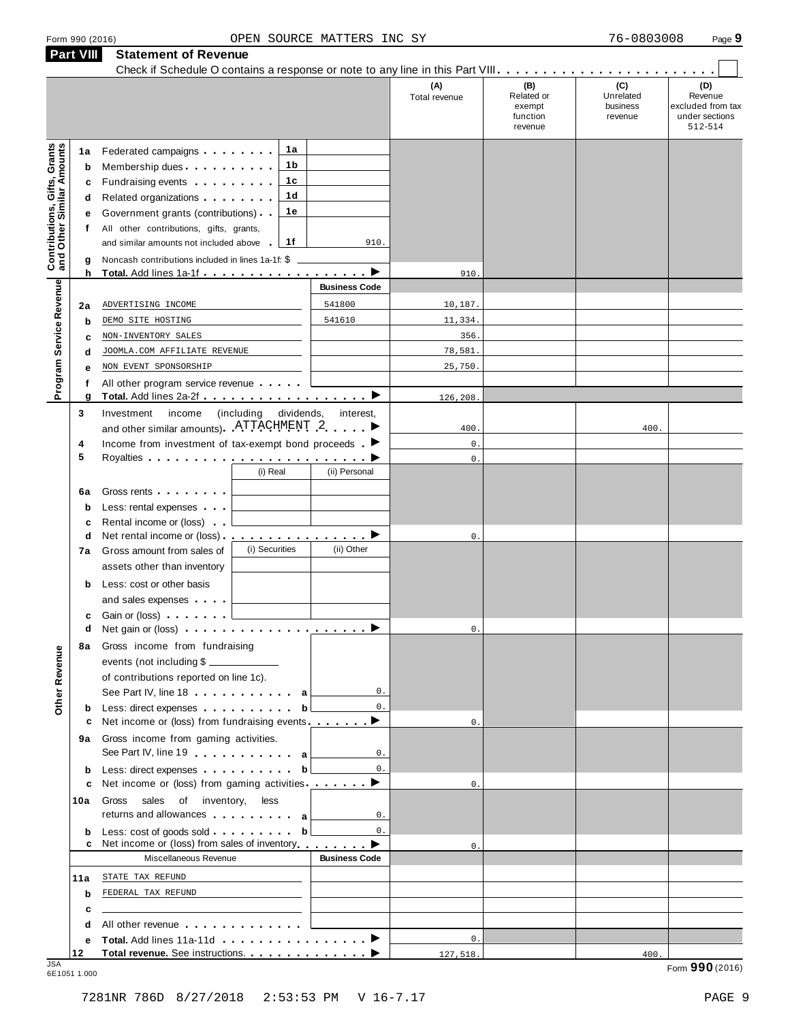|                                                                  | Form 990 (2016) |                                                                                                                                                                                                                                | OPEN SOURCE MATTERS INC SY |                 |                                             | 76-0803008                       | Page 9                                                    |
|------------------------------------------------------------------|-----------------|--------------------------------------------------------------------------------------------------------------------------------------------------------------------------------------------------------------------------------|----------------------------|-----------------|---------------------------------------------|----------------------------------|-----------------------------------------------------------|
|                                                                  | Part VIII       | <b>Statement of Revenue</b>                                                                                                                                                                                                    |                            |                 |                                             |                                  |                                                           |
|                                                                  |                 | Check if Schedule O contains a response or note to any line in this Part VIII.                                                                                                                                                 |                            | (A)             | (B)                                         | (C)                              | (D)                                                       |
|                                                                  |                 |                                                                                                                                                                                                                                |                            | Total revenue   | Related or<br>exempt<br>function<br>revenue | Unrelated<br>business<br>revenue | Revenue<br>excluded from tax<br>under sections<br>512-514 |
|                                                                  | 1a              | 1a<br>Federated campaigns <b>Federated</b>                                                                                                                                                                                     |                            |                 |                                             |                                  |                                                           |
|                                                                  | b               | 1b<br>Membership dues                                                                                                                                                                                                          |                            |                 |                                             |                                  |                                                           |
|                                                                  | c               | 1c<br>Fundraising events <b>Fundraising</b>                                                                                                                                                                                    |                            |                 |                                             |                                  |                                                           |
| <b>Contributions, Gifts, Grants</b><br>and Other Similar Amounts | d               | 1d<br>Related organizations <b>contains</b> and <b>Related</b> organizations <b>and relations</b>                                                                                                                              |                            |                 |                                             |                                  |                                                           |
|                                                                  | е               | 1е<br>Government grants (contributions)                                                                                                                                                                                        |                            |                 |                                             |                                  |                                                           |
|                                                                  | f               | All other contributions, gifts, grants,                                                                                                                                                                                        |                            |                 |                                             |                                  |                                                           |
|                                                                  |                 | and similar amounts not included above<br>1f                                                                                                                                                                                   | 910.                       |                 |                                             |                                  |                                                           |
|                                                                  | g               | Noncash contributions included in lines 1a-1f: \$                                                                                                                                                                              |                            |                 |                                             |                                  |                                                           |
|                                                                  | h               | Total. Add lines 1a-1f ▶                                                                                                                                                                                                       | <b>Business Code</b>       | 910.            |                                             |                                  |                                                           |
| Program Service Revenue                                          |                 |                                                                                                                                                                                                                                |                            |                 |                                             |                                  |                                                           |
|                                                                  | 2a              | ADVERTISING INCOME<br>DEMO SITE HOSTING                                                                                                                                                                                        | 541800<br>541610           | 10,187.         |                                             |                                  |                                                           |
|                                                                  | $\mathbf b$     | NON-INVENTORY SALES                                                                                                                                                                                                            |                            | 11,334.<br>356. |                                             |                                  |                                                           |
|                                                                  | c<br>d          | JOOMLA.COM AFFILIATE REVENUE                                                                                                                                                                                                   |                            | 78,581.         |                                             |                                  |                                                           |
|                                                                  | е               | NON EVENT SPONSORSHIP                                                                                                                                                                                                          |                            | 25,750.         |                                             |                                  |                                                           |
|                                                                  | f               | All other program service revenue                                                                                                                                                                                              |                            |                 |                                             |                                  |                                                           |
|                                                                  | g               |                                                                                                                                                                                                                                |                            | 126,208         |                                             |                                  |                                                           |
|                                                                  | 3               | (including<br>Investment<br>income                                                                                                                                                                                             | dividends,<br>interest,    |                 |                                             |                                  |                                                           |
|                                                                  |                 | and other similar amounts). ATTACHMENT 2                                                                                                                                                                                       |                            | 400             |                                             | 400.                             |                                                           |
|                                                                  | 4               | Income from investment of tax-exempt bond proceeds $\blacksquare$                                                                                                                                                              |                            | $\mathbf 0$ .   |                                             |                                  |                                                           |
|                                                                  | 5               |                                                                                                                                                                                                                                |                            | $\mathbb O$ .   |                                             |                                  |                                                           |
|                                                                  |                 | (i) Real                                                                                                                                                                                                                       | (ii) Personal              |                 |                                             |                                  |                                                           |
|                                                                  | 6a              | Gross rents                                                                                                                                                                                                                    |                            |                 |                                             |                                  |                                                           |
|                                                                  | $\mathbf b$     | Less: rental expenses                                                                                                                                                                                                          |                            |                 |                                             |                                  |                                                           |
|                                                                  | c               | Rental income or (loss)<br>Net rental income or (loss) ▶                                                                                                                                                                       |                            |                 |                                             |                                  |                                                           |
|                                                                  | d<br>7a         | (i) Securities<br>Gross amount from sales of                                                                                                                                                                                   | (ii) Other                 | $\mathbf 0$ .   |                                             |                                  |                                                           |
|                                                                  |                 | assets other than inventory                                                                                                                                                                                                    |                            |                 |                                             |                                  |                                                           |
|                                                                  | b               | Less: cost or other basis                                                                                                                                                                                                      |                            |                 |                                             |                                  |                                                           |
|                                                                  |                 | and sales expenses                                                                                                                                                                                                             |                            |                 |                                             |                                  |                                                           |
|                                                                  | c               | Gain or (loss) $\ldots$ $\ldots$ $\ldots$                                                                                                                                                                                      |                            |                 |                                             |                                  |                                                           |
|                                                                  | d               | Net gain or (loss) $\cdots$ $\cdots$ $\cdots$ $\cdots$ $\cdots$ $\cdots$                                                                                                                                                       |                            | $\mathbf{0}$ .  |                                             |                                  |                                                           |
|                                                                  | 8а              | Gross income from fundraising                                                                                                                                                                                                  |                            |                 |                                             |                                  |                                                           |
|                                                                  |                 | events (not including \$                                                                                                                                                                                                       |                            |                 |                                             |                                  |                                                           |
|                                                                  |                 | of contributions reported on line 1c).                                                                                                                                                                                         |                            |                 |                                             |                                  |                                                           |
| Other Revenue                                                    |                 | See Part IV, line 18 a                                                                                                                                                                                                         | 0.                         |                 |                                             |                                  |                                                           |
|                                                                  | b               | Less: direct expenses                                                                                                                                                                                                          | 0.<br>$\mathbf{b}$         |                 |                                             |                                  |                                                           |
|                                                                  | 9а              | Net income or (loss) from fundraising events ________<br>Gross income from gaming activities.                                                                                                                                  |                            | $\mathbf{0}$ .  |                                             |                                  |                                                           |
|                                                                  |                 | See Part IV, line 19 $\ldots$ $\ldots$ $\ldots$ a                                                                                                                                                                              | 0.                         |                 |                                             |                                  |                                                           |
|                                                                  | b               | Less: direct expenses extension of the state of the state of the state of the state of the state of the state of the state of the state of the state of the state of the state of the state of the state of the state of the s | $0$ .<br>$\mathbf{b}$      |                 |                                             |                                  |                                                           |
|                                                                  | c               | Net income or (loss) from gaming activities ________ ▶                                                                                                                                                                         |                            | $\mathbf{0}$ .  |                                             |                                  |                                                           |
|                                                                  | 10a             | sales of inventory, less<br>Gross                                                                                                                                                                                              |                            |                 |                                             |                                  |                                                           |
|                                                                  |                 | returns and allowances a                                                                                                                                                                                                       | 0.                         |                 |                                             |                                  |                                                           |
|                                                                  | b               | Less: cost of goods sold entitled and the set of goods sold<br>Net income or (loss) from sales of inventory                                                                                                                    | $0$ .<br>$\mathbf{b}$      | $\mathbf{0}$ .  |                                             |                                  |                                                           |
|                                                                  |                 | Miscellaneous Revenue                                                                                                                                                                                                          | <b>Business Code</b>       |                 |                                             |                                  |                                                           |
|                                                                  | 11a             | STATE TAX REFUND                                                                                                                                                                                                               |                            |                 |                                             |                                  |                                                           |
|                                                                  | b               | FEDERAL TAX REFUND                                                                                                                                                                                                             |                            |                 |                                             |                                  |                                                           |
|                                                                  | с               |                                                                                                                                                                                                                                |                            |                 |                                             |                                  |                                                           |
|                                                                  | d               | All other revenue entitled and the control of the control of the control of the control of the control of the control of the control of the control of the control of the control of the control of the control of the control |                            |                 |                                             |                                  |                                                           |
|                                                                  | е               |                                                                                                                                                                                                                                |                            | $0$ .           |                                             |                                  |                                                           |
| .ISA                                                             | 12              | Total revenue. See instructions.                                                                                                                                                                                               |                            | 127,518.        |                                             | 400.                             | 000.                                                      |

JSA Form **990** (2016) 6E1051 1.000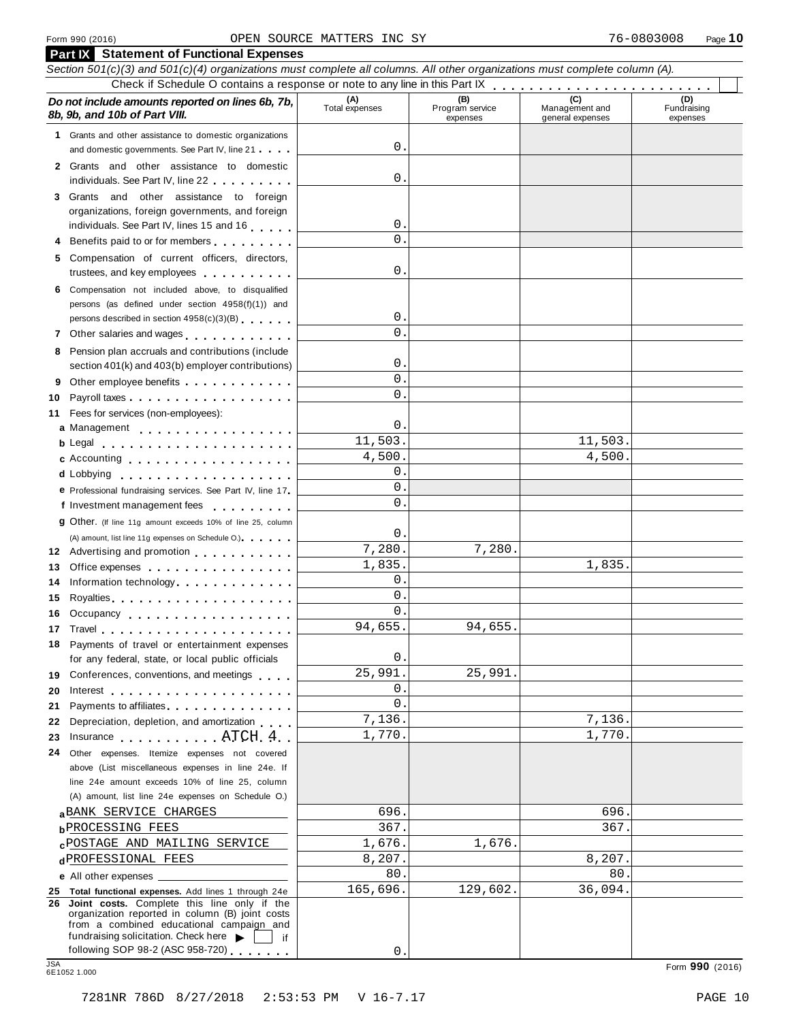| Section 501(c)(3) and 501(c)(4) organizations must complete all columns. All other organizations must complete column (A).<br>(C)<br>(D)<br>(A)<br>Total expenses<br>(B)<br>Do not include amounts reported on lines 6b, 7b,<br>Management and<br>Fundraising<br>Program service<br>8b, 9b, and 10b of Part VIII.<br>expenses<br>general expenses<br>expenses<br>1 Grants and other assistance to domestic organizations<br>$\mathsf{O}$ .<br>and domestic governments. See Part IV, line 21<br>2 Grants and other assistance to domestic<br>0.<br>individuals. See Part IV, line 22<br>3 Grants and other assistance to foreign<br>organizations, foreign governments, and foreign<br>0.<br>individuals. See Part IV, lines 15 and 16<br>$\mathsf{O}$ .<br>4 Benefits paid to or for members<br>5 Compensation of current officers, directors,<br>0.<br>trustees, and key employees<br>6 Compensation not included above, to disqualified<br>persons (as defined under section 4958(f)(1)) and<br>$\mathsf{O}$ .<br>persons described in section 4958(c)(3)(B)<br>$\mathsf{O}$ .<br>7 Other salaries and wages<br>8 Pension plan accruals and contributions (include<br>0.<br>section 401(k) and 403(b) employer contributions)<br>$\mathbf{0}$ .<br>9 Other employee benefits<br>0.<br>Fees for services (non-employees):<br>0.<br>a Management<br>11,503.<br>11,503.<br>4,500.<br>4,500.<br>c Accounting<br>0.<br>d Lobbying<br>$\mathbf{0}$ .<br>e Professional fundraising services. See Part IV, line 17<br>$\overline{0}$ .<br>f Investment management fees<br><b>g</b> Other. (If line 11g amount exceeds 10% of line 25, column<br>0.<br>(A) amount, list line 11g expenses on Schedule O.)<br>7,280.<br>7,280.<br>12 Advertising and promotion<br>1,835.<br>1,835.<br>Office expenses expenses<br>$\mathbf 0$ .<br>Information technology<br>14<br>0.<br>Royalties Royalties Providence and Royalties<br>$\overline{0}$ .<br>16 Occupancy<br>94,655.<br>94,655.<br>18 Payments of travel or entertainment expenses<br>0.<br>for any federal, state, or local public officials<br>25,991.<br>25,991.<br>19 Conferences, conventions, and meetings<br>0.<br>20<br>$\mathsf{O}$ .<br>Payments to affiliates.<br>21<br>7,136.<br>7,136.<br>Depreciation, depletion, and amortization<br>22<br>1,770.<br>1,770.<br>Insurance ATCH 4<br>23<br>24<br>Other expenses. Itemize expenses not covered<br>above (List miscellaneous expenses in line 24e. If<br>line 24e amount exceeds 10% of line 25, column<br>(A) amount, list line 24e expenses on Schedule O.)<br>696.<br>696.<br><b>a</b> BANK SERVICE CHARGES<br>367.<br>367.<br><b>bPROCESSING FEES</b><br>1,676.<br>1,676.<br><b>CPOSTAGE AND MAILING SERVICE</b><br>8,207.<br>8,207.<br>dPROFESSIONAL FEES<br>80.<br>80.<br>165,696.<br>129,602.<br>36,094.<br>25 Total functional expenses. Add lines 1 through 24e<br>26 Joint costs. Complete this line only if the<br>organization reported in column (B) joint costs<br>from a combined educational campaign and<br>fundraising solicitation. Check here $\blacktriangleright$<br>if<br>following SOP 98-2 (ASC 958-720)<br>0<br>6E1052 1.000 |            | <b>Part IX</b> Statement of Functional Expenses |  |  |  |                 |  |  |  |  |  |
|-------------------------------------------------------------------------------------------------------------------------------------------------------------------------------------------------------------------------------------------------------------------------------------------------------------------------------------------------------------------------------------------------------------------------------------------------------------------------------------------------------------------------------------------------------------------------------------------------------------------------------------------------------------------------------------------------------------------------------------------------------------------------------------------------------------------------------------------------------------------------------------------------------------------------------------------------------------------------------------------------------------------------------------------------------------------------------------------------------------------------------------------------------------------------------------------------------------------------------------------------------------------------------------------------------------------------------------------------------------------------------------------------------------------------------------------------------------------------------------------------------------------------------------------------------------------------------------------------------------------------------------------------------------------------------------------------------------------------------------------------------------------------------------------------------------------------------------------------------------------------------------------------------------------------------------------------------------------------------------------------------------------------------------------------------------------------------------------------------------------------------------------------------------------------------------------------------------------------------------------------------------------------------------------------------------------------------------------------------------------------------------------------------------------------------------------------------------------------------------------------------------------------------------------------------------------------------------------------------------------------------------------------------------------------------------------------------------------------------------------------------------------------------------------------------------------------------------------------------------------------------------------------------------------------------------------------------------------------------------------------------------------------------------------------------------------------------------------------------------------------------------------------------------|------------|-------------------------------------------------|--|--|--|-----------------|--|--|--|--|--|
|                                                                                                                                                                                                                                                                                                                                                                                                                                                                                                                                                                                                                                                                                                                                                                                                                                                                                                                                                                                                                                                                                                                                                                                                                                                                                                                                                                                                                                                                                                                                                                                                                                                                                                                                                                                                                                                                                                                                                                                                                                                                                                                                                                                                                                                                                                                                                                                                                                                                                                                                                                                                                                                                                                                                                                                                                                                                                                                                                                                                                                                                                                                                                             |            |                                                 |  |  |  |                 |  |  |  |  |  |
|                                                                                                                                                                                                                                                                                                                                                                                                                                                                                                                                                                                                                                                                                                                                                                                                                                                                                                                                                                                                                                                                                                                                                                                                                                                                                                                                                                                                                                                                                                                                                                                                                                                                                                                                                                                                                                                                                                                                                                                                                                                                                                                                                                                                                                                                                                                                                                                                                                                                                                                                                                                                                                                                                                                                                                                                                                                                                                                                                                                                                                                                                                                                                             |            |                                                 |  |  |  |                 |  |  |  |  |  |
|                                                                                                                                                                                                                                                                                                                                                                                                                                                                                                                                                                                                                                                                                                                                                                                                                                                                                                                                                                                                                                                                                                                                                                                                                                                                                                                                                                                                                                                                                                                                                                                                                                                                                                                                                                                                                                                                                                                                                                                                                                                                                                                                                                                                                                                                                                                                                                                                                                                                                                                                                                                                                                                                                                                                                                                                                                                                                                                                                                                                                                                                                                                                                             |            |                                                 |  |  |  |                 |  |  |  |  |  |
|                                                                                                                                                                                                                                                                                                                                                                                                                                                                                                                                                                                                                                                                                                                                                                                                                                                                                                                                                                                                                                                                                                                                                                                                                                                                                                                                                                                                                                                                                                                                                                                                                                                                                                                                                                                                                                                                                                                                                                                                                                                                                                                                                                                                                                                                                                                                                                                                                                                                                                                                                                                                                                                                                                                                                                                                                                                                                                                                                                                                                                                                                                                                                             |            |                                                 |  |  |  |                 |  |  |  |  |  |
|                                                                                                                                                                                                                                                                                                                                                                                                                                                                                                                                                                                                                                                                                                                                                                                                                                                                                                                                                                                                                                                                                                                                                                                                                                                                                                                                                                                                                                                                                                                                                                                                                                                                                                                                                                                                                                                                                                                                                                                                                                                                                                                                                                                                                                                                                                                                                                                                                                                                                                                                                                                                                                                                                                                                                                                                                                                                                                                                                                                                                                                                                                                                                             |            |                                                 |  |  |  |                 |  |  |  |  |  |
|                                                                                                                                                                                                                                                                                                                                                                                                                                                                                                                                                                                                                                                                                                                                                                                                                                                                                                                                                                                                                                                                                                                                                                                                                                                                                                                                                                                                                                                                                                                                                                                                                                                                                                                                                                                                                                                                                                                                                                                                                                                                                                                                                                                                                                                                                                                                                                                                                                                                                                                                                                                                                                                                                                                                                                                                                                                                                                                                                                                                                                                                                                                                                             |            |                                                 |  |  |  |                 |  |  |  |  |  |
|                                                                                                                                                                                                                                                                                                                                                                                                                                                                                                                                                                                                                                                                                                                                                                                                                                                                                                                                                                                                                                                                                                                                                                                                                                                                                                                                                                                                                                                                                                                                                                                                                                                                                                                                                                                                                                                                                                                                                                                                                                                                                                                                                                                                                                                                                                                                                                                                                                                                                                                                                                                                                                                                                                                                                                                                                                                                                                                                                                                                                                                                                                                                                             |            |                                                 |  |  |  |                 |  |  |  |  |  |
|                                                                                                                                                                                                                                                                                                                                                                                                                                                                                                                                                                                                                                                                                                                                                                                                                                                                                                                                                                                                                                                                                                                                                                                                                                                                                                                                                                                                                                                                                                                                                                                                                                                                                                                                                                                                                                                                                                                                                                                                                                                                                                                                                                                                                                                                                                                                                                                                                                                                                                                                                                                                                                                                                                                                                                                                                                                                                                                                                                                                                                                                                                                                                             |            |                                                 |  |  |  |                 |  |  |  |  |  |
|                                                                                                                                                                                                                                                                                                                                                                                                                                                                                                                                                                                                                                                                                                                                                                                                                                                                                                                                                                                                                                                                                                                                                                                                                                                                                                                                                                                                                                                                                                                                                                                                                                                                                                                                                                                                                                                                                                                                                                                                                                                                                                                                                                                                                                                                                                                                                                                                                                                                                                                                                                                                                                                                                                                                                                                                                                                                                                                                                                                                                                                                                                                                                             |            |                                                 |  |  |  |                 |  |  |  |  |  |
|                                                                                                                                                                                                                                                                                                                                                                                                                                                                                                                                                                                                                                                                                                                                                                                                                                                                                                                                                                                                                                                                                                                                                                                                                                                                                                                                                                                                                                                                                                                                                                                                                                                                                                                                                                                                                                                                                                                                                                                                                                                                                                                                                                                                                                                                                                                                                                                                                                                                                                                                                                                                                                                                                                                                                                                                                                                                                                                                                                                                                                                                                                                                                             |            |                                                 |  |  |  |                 |  |  |  |  |  |
|                                                                                                                                                                                                                                                                                                                                                                                                                                                                                                                                                                                                                                                                                                                                                                                                                                                                                                                                                                                                                                                                                                                                                                                                                                                                                                                                                                                                                                                                                                                                                                                                                                                                                                                                                                                                                                                                                                                                                                                                                                                                                                                                                                                                                                                                                                                                                                                                                                                                                                                                                                                                                                                                                                                                                                                                                                                                                                                                                                                                                                                                                                                                                             |            |                                                 |  |  |  |                 |  |  |  |  |  |
|                                                                                                                                                                                                                                                                                                                                                                                                                                                                                                                                                                                                                                                                                                                                                                                                                                                                                                                                                                                                                                                                                                                                                                                                                                                                                                                                                                                                                                                                                                                                                                                                                                                                                                                                                                                                                                                                                                                                                                                                                                                                                                                                                                                                                                                                                                                                                                                                                                                                                                                                                                                                                                                                                                                                                                                                                                                                                                                                                                                                                                                                                                                                                             |            |                                                 |  |  |  |                 |  |  |  |  |  |
|                                                                                                                                                                                                                                                                                                                                                                                                                                                                                                                                                                                                                                                                                                                                                                                                                                                                                                                                                                                                                                                                                                                                                                                                                                                                                                                                                                                                                                                                                                                                                                                                                                                                                                                                                                                                                                                                                                                                                                                                                                                                                                                                                                                                                                                                                                                                                                                                                                                                                                                                                                                                                                                                                                                                                                                                                                                                                                                                                                                                                                                                                                                                                             |            |                                                 |  |  |  |                 |  |  |  |  |  |
|                                                                                                                                                                                                                                                                                                                                                                                                                                                                                                                                                                                                                                                                                                                                                                                                                                                                                                                                                                                                                                                                                                                                                                                                                                                                                                                                                                                                                                                                                                                                                                                                                                                                                                                                                                                                                                                                                                                                                                                                                                                                                                                                                                                                                                                                                                                                                                                                                                                                                                                                                                                                                                                                                                                                                                                                                                                                                                                                                                                                                                                                                                                                                             |            |                                                 |  |  |  |                 |  |  |  |  |  |
|                                                                                                                                                                                                                                                                                                                                                                                                                                                                                                                                                                                                                                                                                                                                                                                                                                                                                                                                                                                                                                                                                                                                                                                                                                                                                                                                                                                                                                                                                                                                                                                                                                                                                                                                                                                                                                                                                                                                                                                                                                                                                                                                                                                                                                                                                                                                                                                                                                                                                                                                                                                                                                                                                                                                                                                                                                                                                                                                                                                                                                                                                                                                                             |            |                                                 |  |  |  |                 |  |  |  |  |  |
|                                                                                                                                                                                                                                                                                                                                                                                                                                                                                                                                                                                                                                                                                                                                                                                                                                                                                                                                                                                                                                                                                                                                                                                                                                                                                                                                                                                                                                                                                                                                                                                                                                                                                                                                                                                                                                                                                                                                                                                                                                                                                                                                                                                                                                                                                                                                                                                                                                                                                                                                                                                                                                                                                                                                                                                                                                                                                                                                                                                                                                                                                                                                                             |            |                                                 |  |  |  |                 |  |  |  |  |  |
|                                                                                                                                                                                                                                                                                                                                                                                                                                                                                                                                                                                                                                                                                                                                                                                                                                                                                                                                                                                                                                                                                                                                                                                                                                                                                                                                                                                                                                                                                                                                                                                                                                                                                                                                                                                                                                                                                                                                                                                                                                                                                                                                                                                                                                                                                                                                                                                                                                                                                                                                                                                                                                                                                                                                                                                                                                                                                                                                                                                                                                                                                                                                                             |            |                                                 |  |  |  |                 |  |  |  |  |  |
|                                                                                                                                                                                                                                                                                                                                                                                                                                                                                                                                                                                                                                                                                                                                                                                                                                                                                                                                                                                                                                                                                                                                                                                                                                                                                                                                                                                                                                                                                                                                                                                                                                                                                                                                                                                                                                                                                                                                                                                                                                                                                                                                                                                                                                                                                                                                                                                                                                                                                                                                                                                                                                                                                                                                                                                                                                                                                                                                                                                                                                                                                                                                                             |            |                                                 |  |  |  |                 |  |  |  |  |  |
|                                                                                                                                                                                                                                                                                                                                                                                                                                                                                                                                                                                                                                                                                                                                                                                                                                                                                                                                                                                                                                                                                                                                                                                                                                                                                                                                                                                                                                                                                                                                                                                                                                                                                                                                                                                                                                                                                                                                                                                                                                                                                                                                                                                                                                                                                                                                                                                                                                                                                                                                                                                                                                                                                                                                                                                                                                                                                                                                                                                                                                                                                                                                                             | 10         |                                                 |  |  |  |                 |  |  |  |  |  |
|                                                                                                                                                                                                                                                                                                                                                                                                                                                                                                                                                                                                                                                                                                                                                                                                                                                                                                                                                                                                                                                                                                                                                                                                                                                                                                                                                                                                                                                                                                                                                                                                                                                                                                                                                                                                                                                                                                                                                                                                                                                                                                                                                                                                                                                                                                                                                                                                                                                                                                                                                                                                                                                                                                                                                                                                                                                                                                                                                                                                                                                                                                                                                             | 11         |                                                 |  |  |  |                 |  |  |  |  |  |
|                                                                                                                                                                                                                                                                                                                                                                                                                                                                                                                                                                                                                                                                                                                                                                                                                                                                                                                                                                                                                                                                                                                                                                                                                                                                                                                                                                                                                                                                                                                                                                                                                                                                                                                                                                                                                                                                                                                                                                                                                                                                                                                                                                                                                                                                                                                                                                                                                                                                                                                                                                                                                                                                                                                                                                                                                                                                                                                                                                                                                                                                                                                                                             |            |                                                 |  |  |  |                 |  |  |  |  |  |
|                                                                                                                                                                                                                                                                                                                                                                                                                                                                                                                                                                                                                                                                                                                                                                                                                                                                                                                                                                                                                                                                                                                                                                                                                                                                                                                                                                                                                                                                                                                                                                                                                                                                                                                                                                                                                                                                                                                                                                                                                                                                                                                                                                                                                                                                                                                                                                                                                                                                                                                                                                                                                                                                                                                                                                                                                                                                                                                                                                                                                                                                                                                                                             |            |                                                 |  |  |  |                 |  |  |  |  |  |
|                                                                                                                                                                                                                                                                                                                                                                                                                                                                                                                                                                                                                                                                                                                                                                                                                                                                                                                                                                                                                                                                                                                                                                                                                                                                                                                                                                                                                                                                                                                                                                                                                                                                                                                                                                                                                                                                                                                                                                                                                                                                                                                                                                                                                                                                                                                                                                                                                                                                                                                                                                                                                                                                                                                                                                                                                                                                                                                                                                                                                                                                                                                                                             |            |                                                 |  |  |  |                 |  |  |  |  |  |
|                                                                                                                                                                                                                                                                                                                                                                                                                                                                                                                                                                                                                                                                                                                                                                                                                                                                                                                                                                                                                                                                                                                                                                                                                                                                                                                                                                                                                                                                                                                                                                                                                                                                                                                                                                                                                                                                                                                                                                                                                                                                                                                                                                                                                                                                                                                                                                                                                                                                                                                                                                                                                                                                                                                                                                                                                                                                                                                                                                                                                                                                                                                                                             |            |                                                 |  |  |  |                 |  |  |  |  |  |
|                                                                                                                                                                                                                                                                                                                                                                                                                                                                                                                                                                                                                                                                                                                                                                                                                                                                                                                                                                                                                                                                                                                                                                                                                                                                                                                                                                                                                                                                                                                                                                                                                                                                                                                                                                                                                                                                                                                                                                                                                                                                                                                                                                                                                                                                                                                                                                                                                                                                                                                                                                                                                                                                                                                                                                                                                                                                                                                                                                                                                                                                                                                                                             |            |                                                 |  |  |  |                 |  |  |  |  |  |
|                                                                                                                                                                                                                                                                                                                                                                                                                                                                                                                                                                                                                                                                                                                                                                                                                                                                                                                                                                                                                                                                                                                                                                                                                                                                                                                                                                                                                                                                                                                                                                                                                                                                                                                                                                                                                                                                                                                                                                                                                                                                                                                                                                                                                                                                                                                                                                                                                                                                                                                                                                                                                                                                                                                                                                                                                                                                                                                                                                                                                                                                                                                                                             |            |                                                 |  |  |  |                 |  |  |  |  |  |
|                                                                                                                                                                                                                                                                                                                                                                                                                                                                                                                                                                                                                                                                                                                                                                                                                                                                                                                                                                                                                                                                                                                                                                                                                                                                                                                                                                                                                                                                                                                                                                                                                                                                                                                                                                                                                                                                                                                                                                                                                                                                                                                                                                                                                                                                                                                                                                                                                                                                                                                                                                                                                                                                                                                                                                                                                                                                                                                                                                                                                                                                                                                                                             |            |                                                 |  |  |  |                 |  |  |  |  |  |
|                                                                                                                                                                                                                                                                                                                                                                                                                                                                                                                                                                                                                                                                                                                                                                                                                                                                                                                                                                                                                                                                                                                                                                                                                                                                                                                                                                                                                                                                                                                                                                                                                                                                                                                                                                                                                                                                                                                                                                                                                                                                                                                                                                                                                                                                                                                                                                                                                                                                                                                                                                                                                                                                                                                                                                                                                                                                                                                                                                                                                                                                                                                                                             |            |                                                 |  |  |  |                 |  |  |  |  |  |
|                                                                                                                                                                                                                                                                                                                                                                                                                                                                                                                                                                                                                                                                                                                                                                                                                                                                                                                                                                                                                                                                                                                                                                                                                                                                                                                                                                                                                                                                                                                                                                                                                                                                                                                                                                                                                                                                                                                                                                                                                                                                                                                                                                                                                                                                                                                                                                                                                                                                                                                                                                                                                                                                                                                                                                                                                                                                                                                                                                                                                                                                                                                                                             |            |                                                 |  |  |  |                 |  |  |  |  |  |
|                                                                                                                                                                                                                                                                                                                                                                                                                                                                                                                                                                                                                                                                                                                                                                                                                                                                                                                                                                                                                                                                                                                                                                                                                                                                                                                                                                                                                                                                                                                                                                                                                                                                                                                                                                                                                                                                                                                                                                                                                                                                                                                                                                                                                                                                                                                                                                                                                                                                                                                                                                                                                                                                                                                                                                                                                                                                                                                                                                                                                                                                                                                                                             | 13         |                                                 |  |  |  |                 |  |  |  |  |  |
|                                                                                                                                                                                                                                                                                                                                                                                                                                                                                                                                                                                                                                                                                                                                                                                                                                                                                                                                                                                                                                                                                                                                                                                                                                                                                                                                                                                                                                                                                                                                                                                                                                                                                                                                                                                                                                                                                                                                                                                                                                                                                                                                                                                                                                                                                                                                                                                                                                                                                                                                                                                                                                                                                                                                                                                                                                                                                                                                                                                                                                                                                                                                                             |            |                                                 |  |  |  |                 |  |  |  |  |  |
|                                                                                                                                                                                                                                                                                                                                                                                                                                                                                                                                                                                                                                                                                                                                                                                                                                                                                                                                                                                                                                                                                                                                                                                                                                                                                                                                                                                                                                                                                                                                                                                                                                                                                                                                                                                                                                                                                                                                                                                                                                                                                                                                                                                                                                                                                                                                                                                                                                                                                                                                                                                                                                                                                                                                                                                                                                                                                                                                                                                                                                                                                                                                                             | 15         |                                                 |  |  |  |                 |  |  |  |  |  |
|                                                                                                                                                                                                                                                                                                                                                                                                                                                                                                                                                                                                                                                                                                                                                                                                                                                                                                                                                                                                                                                                                                                                                                                                                                                                                                                                                                                                                                                                                                                                                                                                                                                                                                                                                                                                                                                                                                                                                                                                                                                                                                                                                                                                                                                                                                                                                                                                                                                                                                                                                                                                                                                                                                                                                                                                                                                                                                                                                                                                                                                                                                                                                             |            |                                                 |  |  |  |                 |  |  |  |  |  |
|                                                                                                                                                                                                                                                                                                                                                                                                                                                                                                                                                                                                                                                                                                                                                                                                                                                                                                                                                                                                                                                                                                                                                                                                                                                                                                                                                                                                                                                                                                                                                                                                                                                                                                                                                                                                                                                                                                                                                                                                                                                                                                                                                                                                                                                                                                                                                                                                                                                                                                                                                                                                                                                                                                                                                                                                                                                                                                                                                                                                                                                                                                                                                             |            |                                                 |  |  |  |                 |  |  |  |  |  |
|                                                                                                                                                                                                                                                                                                                                                                                                                                                                                                                                                                                                                                                                                                                                                                                                                                                                                                                                                                                                                                                                                                                                                                                                                                                                                                                                                                                                                                                                                                                                                                                                                                                                                                                                                                                                                                                                                                                                                                                                                                                                                                                                                                                                                                                                                                                                                                                                                                                                                                                                                                                                                                                                                                                                                                                                                                                                                                                                                                                                                                                                                                                                                             |            |                                                 |  |  |  |                 |  |  |  |  |  |
|                                                                                                                                                                                                                                                                                                                                                                                                                                                                                                                                                                                                                                                                                                                                                                                                                                                                                                                                                                                                                                                                                                                                                                                                                                                                                                                                                                                                                                                                                                                                                                                                                                                                                                                                                                                                                                                                                                                                                                                                                                                                                                                                                                                                                                                                                                                                                                                                                                                                                                                                                                                                                                                                                                                                                                                                                                                                                                                                                                                                                                                                                                                                                             |            |                                                 |  |  |  |                 |  |  |  |  |  |
|                                                                                                                                                                                                                                                                                                                                                                                                                                                                                                                                                                                                                                                                                                                                                                                                                                                                                                                                                                                                                                                                                                                                                                                                                                                                                                                                                                                                                                                                                                                                                                                                                                                                                                                                                                                                                                                                                                                                                                                                                                                                                                                                                                                                                                                                                                                                                                                                                                                                                                                                                                                                                                                                                                                                                                                                                                                                                                                                                                                                                                                                                                                                                             |            |                                                 |  |  |  |                 |  |  |  |  |  |
|                                                                                                                                                                                                                                                                                                                                                                                                                                                                                                                                                                                                                                                                                                                                                                                                                                                                                                                                                                                                                                                                                                                                                                                                                                                                                                                                                                                                                                                                                                                                                                                                                                                                                                                                                                                                                                                                                                                                                                                                                                                                                                                                                                                                                                                                                                                                                                                                                                                                                                                                                                                                                                                                                                                                                                                                                                                                                                                                                                                                                                                                                                                                                             |            |                                                 |  |  |  |                 |  |  |  |  |  |
|                                                                                                                                                                                                                                                                                                                                                                                                                                                                                                                                                                                                                                                                                                                                                                                                                                                                                                                                                                                                                                                                                                                                                                                                                                                                                                                                                                                                                                                                                                                                                                                                                                                                                                                                                                                                                                                                                                                                                                                                                                                                                                                                                                                                                                                                                                                                                                                                                                                                                                                                                                                                                                                                                                                                                                                                                                                                                                                                                                                                                                                                                                                                                             |            |                                                 |  |  |  |                 |  |  |  |  |  |
|                                                                                                                                                                                                                                                                                                                                                                                                                                                                                                                                                                                                                                                                                                                                                                                                                                                                                                                                                                                                                                                                                                                                                                                                                                                                                                                                                                                                                                                                                                                                                                                                                                                                                                                                                                                                                                                                                                                                                                                                                                                                                                                                                                                                                                                                                                                                                                                                                                                                                                                                                                                                                                                                                                                                                                                                                                                                                                                                                                                                                                                                                                                                                             |            |                                                 |  |  |  |                 |  |  |  |  |  |
|                                                                                                                                                                                                                                                                                                                                                                                                                                                                                                                                                                                                                                                                                                                                                                                                                                                                                                                                                                                                                                                                                                                                                                                                                                                                                                                                                                                                                                                                                                                                                                                                                                                                                                                                                                                                                                                                                                                                                                                                                                                                                                                                                                                                                                                                                                                                                                                                                                                                                                                                                                                                                                                                                                                                                                                                                                                                                                                                                                                                                                                                                                                                                             |            |                                                 |  |  |  |                 |  |  |  |  |  |
|                                                                                                                                                                                                                                                                                                                                                                                                                                                                                                                                                                                                                                                                                                                                                                                                                                                                                                                                                                                                                                                                                                                                                                                                                                                                                                                                                                                                                                                                                                                                                                                                                                                                                                                                                                                                                                                                                                                                                                                                                                                                                                                                                                                                                                                                                                                                                                                                                                                                                                                                                                                                                                                                                                                                                                                                                                                                                                                                                                                                                                                                                                                                                             |            |                                                 |  |  |  |                 |  |  |  |  |  |
|                                                                                                                                                                                                                                                                                                                                                                                                                                                                                                                                                                                                                                                                                                                                                                                                                                                                                                                                                                                                                                                                                                                                                                                                                                                                                                                                                                                                                                                                                                                                                                                                                                                                                                                                                                                                                                                                                                                                                                                                                                                                                                                                                                                                                                                                                                                                                                                                                                                                                                                                                                                                                                                                                                                                                                                                                                                                                                                                                                                                                                                                                                                                                             |            |                                                 |  |  |  |                 |  |  |  |  |  |
|                                                                                                                                                                                                                                                                                                                                                                                                                                                                                                                                                                                                                                                                                                                                                                                                                                                                                                                                                                                                                                                                                                                                                                                                                                                                                                                                                                                                                                                                                                                                                                                                                                                                                                                                                                                                                                                                                                                                                                                                                                                                                                                                                                                                                                                                                                                                                                                                                                                                                                                                                                                                                                                                                                                                                                                                                                                                                                                                                                                                                                                                                                                                                             |            |                                                 |  |  |  |                 |  |  |  |  |  |
|                                                                                                                                                                                                                                                                                                                                                                                                                                                                                                                                                                                                                                                                                                                                                                                                                                                                                                                                                                                                                                                                                                                                                                                                                                                                                                                                                                                                                                                                                                                                                                                                                                                                                                                                                                                                                                                                                                                                                                                                                                                                                                                                                                                                                                                                                                                                                                                                                                                                                                                                                                                                                                                                                                                                                                                                                                                                                                                                                                                                                                                                                                                                                             |            |                                                 |  |  |  |                 |  |  |  |  |  |
|                                                                                                                                                                                                                                                                                                                                                                                                                                                                                                                                                                                                                                                                                                                                                                                                                                                                                                                                                                                                                                                                                                                                                                                                                                                                                                                                                                                                                                                                                                                                                                                                                                                                                                                                                                                                                                                                                                                                                                                                                                                                                                                                                                                                                                                                                                                                                                                                                                                                                                                                                                                                                                                                                                                                                                                                                                                                                                                                                                                                                                                                                                                                                             |            |                                                 |  |  |  |                 |  |  |  |  |  |
|                                                                                                                                                                                                                                                                                                                                                                                                                                                                                                                                                                                                                                                                                                                                                                                                                                                                                                                                                                                                                                                                                                                                                                                                                                                                                                                                                                                                                                                                                                                                                                                                                                                                                                                                                                                                                                                                                                                                                                                                                                                                                                                                                                                                                                                                                                                                                                                                                                                                                                                                                                                                                                                                                                                                                                                                                                                                                                                                                                                                                                                                                                                                                             |            |                                                 |  |  |  |                 |  |  |  |  |  |
|                                                                                                                                                                                                                                                                                                                                                                                                                                                                                                                                                                                                                                                                                                                                                                                                                                                                                                                                                                                                                                                                                                                                                                                                                                                                                                                                                                                                                                                                                                                                                                                                                                                                                                                                                                                                                                                                                                                                                                                                                                                                                                                                                                                                                                                                                                                                                                                                                                                                                                                                                                                                                                                                                                                                                                                                                                                                                                                                                                                                                                                                                                                                                             |            |                                                 |  |  |  |                 |  |  |  |  |  |
|                                                                                                                                                                                                                                                                                                                                                                                                                                                                                                                                                                                                                                                                                                                                                                                                                                                                                                                                                                                                                                                                                                                                                                                                                                                                                                                                                                                                                                                                                                                                                                                                                                                                                                                                                                                                                                                                                                                                                                                                                                                                                                                                                                                                                                                                                                                                                                                                                                                                                                                                                                                                                                                                                                                                                                                                                                                                                                                                                                                                                                                                                                                                                             |            |                                                 |  |  |  |                 |  |  |  |  |  |
|                                                                                                                                                                                                                                                                                                                                                                                                                                                                                                                                                                                                                                                                                                                                                                                                                                                                                                                                                                                                                                                                                                                                                                                                                                                                                                                                                                                                                                                                                                                                                                                                                                                                                                                                                                                                                                                                                                                                                                                                                                                                                                                                                                                                                                                                                                                                                                                                                                                                                                                                                                                                                                                                                                                                                                                                                                                                                                                                                                                                                                                                                                                                                             |            |                                                 |  |  |  |                 |  |  |  |  |  |
|                                                                                                                                                                                                                                                                                                                                                                                                                                                                                                                                                                                                                                                                                                                                                                                                                                                                                                                                                                                                                                                                                                                                                                                                                                                                                                                                                                                                                                                                                                                                                                                                                                                                                                                                                                                                                                                                                                                                                                                                                                                                                                                                                                                                                                                                                                                                                                                                                                                                                                                                                                                                                                                                                                                                                                                                                                                                                                                                                                                                                                                                                                                                                             |            |                                                 |  |  |  |                 |  |  |  |  |  |
|                                                                                                                                                                                                                                                                                                                                                                                                                                                                                                                                                                                                                                                                                                                                                                                                                                                                                                                                                                                                                                                                                                                                                                                                                                                                                                                                                                                                                                                                                                                                                                                                                                                                                                                                                                                                                                                                                                                                                                                                                                                                                                                                                                                                                                                                                                                                                                                                                                                                                                                                                                                                                                                                                                                                                                                                                                                                                                                                                                                                                                                                                                                                                             |            |                                                 |  |  |  |                 |  |  |  |  |  |
|                                                                                                                                                                                                                                                                                                                                                                                                                                                                                                                                                                                                                                                                                                                                                                                                                                                                                                                                                                                                                                                                                                                                                                                                                                                                                                                                                                                                                                                                                                                                                                                                                                                                                                                                                                                                                                                                                                                                                                                                                                                                                                                                                                                                                                                                                                                                                                                                                                                                                                                                                                                                                                                                                                                                                                                                                                                                                                                                                                                                                                                                                                                                                             |            |                                                 |  |  |  |                 |  |  |  |  |  |
|                                                                                                                                                                                                                                                                                                                                                                                                                                                                                                                                                                                                                                                                                                                                                                                                                                                                                                                                                                                                                                                                                                                                                                                                                                                                                                                                                                                                                                                                                                                                                                                                                                                                                                                                                                                                                                                                                                                                                                                                                                                                                                                                                                                                                                                                                                                                                                                                                                                                                                                                                                                                                                                                                                                                                                                                                                                                                                                                                                                                                                                                                                                                                             |            |                                                 |  |  |  |                 |  |  |  |  |  |
|                                                                                                                                                                                                                                                                                                                                                                                                                                                                                                                                                                                                                                                                                                                                                                                                                                                                                                                                                                                                                                                                                                                                                                                                                                                                                                                                                                                                                                                                                                                                                                                                                                                                                                                                                                                                                                                                                                                                                                                                                                                                                                                                                                                                                                                                                                                                                                                                                                                                                                                                                                                                                                                                                                                                                                                                                                                                                                                                                                                                                                                                                                                                                             | <b>JSA</b> |                                                 |  |  |  | Form 990 (2016) |  |  |  |  |  |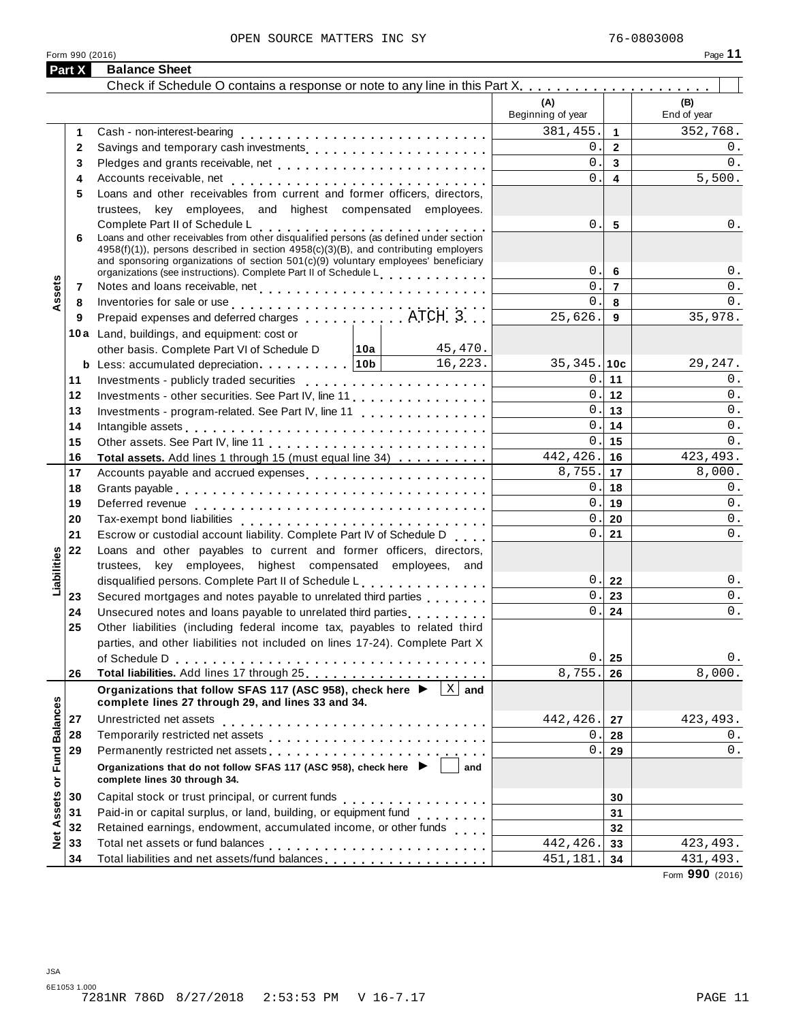#### OPEN SOURCE MATTERS INC SY 76-0803008

|                      | Part X   | <b>Balance Sheet</b>                                                                                                                                                                                                                         |                          |                         |                    |
|----------------------|----------|----------------------------------------------------------------------------------------------------------------------------------------------------------------------------------------------------------------------------------------------|--------------------------|-------------------------|--------------------|
|                      |          |                                                                                                                                                                                                                                              |                          |                         |                    |
|                      |          |                                                                                                                                                                                                                                              | (A)<br>Beginning of year |                         | (B)<br>End of year |
|                      | 1        |                                                                                                                                                                                                                                              | 381,455.                 | $\overline{1}$          | 352,768.           |
|                      | 2        | Savings and temporary cash investments                                                                                                                                                                                                       | 0.                       | $\overline{2}$          | 0.                 |
|                      | 3        |                                                                                                                                                                                                                                              | 0.                       | $\mathbf{3}$            | 0.                 |
|                      | 4        |                                                                                                                                                                                                                                              | 0.                       | $\overline{\mathbf{4}}$ | 5,500.             |
|                      | 5        | Loans and other receivables from current and former officers, directors,                                                                                                                                                                     |                          |                         |                    |
|                      |          | trustees, key employees, and highest compensated employees.                                                                                                                                                                                  |                          |                         |                    |
|                      |          | Complete Part II of Schedule L<br>Loans and other receivables from other disqualified persons (as defined under section                                                                                                                      | 0.                       | $5\phantom{1}$          | 0.                 |
|                      | 6        | 4958(f)(1)), persons described in section 4958(c)(3)(B), and contributing employers<br>and sponsoring organizations of section $501(c)(9)$ voluntary employees' beneficiary                                                                  |                          |                         |                    |
| ssets                |          | organizations (see instructions). Complete Part II of Schedule Letter and Letter Letter Letter and                                                                                                                                           | $0$ .                    | 6                       | $0$ .              |
|                      | 7        |                                                                                                                                                                                                                                              | 0.                       | $\overline{7}$          | 0.                 |
|                      | 8        | Inventories for sale or use enterprise to contact the contact of the same state of the state of the state of the state of the state of the state of the state of the state of the state of the state of the state of the state               | 0.                       | 8                       | 0.                 |
|                      | 9        |                                                                                                                                                                                                                                              | 25,626.                  | 9                       | 35,978.            |
|                      |          | 10a Land, buildings, and equipment: cost or                                                                                                                                                                                                  |                          |                         |                    |
|                      |          | 45,470.<br>other basis. Complete Part VI of Schedule D $ 10a $                                                                                                                                                                               |                          |                         |                    |
|                      |          | 16, 223.                                                                                                                                                                                                                                     | $35,345.$ 10c            |                         | 29, 247.           |
|                      | 11       |                                                                                                                                                                                                                                              |                          | 0.111                   | 0.                 |
|                      | 12       | Investments - other securities. See Part IV, line 11                                                                                                                                                                                         |                          | 0.112                   | 0.                 |
|                      | 13       | Investments - program-related. See Part IV, line 11                                                                                                                                                                                          |                          | 0.113                   | 0.                 |
|                      | 14       | Intangible assets $\ldots \ldots \ldots \ldots \ldots \ldots \ldots \ldots$                                                                                                                                                                  |                          | 0.114                   | 0.                 |
|                      | 15       |                                                                                                                                                                                                                                              |                          | 0.115                   | 0.                 |
|                      | 16       | Total assets. Add lines 1 through 15 (must equal line 34)                                                                                                                                                                                    | $442, 426.$ 16           |                         | 423, 493.          |
|                      | 17       |                                                                                                                                                                                                                                              | $8,755.$ 17              |                         | 8,000.             |
|                      | 18       |                                                                                                                                                                                                                                              |                          | 0.118                   | 0.                 |
|                      | 19       |                                                                                                                                                                                                                                              |                          | 0.19                    | 0.                 |
|                      | 20       |                                                                                                                                                                                                                                              | 0.1                      | 20                      | 0.                 |
|                      | 21       | Escrow or custodial account liability. Complete Part IV of Schedule D                                                                                                                                                                        | 0.1                      | 21                      | 0.                 |
| Liabilities          | 22       | Loans and other payables to current and former officers, directors,                                                                                                                                                                          |                          |                         |                    |
|                      |          | trustees, key employees, highest compensated employees, and                                                                                                                                                                                  |                          |                         |                    |
|                      |          | disqualified persons. Complete Part II of Schedule L.                                                                                                                                                                                        | 0.1                      | 22                      | 0.                 |
|                      | 23       | Secured mortgages and notes payable to unrelated third parties                                                                                                                                                                               | $0$ .                    | 23                      | 0.                 |
|                      | 24       |                                                                                                                                                                                                                                              | 0.                       | 24                      | $0$ .              |
|                      | 25       | Other liabilities (including federal income tax, payables to related third                                                                                                                                                                   |                          |                         |                    |
|                      |          | parties, and other liabilities not included on lines 17-24). Complete Part X                                                                                                                                                                 |                          |                         |                    |
|                      |          |                                                                                                                                                                                                                                              | $0$ .                    | 25                      | 0.                 |
|                      | 26       |                                                                                                                                                                                                                                              | 8,755.                   | 26                      | 8,000.             |
|                      |          | $\mathbf X$<br>Organizations that follow SFAS 117 (ASC 958), check here ▶<br>and<br>complete lines 27 through 29, and lines 33 and 34.                                                                                                       |                          |                         |                    |
|                      |          | Unrestricted net assets                                                                                                                                                                                                                      | 442,426.                 |                         |                    |
|                      | 27<br>28 |                                                                                                                                                                                                                                              | 0.                       | 27                      | 423, 493.          |
| <b>Fund Balances</b> | 29       |                                                                                                                                                                                                                                              |                          | 28                      | 0.<br>0.           |
|                      |          | Permanently restricted net assets<br>included: increases<br>interacts: increases<br>interacts: increases<br>interacts: increases<br>interacts: increases<br>interacts: increases<br>interacts: interacts: interacts: interacts: interacts: i | О.                       | 29                      |                    |
|                      |          | Organizations that do not follow SFAS 117 (ASC 958), check here ▶<br>and<br>complete lines 30 through 34.                                                                                                                                    |                          |                         |                    |
| Net Assets or        | 30       |                                                                                                                                                                                                                                              |                          |                         |                    |
|                      | 31       | Paid-in or capital surplus, or land, building, or equipment fund<br>                                                                                                                                                                         |                          | 30<br>31                |                    |
|                      | 32       | Retained earnings, endowment, accumulated income, or other funds                                                                                                                                                                             |                          | 32                      |                    |
|                      | 33       |                                                                                                                                                                                                                                              | 442,426.                 | 33                      | 423, 493.          |
|                      | 34       | Total liabilities and net assets/fund balances                                                                                                                                                                                               | 451,181                  | 34                      | 431,493.           |
|                      |          |                                                                                                                                                                                                                                              |                          |                         |                    |

Form **990** (2016)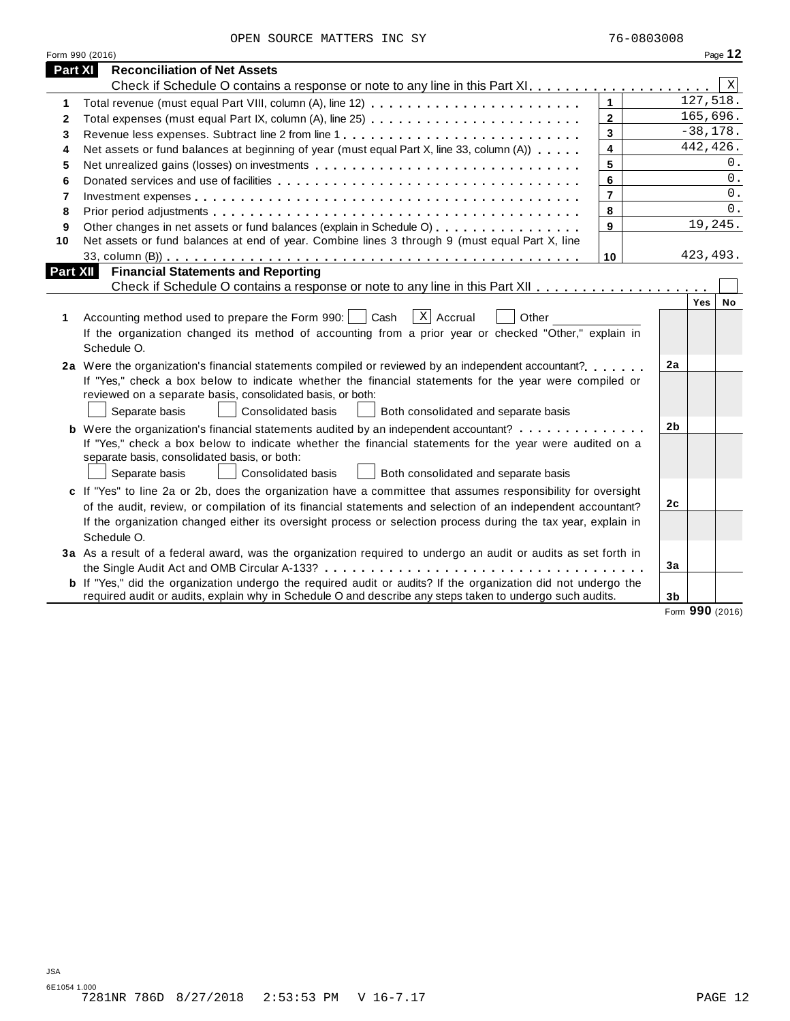| OPEN SOURCE MATTERS INC SY |  |  |  |  |  |
|----------------------------|--|--|--|--|--|
|----------------------------|--|--|--|--|--|

|          | Form 990 (2016)                                                                                                                                                                                                                                                                                                                                                   |                         |                |           | Page 12     |  |  |  |
|----------|-------------------------------------------------------------------------------------------------------------------------------------------------------------------------------------------------------------------------------------------------------------------------------------------------------------------------------------------------------------------|-------------------------|----------------|-----------|-------------|--|--|--|
| Part XI  | <b>Reconciliation of Net Assets</b>                                                                                                                                                                                                                                                                                                                               |                         |                |           |             |  |  |  |
|          |                                                                                                                                                                                                                                                                                                                                                                   |                         |                |           | $\mathbf X$ |  |  |  |
| 1        |                                                                                                                                                                                                                                                                                                                                                                   | $\mathbf{1}$            |                | 127,518.  |             |  |  |  |
| 2        |                                                                                                                                                                                                                                                                                                                                                                   | $\mathbf{2}$            |                | 165,696.  |             |  |  |  |
| 3        | Revenue less expenses. Subtract line 2 from line 1                                                                                                                                                                                                                                                                                                                | $\overline{\mathbf{3}}$ | $-38,178.$     |           |             |  |  |  |
| 4        | Net assets or fund balances at beginning of year (must equal Part X, line 33, column (A))                                                                                                                                                                                                                                                                         | $\overline{\mathbf{4}}$ |                | 442,426.  |             |  |  |  |
| 5        | Net unrealized gains (losses) on investments                                                                                                                                                                                                                                                                                                                      | 5                       |                |           | 0.          |  |  |  |
| 6        |                                                                                                                                                                                                                                                                                                                                                                   | 6                       |                |           | $0$ .       |  |  |  |
| 7        |                                                                                                                                                                                                                                                                                                                                                                   | $\overline{7}$          |                |           | 0.          |  |  |  |
| 8        |                                                                                                                                                                                                                                                                                                                                                                   | 8                       |                |           | 0.          |  |  |  |
| 9        | Other changes in net assets or fund balances (explain in Schedule O)                                                                                                                                                                                                                                                                                              | 9                       |                | 19,245.   |             |  |  |  |
| 10       | Net assets or fund balances at end of year. Combine lines 3 through 9 (must equal Part X, line                                                                                                                                                                                                                                                                    |                         |                |           |             |  |  |  |
|          |                                                                                                                                                                                                                                                                                                                                                                   | 10                      |                | 423, 493. |             |  |  |  |
| Part XII | <b>Financial Statements and Reporting</b>                                                                                                                                                                                                                                                                                                                         |                         |                |           |             |  |  |  |
|          |                                                                                                                                                                                                                                                                                                                                                                   |                         |                |           |             |  |  |  |
| 1        | $\lceil x \rceil$ Accrual<br>Accounting method used to prepare the Form 990:     Cash<br>Other<br>If the organization changed its method of accounting from a prior year or checked "Other," explain in<br>Schedule O.                                                                                                                                            |                         |                | Yes       | <b>No</b>   |  |  |  |
|          | 2a Were the organization's financial statements compiled or reviewed by an independent accountant?<br>If "Yes," check a box below to indicate whether the financial statements for the year were compiled or<br>reviewed on a separate basis, consolidated basis, or both:<br>Separate basis<br><b>Consolidated basis</b><br>Both consolidated and separate basis |                         | 2a             |           |             |  |  |  |
|          | <b>b</b> Were the organization's financial statements audited by an independent accountant?                                                                                                                                                                                                                                                                       |                         | 2b             |           |             |  |  |  |
|          | If "Yes," check a box below to indicate whether the financial statements for the year were audited on a<br>separate basis, consolidated basis, or both:<br>Consolidated basis<br>Separate basis<br>Both consolidated and separate basis<br>$\mathbf{1}$                                                                                                           |                         |                |           |             |  |  |  |
|          | c If "Yes" to line 2a or 2b, does the organization have a committee that assumes responsibility for oversight                                                                                                                                                                                                                                                     |                         | 2c             |           |             |  |  |  |
|          | of the audit, review, or compilation of its financial statements and selection of an independent accountant?                                                                                                                                                                                                                                                      |                         |                |           |             |  |  |  |
|          | If the organization changed either its oversight process or selection process during the tax year, explain in                                                                                                                                                                                                                                                     |                         |                |           |             |  |  |  |
|          | Schedule O.                                                                                                                                                                                                                                                                                                                                                       |                         |                |           |             |  |  |  |
|          | 3a As a result of a federal award, was the organization required to undergo an audit or audits as set forth in                                                                                                                                                                                                                                                    |                         |                |           |             |  |  |  |
|          |                                                                                                                                                                                                                                                                                                                                                                   |                         | 3a             |           |             |  |  |  |
|          | <b>b</b> If "Yes," did the organization undergo the required audit or audits? If the organization did not undergo the<br>required audit or audits, explain why in Schedule O and describe any steps taken to undergo such audits.                                                                                                                                 |                         | 3 <sub>b</sub> |           |             |  |  |  |

Form **990** (2016)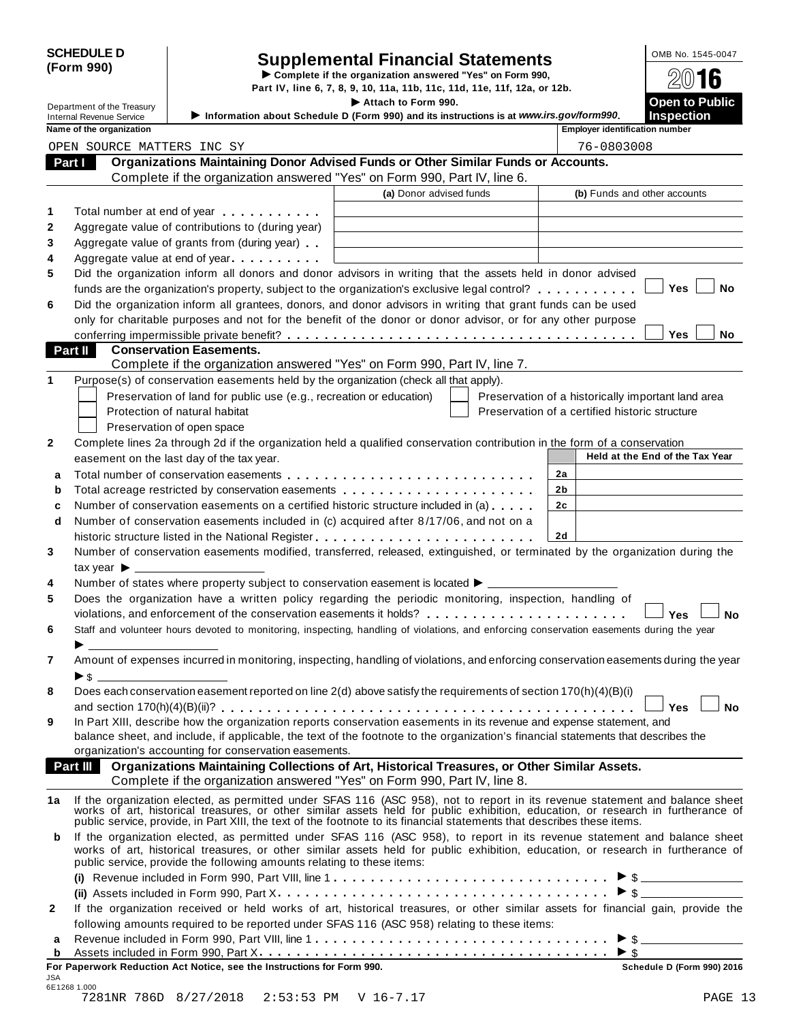| <b>SCHEDULE D</b> |  |
|-------------------|--|
| (Form 990)        |  |

JSA

# Supplemental Financial Statements<br>  $\triangleright$  Complete if the organization answered "Yes" on Form 990,<br>
Part IV, line 6, 7, 8, 9, 10, 11a, 11b, 11c, 11d, 11e, 11f, 12a, or 12b.

Department of the Treasury<br>Department of the Treasury Information about School is a section of the Information about School in Commence of the School and the instructions is at unusuing courier model in the Instruction of Internal Revenue Service I**Information about Schedule <sup>D</sup> (Form 990) and its instructions is at** *www.irs.gov/form990***. Inspection Name of the organization in the set of the organization in the set of the set of the organization in the set of the organization in the set of the organization in the set of the organization in the set of the Organizations Maintaining Donor Advised Funds or Other Similar Funds or Accounts. Part I Property:** Organizations Maintaining Donor Advised Funds or Other Similar Funds<br>Complete if the organization answered "Yes" on Form 990, Part IV, line 6. **(a)** Donor advised funds **(b)** Funds and other accounts **1 2 3 4 5 6** Total number at end of year  $\dots\dots\dots\dots$ Aggregate value of contributions to (during year) Aggregate value of contributions to (during year)<br>Aggregate value of grants from (during year) Aggregate value of grants from (during year)<br>Aggregate value at end of year Did the organization inform all donors and donor advisors in writing that the assets held in donor advised funds are the organization's property, subject to the organization's exclusive legal control? **manual manual m m**  $\blacksquare$  Yes  $\blacksquare$  No Did the organization inform all grantees, donors, and donor advisors in writing that grant funds can be used only for charitable purposes and not for the benefit of the donor or donor advisor, or for any other purpose **conferring impermissible private benefit?** metals are metals and more matured more metals of  $\blacksquare$  The  $\blacksquare$  Noor **Conservation Easements. Part II Conservation Easements.**<br>Complete if the organization answered "Yes" on Form 990, Part IV, line 7. **1** Purpose(s) of conservation easements held by the organization (check all that apply). Preservation of land for public use (e.g., recreation or education) Protection of natural habitat Preservation of open space Preservation of a historically important land area Preservation of a certified historic structure **2** Complete lines 2a through 2d if the organization held a qualified conservation contribution in the form of a conservation easement on the last day of the tax year. **Held at the End** of the Tax Year **2a 2b 2c 2d a** Total number of conservation easements m m m m m m m m m m m m m m m m m m m m m m m m m m m **a** Total number of conservation easements ............................<br>**b** Total acreage restricted by conservation easements ..................... **b** Total acreage restricted by conservation easements<br>**c** Number of conservation easements on a certified historic structure included in (a) . . . . . . **d** Number of conservation easements included in (c) acquired after 8/17/06, and not on a  $\mid$ historic structure listed in the National Register m m m m m m m m m m m m m m m m m m m m m m m m **3 4 5 6 7 8 9** Number of conservation easements modified, transferred, released, extinguished, or terminated by the organization during the tax vear  $\blacktriangleright$ Number of states where property subject to conservation easement is located  $\blacktriangleright$ . Does the organization have a written policy regarding the periodic monitoring, inspection, handling of violations, and enforcement of the conservation easements it holds? musical manager mann m m m m **y** es  $\Box$  No Staff and volunteer hours devoted to monitoring, inspecting, handling of violations, and enforcing conservation easements during the year Amount of expenses incurred in monitoring, inspecting, handling of violations, and enforcing conservation easements during the year  $\blacktriangleright$  \$ Does each conservation easement reported on line 2(d) above satisfy the requirements of section 170(h)(4)(B)(i) and section 170(h)(4)(B)(ii)? m m m m m m m m m m m m m m m m m m m m m m m m m m m m m m m m m m m m m m m m m m m m m **Yes No** In Part XIII, describe how the organization reports conservation easements in its revenue and expense statement, and balance sheet, and include, if applicable, the text of the footnote to the organization's financial statements that describes the organization's accounting for conservation easements. **Organizations Maintaining Collections of Art, Historical Treasures, or Other Similar Assets. Part III Organizations Maintaining Collections of Art, Historical Treasures, or Organization answered "Yes" on Form 990, Part IV, line 8.** 1a If the organization elected, as permitted under SFAS 116 (ASC 958), not to report in its revenue statement and balance sheet<br>works of art, historical treasures, or other similar assets held for public exhibition, educat public service, provide, in Part XIII, the text of the footnote to its financial statements that describes these items. **b** If the organization elected, as permitted under SFAS 116 (ASC 958), to report in its revenue statement and balance sheet works of art, historical treasures, or other similar assets held for public exhibition, education, or research in furtherance of public service, provide the following amounts relating to these items: **(i)** I Revenue included in Form 990, Part VIII, line 1 m m m m m m m m m m m m m m m m m m m m m m m m m m m m m m \$ **(ii)** Assets included in Form 990, Part X m m m m m m m m m m m m m m m m m m m m m m m m m m m m m m m m m m m m I \$ **2** If the organization received or held works of art, historical treasures, or other similar assets for financial gain, provide the following amounts required to be reported under SFAS 116 (ASC 958) relating to these items: following amounts required to be reported under SFAS 116 (ASC 958) relating to these items:<br>**a** Revenue included in Form 990, Part VIII, line 1 **a** a more contained in Form and Deck Y **a** Revenue included in Form 990, Part VIII, line 1  $\ldots$   $\ldots$   $\ldots$   $\ldots$   $\ldots$   $\ldots$   $\ldots$   $\ldots$   $\ldots$   $\ldots$   $\ldots$   $\ldots$   $\ldots$   $\ldots$   $\ldots$   $\ldots$   $\ldots$   $\ldots$   $\ldots$   $\ldots$   $\ldots$   $\ldots$   $\ldots$   $\ldots$   $\ldots$   $\ldots$   $\ldots$   $\ldots$  **For Paperwork Reduction Act Notice, see the Instructions for Form 990. Schedule D (Form 990) 2016** OPEN SOURCE MATTERS INC SY **1988** 2008 12:30 12:30 12:30 12:30 12:30 12:30 12:30 12:30 12:30 12:30 12:30 12:30 12:30 12:30 12:30 12:30 12:30 12:30 12:30 12:30 12:30 12:30 12:30 12:30 12:30 12:30 12:30 12:30 12:30 12:30 12: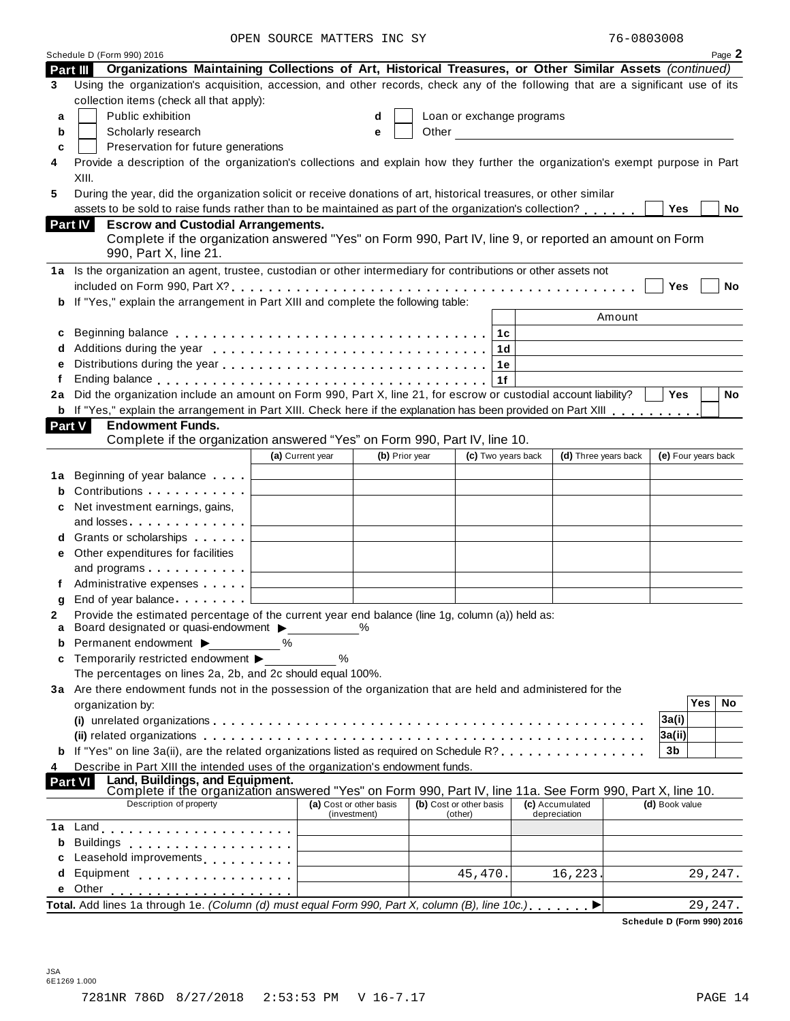OPEN SOURCE MATTERS INC SY

| 76-0803008 |  |
|------------|--|
|            |  |

|          | Schedule D (Form 990) 2016                                                                                                                    |                                                         |              |                |                         |                                                                                                                                                                                                                               |                      |                | Page 2              |
|----------|-----------------------------------------------------------------------------------------------------------------------------------------------|---------------------------------------------------------|--------------|----------------|-------------------------|-------------------------------------------------------------------------------------------------------------------------------------------------------------------------------------------------------------------------------|----------------------|----------------|---------------------|
| Part III | Organizations Maintaining Collections of Art, Historical Treasures, or Other Similar Assets (continued)                                       |                                                         |              |                |                         |                                                                                                                                                                                                                               |                      |                |                     |
| 3        | Using the organization's acquisition, accession, and other records, check any of the following that are a significant use of its              |                                                         |              |                |                         |                                                                                                                                                                                                                               |                      |                |                     |
|          | collection items (check all that apply):                                                                                                      |                                                         |              |                |                         |                                                                                                                                                                                                                               |                      |                |                     |
| a        | Public exhibition                                                                                                                             |                                                         | d            |                |                         | Loan or exchange programs                                                                                                                                                                                                     |                      |                |                     |
| b        | Scholarly research                                                                                                                            |                                                         | e            |                |                         | Other and the contract of the contract of the contract of the contract of the contract of the contract of the contract of the contract of the contract of the contract of the contract of the contract of the contract of the |                      |                |                     |
| c        | Preservation for future generations                                                                                                           |                                                         |              |                |                         |                                                                                                                                                                                                                               |                      |                |                     |
| 4        | Provide a description of the organization's collections and explain how they further the organization's exempt purpose in Part                |                                                         |              |                |                         |                                                                                                                                                                                                                               |                      |                |                     |
|          | XIII.                                                                                                                                         |                                                         |              |                |                         |                                                                                                                                                                                                                               |                      |                |                     |
| 5        | During the year, did the organization solicit or receive donations of art, historical treasures, or other similar                             |                                                         |              |                |                         |                                                                                                                                                                                                                               |                      |                |                     |
|          | assets to be sold to raise funds rather than to be maintained as part of the organization's collection?                                       |                                                         |              |                |                         |                                                                                                                                                                                                                               |                      | Yes            | No                  |
|          | <b>Escrow and Custodial Arrangements.</b><br><b>Part IV</b>                                                                                   |                                                         |              |                |                         |                                                                                                                                                                                                                               |                      |                |                     |
|          | Complete if the organization answered "Yes" on Form 990, Part IV, line 9, or reported an amount on Form                                       |                                                         |              |                |                         |                                                                                                                                                                                                                               |                      |                |                     |
|          | 990, Part X, line 21.                                                                                                                         |                                                         |              |                |                         |                                                                                                                                                                                                                               |                      |                |                     |
|          | 1a Is the organization an agent, trustee, custodian or other intermediary for contributions or other assets not                               |                                                         |              |                |                         |                                                                                                                                                                                                                               |                      |                |                     |
|          |                                                                                                                                               |                                                         |              |                |                         |                                                                                                                                                                                                                               |                      | Yes            | <b>No</b>           |
| b        | If "Yes," explain the arrangement in Part XIII and complete the following table:                                                              |                                                         |              |                |                         |                                                                                                                                                                                                                               |                      |                |                     |
|          |                                                                                                                                               |                                                         |              |                |                         |                                                                                                                                                                                                                               | Amount               |                |                     |
| c        |                                                                                                                                               |                                                         |              |                | 1c                      |                                                                                                                                                                                                                               |                      |                |                     |
| d        |                                                                                                                                               |                                                         |              |                | 1d                      |                                                                                                                                                                                                                               |                      |                |                     |
| e        |                                                                                                                                               |                                                         |              |                | 1e                      |                                                                                                                                                                                                                               |                      |                |                     |
| f        |                                                                                                                                               |                                                         |              |                | 1f                      |                                                                                                                                                                                                                               |                      |                |                     |
| 2a       | Did the organization include an amount on Form 990, Part X, line 21, for escrow or custodial account liability?                               |                                                         |              |                |                         |                                                                                                                                                                                                                               |                      | <b>Yes</b>     | <b>No</b>           |
|          | <b>b</b> If "Yes," explain the arrangement in Part XIII. Check here if the explanation has been provided on Part XIII                         |                                                         |              |                |                         |                                                                                                                                                                                                                               |                      |                |                     |
|          | <b>Endowment Funds.</b><br>Part V                                                                                                             |                                                         |              |                |                         |                                                                                                                                                                                                                               |                      |                |                     |
|          | Complete if the organization answered "Yes" on Form 990, Part IV, line 10.                                                                    |                                                         |              |                |                         |                                                                                                                                                                                                                               |                      |                |                     |
|          |                                                                                                                                               | (a) Current year                                        |              | (b) Prior year | (c) Two years back      |                                                                                                                                                                                                                               | (d) Three years back |                | (e) Four years back |
| 1a       | Beginning of year balance [15]                                                                                                                |                                                         |              |                |                         |                                                                                                                                                                                                                               |                      |                |                     |
| b        | Contributions <b>Contributions</b>                                                                                                            |                                                         |              |                |                         |                                                                                                                                                                                                                               |                      |                |                     |
| с        | Net investment earnings, gains,                                                                                                               |                                                         |              |                |                         |                                                                                                                                                                                                                               |                      |                |                     |
|          | and losses                                                                                                                                    |                                                         |              |                |                         |                                                                                                                                                                                                                               |                      |                |                     |
| d        | Grants or scholarships <b>Contains</b>                                                                                                        |                                                         |              |                |                         |                                                                                                                                                                                                                               |                      |                |                     |
| е        | Other expenditures for facilities                                                                                                             |                                                         |              |                |                         |                                                                                                                                                                                                                               |                      |                |                     |
|          | and programs $\ldots \ldots \ldots$                                                                                                           |                                                         |              |                |                         |                                                                                                                                                                                                                               |                      |                |                     |
|          | Administrative expenses $\qquad \qquad \downarrow$                                                                                            |                                                         |              |                |                         |                                                                                                                                                                                                                               |                      |                |                     |
| g        | End of year balance                                                                                                                           |                                                         |              |                |                         |                                                                                                                                                                                                                               |                      |                |                     |
| 2        | Provide the estimated percentage of the current year end balance (line 1g, column (a)) held as:                                               |                                                         |              |                |                         |                                                                                                                                                                                                                               |                      |                |                     |
| a        | Board designated or quasi-endowment >                                                                                                         |                                                         | $\%$         |                |                         |                                                                                                                                                                                                                               |                      |                |                     |
| b        | Permanent endowment ▶                                                                                                                         | ℅                                                       |              |                |                         |                                                                                                                                                                                                                               |                      |                |                     |
| c        | Temporarily restricted endowment >                                                                                                            | %                                                       |              |                |                         |                                                                                                                                                                                                                               |                      |                |                     |
|          | The percentages on lines 2a, 2b, and 2c should equal 100%.                                                                                    |                                                         |              |                |                         |                                                                                                                                                                                                                               |                      |                |                     |
|          | 3a Are there endowment funds not in the possession of the organization that are held and administered for the                                 |                                                         |              |                |                         |                                                                                                                                                                                                                               |                      |                | <b>Yes</b><br>No.   |
|          | organization by:                                                                                                                              |                                                         |              |                |                         |                                                                                                                                                                                                                               |                      |                |                     |
|          |                                                                                                                                               |                                                         |              |                |                         |                                                                                                                                                                                                                               |                      | 3a(i)          |                     |
|          | If "Yes" on line 3a(ii), are the related organizations listed as required on Schedule R?                                                      |                                                         |              |                |                         |                                                                                                                                                                                                                               |                      | 3a(ii) <br>3b  |                     |
| b        |                                                                                                                                               |                                                         |              |                |                         |                                                                                                                                                                                                                               |                      |                |                     |
| 4        | Describe in Part XIII the intended uses of the organization's endowment funds.<br><b>Part VI</b>                                              |                                                         |              |                |                         |                                                                                                                                                                                                                               |                      |                |                     |
|          | Land, Buildings, and Equipment.<br>Complete if the organization answered "Yes" on Form 990, Part IV, line 11a. See Form 990, Part X, line 10. |                                                         |              |                |                         |                                                                                                                                                                                                                               |                      |                |                     |
|          | Description of property                                                                                                                       | (a) Cost or other basis                                 |              |                | (b) Cost or other basis | (c) Accumulated                                                                                                                                                                                                               |                      | (d) Book value |                     |
| 1a       | <u> 1980 - Johann Barn, mars an t-Amerikaansk kommunister (</u>                                                                               |                                                         | (investment) |                | (other)                 | depreciation                                                                                                                                                                                                                  |                      |                |                     |
| b        |                                                                                                                                               | <u> 1989 - Johann Barn, mars ann an t-Amhair an t-A</u> |              |                |                         |                                                                                                                                                                                                                               |                      |                |                     |
| c        |                                                                                                                                               |                                                         |              |                |                         |                                                                                                                                                                                                                               |                      |                |                     |
| d        | Equipment experience and a series of the series of the series of the series of the series of the series of the                                | <u> 1980 - Johann Barbara, martxa alemani</u> ar a      |              |                | 45,470.                 | 16,223.                                                                                                                                                                                                                       |                      |                | 29, 247.            |
| е        |                                                                                                                                               | the control of the control of the control of            |              |                |                         |                                                                                                                                                                                                                               |                      |                |                     |
|          | Total. Add lines 1a through 1e. (Column (d) must equal Form 990, Part X, column (B), line 10c.)                                               |                                                         |              |                |                         |                                                                                                                                                                                                                               |                      |                | 29, 247.            |
|          |                                                                                                                                               |                                                         |              |                |                         |                                                                                                                                                                                                                               |                      |                |                     |

**Schedule D (Form 990) 2016**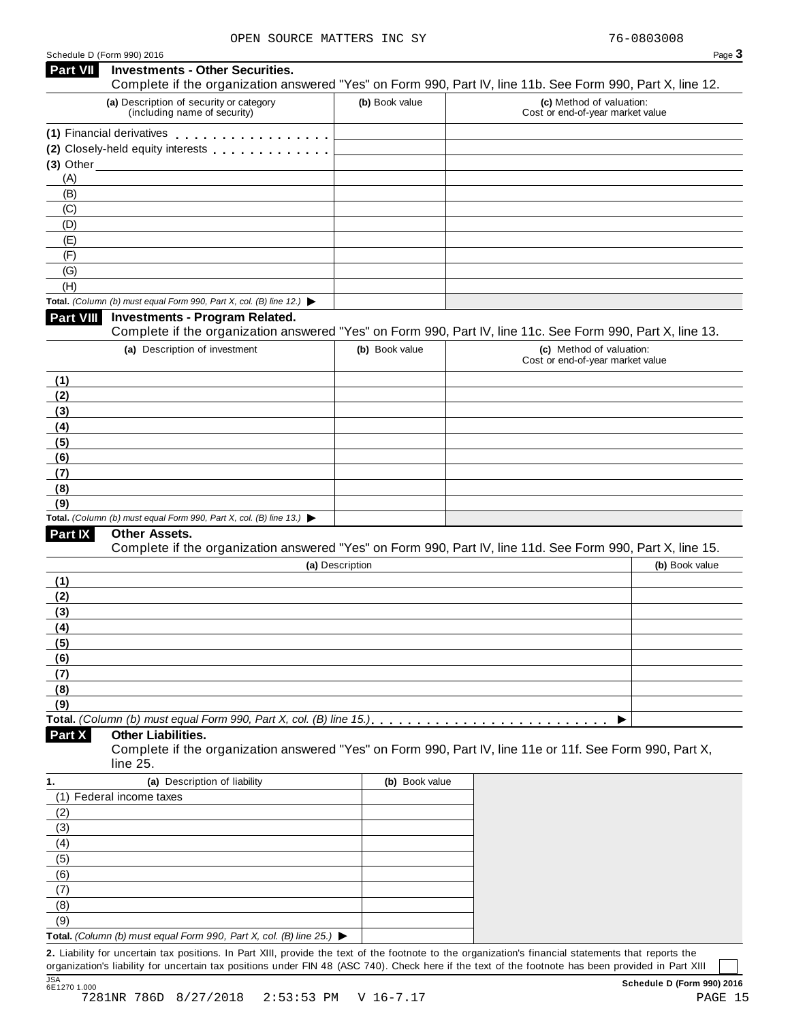Schedule <sup>D</sup> (Form 990) <sup>2016</sup> Page **3 Investments - Other Securities. Part VII** Investments - Other Securities.<br>Complete if the organization answered "Yes" on Form 990, Part IV, line 11b. See Form 990, Part X, line 12. **(a)** Description of security or category (including name of security) **(b)** Book value **(c)** Method of valuation: Cost or end-of-year market value **(1)** Financial derivatives m m m m m m m m m m m m m m m m m **(1)** Financial derivatives **maturity of minimum metallicity** Closely-held equity interests **maturity of momental (3)** Other (A) (B) (C) (D) (E) (F) (G) (H) **Total.** *(Column (b) must equal Form 990, Part X, col. (B) line 12.)* I **Investments - Program Related.** Complete if the organization answered "Yes" on Form 990, Part IV, line 11c. See Form 990, Part X, line 13. **(a)** Description of investment **(b)** Book value **(c)** Method of valuation: Cost or end-of-year market value **(1) (2) (3) (4) (5) (6) (7) (8) (9) Total.** *(Column (b) must equal Form 990, Part X, col. (B) line 13.)* I **Other Assets.** Complete if the organization answered "Yes" on Form 990, Part IV, line 11d. See Form 990, Part X, line 15. **(a)** Description **(b)** Book value **(1) (2) (3) (4) (5) (6) (7) (8) (9) Total.** *(Column (b) must equal Form 990, Part X, col. (B) line 15.)* m m m m m m m m m m m m m m m m m m m m m m m m m m I **Other Liabilities.** Complete if the organization answered "Yes" on Form 990, Part IV, line 11e or 11f. See Form 990, Part X, line 25. **Part X 1. (a)** Description of liability **(b)** Book value (1) Federal income taxes (2) (3) (4) (5) (6) (7) (8) (9) **Total.** *(Column (b) must equal Form 990, Part X, col. (B) line 25.)* I

**2.** Liability for uncertain tax positions. In Part XIII, provide the text of the footnote to the organization's financial statements that reports the organization's liability for uncertain tax positions under FIN 48 (ASC 740). Check here if the text of the footnote has been provided in Part XIII JSA<br>6E1270 1.000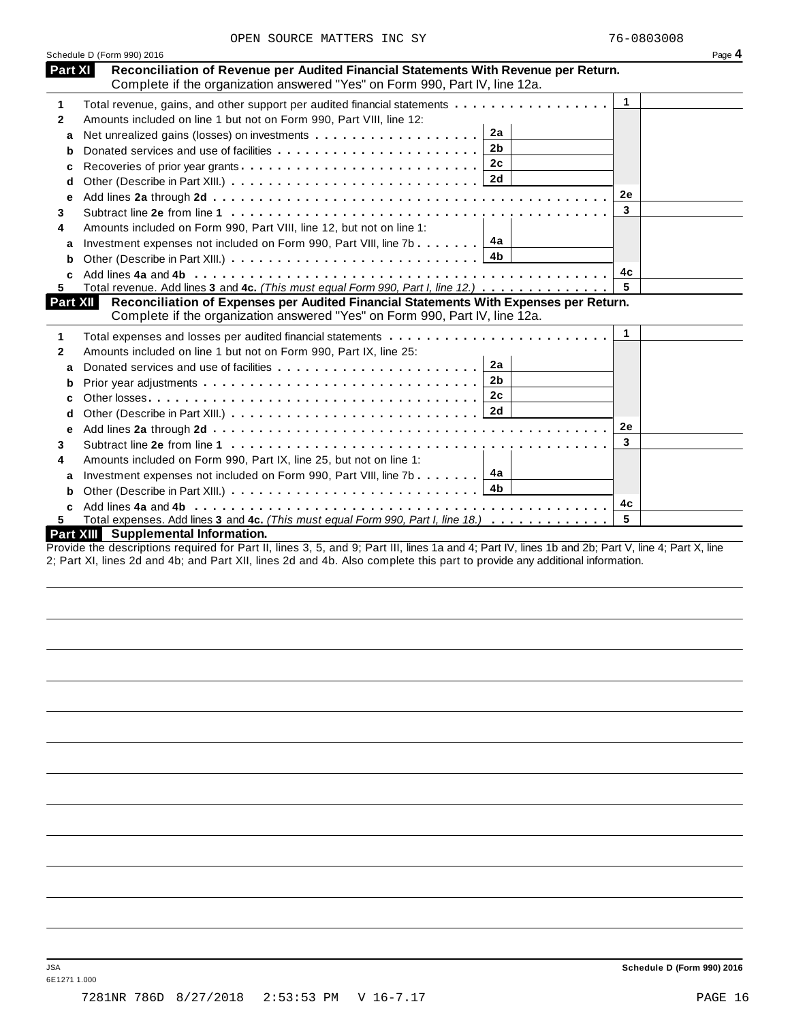|              | Schedule D (Form 990) 2016                                                                                                                                                                |              | Page 4 |
|--------------|-------------------------------------------------------------------------------------------------------------------------------------------------------------------------------------------|--------------|--------|
| Part XI      | Reconciliation of Revenue per Audited Financial Statements With Revenue per Return.<br>Complete if the organization answered "Yes" on Form 990, Part IV, line 12a.                        |              |        |
| 1            | Total revenue, gains, and other support per audited financial statements                                                                                                                  | $\mathbf{1}$ |        |
| $\mathbf{2}$ | Amounts included on line 1 but not on Form 990, Part VIII, line 12:                                                                                                                       |              |        |
| a            | 2a                                                                                                                                                                                        |              |        |
| b            | 2 <sub>b</sub>                                                                                                                                                                            |              |        |
| c            | 2c<br>Recoveries of prior year grants                                                                                                                                                     |              |        |
| d            |                                                                                                                                                                                           |              |        |
| е            |                                                                                                                                                                                           | 2e           |        |
| 3            |                                                                                                                                                                                           | 3            |        |
| 4            | Amounts included on Form 990, Part VIII, line 12, but not on line 1:                                                                                                                      |              |        |
| a            | Investment expenses not included on Form 990, Part VIII, line 7b $\boxed{4a}$                                                                                                             |              |        |
| b            |                                                                                                                                                                                           |              |        |
| c            |                                                                                                                                                                                           | 4c           |        |
| 5.           | Total revenue. Add lines 3 and 4c. (This must equal Form 990, Part I, line 12.)                                                                                                           | 5            |        |
| Part XII     | Reconciliation of Expenses per Audited Financial Statements With Expenses per Return.<br>Complete if the organization answered "Yes" on Form 990, Part IV, line 12a.                      |              |        |
|              |                                                                                                                                                                                           | 1            |        |
| 1            | Total expenses and losses per audited financial statements                                                                                                                                |              |        |
| 2            | Amounts included on line 1 but not on Form 990, Part IX, line 25:<br>2a                                                                                                                   |              |        |
| a            | 2 <sub>b</sub>                                                                                                                                                                            |              |        |
| b            | 2c                                                                                                                                                                                        |              |        |
| c            |                                                                                                                                                                                           |              |        |
| d            |                                                                                                                                                                                           |              |        |
| e            |                                                                                                                                                                                           | <b>2e</b>    |        |
| 3            |                                                                                                                                                                                           | 3            |        |
| 4            | Amounts included on Form 990, Part IX, line 25, but not on line 1:                                                                                                                        |              |        |
| a            | 4a<br>Investment expenses not included on Form 990, Part VIII, line 7b                                                                                                                    |              |        |
| b            | 4b                                                                                                                                                                                        |              |        |
|              |                                                                                                                                                                                           | 4с           |        |
| 5.           | Total expenses. Add lines 3 and 4c. (This must equal Form 990, Part I, line 18.)                                                                                                          | 5            |        |
|              |                                                                                                                                                                                           |              |        |
|              | Part XIII Supplemental Information.<br>Provide the descriptions required for Part II, lines 3, 5, and Q: Part III, lines 1a and 4: Part IV, lines 1b and 2b: Part V, line 4: Part Y, line |              |        |

Provide the descriptions required for Part II, lines 3, 5, and 9; Part III, lines 1a and 4; Part IV, lines 1b and 2b; Part V, line 4; Part X, line 2; Part XI, lines 2d and 4b; and Part XII, lines 2d and 4b. Also complete this part to provide any additional information.

6E1271 1.000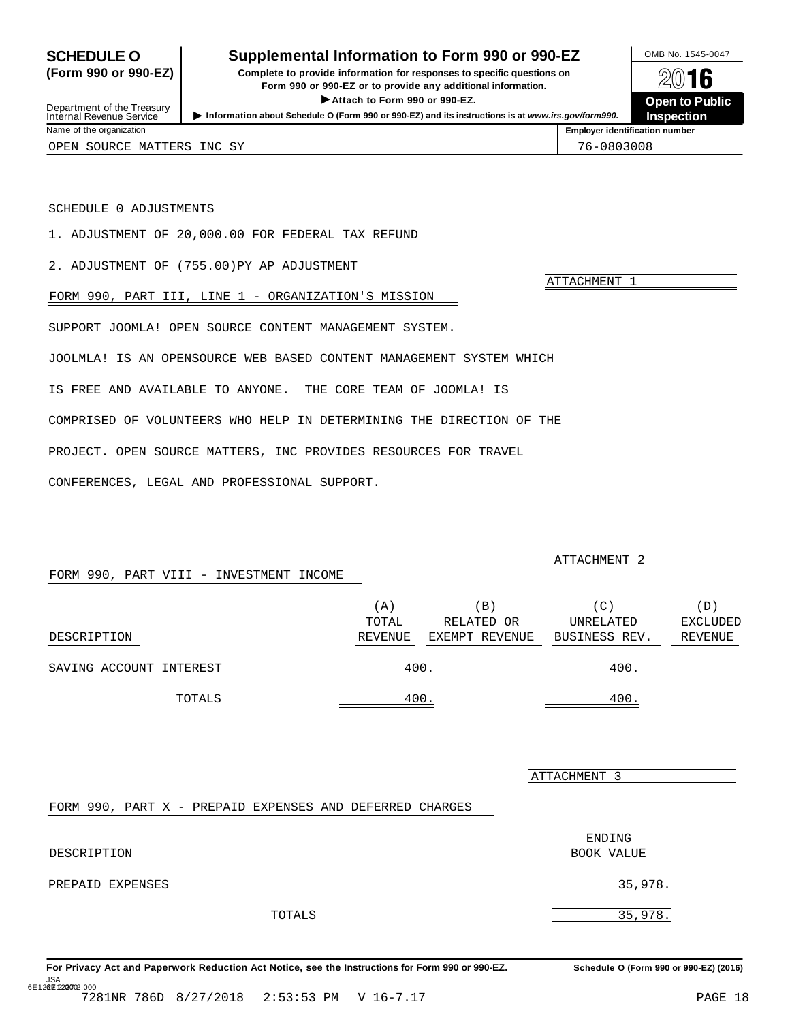### <span id="page-17-0"></span>**SCHEDULE O** Supplemental Information to Form 990 or 990-EZ DMB No. 1545-0047

**(Form 990 or 990-EZ) Complete to provide information for responses to specific questions on** Provide information for responses to specific questions on<br>
Form 990 or 990-EZ or to provide any additional information.<br>
▶ Attach to Form 990 or 990-EZ. **Open to Public**  $\blacktriangleright$  Attach to Form 990 or 990-EZ.

Infernal Revenue Service<br>Information about Schedule O (Form 990 or 990-EZ) and its instructions is at www.irs.gov/form990.<br>Name of the organization



Department of the Treasury<br>Internal Revenue Service

OPEN SOURCE MATTERS INC SY **1988** 2008 12:30 12:30 12:30 12:30 12:30 12:30 12:30 12:30 12:30 12:30 12:30 12:30 12:30 12:30 12:30 12:30 12:30 12:30 12:30 12:30 12:30 12:30 12:30 12:30 12:30 12:30 12:30 12:30 12:30 12:30 12:

ATTACHMENT 1

ATTACHMENT 2

#### SCHEDULE 0 ADJUSTMENTS

1. ADJUSTMENT OF 20,000.00 FOR FEDERAL TAX REFUND

2. ADJUSTMENT OF (755.00)PY AP ADJUSTMENT

FORM 990, PART III, LINE 1 - ORGANIZATION'S MISSION

SUPPORT JOOMLA! OPEN SOURCE CONTENT MANAGEMENT SYSTEM.

JOOLMLA! IS AN OPENSOURCE WEB BASED CONTENT MANAGEMENT SYSTEM WHICH

IS FREE AND AVAILABLE TO ANYONE. THE CORE TEAM OF JOOMLA! IS

COMPRISED OF VOLUNTEERS WHO HELP IN DETERMINING THE DIRECTION OF THE

PROJECT. OPEN SOURCE MATTERS, INC PROVIDES RESOURCES FOR TRAVEL

CONFERENCES, LEGAL AND PROFESSIONAL SUPPORT.

#### FORM 990, PART VIII - INVESTMENT INCOME

|                         | $\left( \right.$ A | $\Box$         | (C)           | D)              |
|-------------------------|--------------------|----------------|---------------|-----------------|
|                         | TOTAL              | RELATED OR     | UNRELATED     | <b>EXCLUDED</b> |
| DESCRIPTION             | REVENUE            | EXEMPT REVENUE | BUSINESS REV. | REVENUE         |
| SAVING ACCOUNT INTEREST | 400.               |                | 400.          |                 |
| TOTALS                  | 400                |                | 400           |                 |

ATTACHMENT 3

#### FORM 990, PART X - PREPAID EXPENSES AND DEFERRED CHARGES

| DESCRIPTION      |        | ENDING<br>BOOK VALUE |
|------------------|--------|----------------------|
| PREPAID EXPENSES |        | 35,978.              |
|                  | TOTALS | 35,978.              |

For Privacy Act and Paperwork Reduction Act Notice, see the Instructions for Form 990 or 990-EZ. Schedule O (Form 990 or 990-EZ) (2016) JSA<br>6E12**02E**122**207**02.000 7281NR 786D 8/27/2018 2:53:53 PM V 16-7.17 PAGE 18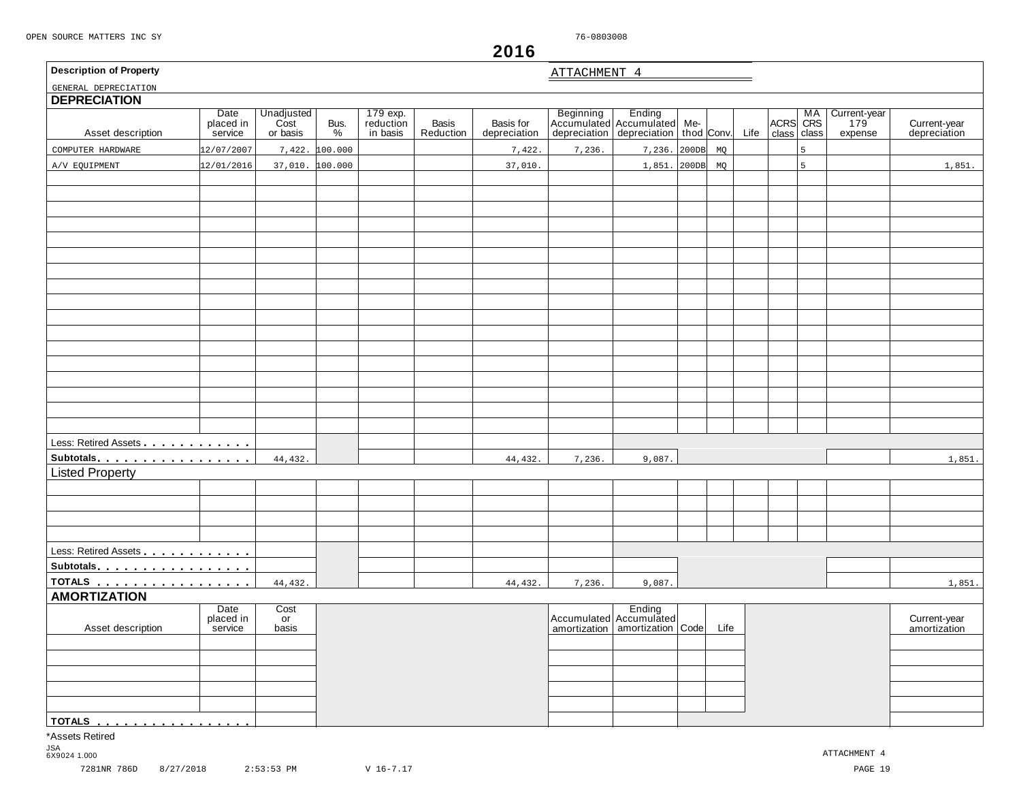ATTACHMENT 4

## **2016**

| <b>Description of Property</b> |  |
|--------------------------------|--|
|--------------------------------|--|

<span id="page-18-0"></span>

| <b>DEPRECIATION</b><br>Asset description | Date<br>placed in<br>service | Unadjusted<br>Cost<br>or basis | Bus.<br>% | 179 exp.<br>reduction<br>in basis | <b>Basis</b><br>Reduction | Basis for<br>depreciation |        | Beginning Ending<br>Accumulated Accumulated Me-<br>depreciation depreciation | thod Conv. |      | Life | ACRS CRS<br>class | class | Current-year<br>179<br>expense | Current-year<br>depreciation |
|------------------------------------------|------------------------------|--------------------------------|-----------|-----------------------------------|---------------------------|---------------------------|--------|------------------------------------------------------------------------------|------------|------|------|-------------------|-------|--------------------------------|------------------------------|
| COMPUTER HARDWARE                        | 12/07/2007                   | 7,422.                         | 100.000   |                                   |                           | 7,422                     | 7,236. | 7,236.                                                                       | 200DB      | MQ   |      |                   | 5     |                                |                              |
| A/V EQUIPMENT                            | 12/01/2016                   | 37,010. 100.000                |           |                                   |                           | 37,010.                   |        | 1,851.                                                                       | 200DB      | MQ   |      |                   | 5     |                                | 1,851.                       |
|                                          |                              |                                |           |                                   |                           |                           |        |                                                                              |            |      |      |                   |       |                                |                              |
|                                          |                              |                                |           |                                   |                           |                           |        |                                                                              |            |      |      |                   |       |                                |                              |
|                                          |                              |                                |           |                                   |                           |                           |        |                                                                              |            |      |      |                   |       |                                |                              |
|                                          |                              |                                |           |                                   |                           |                           |        |                                                                              |            |      |      |                   |       |                                |                              |
|                                          |                              |                                |           |                                   |                           |                           |        |                                                                              |            |      |      |                   |       |                                |                              |
|                                          |                              |                                |           |                                   |                           |                           |        |                                                                              |            |      |      |                   |       |                                |                              |
|                                          |                              |                                |           |                                   |                           |                           |        |                                                                              |            |      |      |                   |       |                                |                              |
|                                          |                              |                                |           |                                   |                           |                           |        |                                                                              |            |      |      |                   |       |                                |                              |
|                                          |                              |                                |           |                                   |                           |                           |        |                                                                              |            |      |      |                   |       |                                |                              |
|                                          |                              |                                |           |                                   |                           |                           |        |                                                                              |            |      |      |                   |       |                                |                              |
|                                          |                              |                                |           |                                   |                           |                           |        |                                                                              |            |      |      |                   |       |                                |                              |
|                                          |                              |                                |           |                                   |                           |                           |        |                                                                              |            |      |      |                   |       |                                |                              |
|                                          |                              |                                |           |                                   |                           |                           |        |                                                                              |            |      |      |                   |       |                                |                              |
|                                          |                              |                                |           |                                   |                           |                           |        |                                                                              |            |      |      |                   |       |                                |                              |
|                                          |                              |                                |           |                                   |                           |                           |        |                                                                              |            |      |      |                   |       |                                |                              |
|                                          |                              |                                |           |                                   |                           |                           |        |                                                                              |            |      |      |                   |       |                                |                              |
|                                          |                              |                                |           |                                   |                           |                           |        |                                                                              |            |      |      |                   |       |                                |                              |
| Less: Retired Assets                     |                              |                                |           |                                   |                           |                           |        |                                                                              |            |      |      |                   |       |                                |                              |
| Subtotals                                |                              | 44,432.                        |           |                                   |                           | 44,432.                   | 7,236. | 9,087.                                                                       |            |      |      |                   |       |                                | 1,851.                       |
| <b>Listed Property</b>                   |                              |                                |           |                                   |                           |                           |        |                                                                              |            |      |      |                   |       |                                |                              |
|                                          |                              |                                |           |                                   |                           |                           |        |                                                                              |            |      |      |                   |       |                                |                              |
|                                          |                              |                                |           |                                   |                           |                           |        |                                                                              |            |      |      |                   |       |                                |                              |
|                                          |                              |                                |           |                                   |                           |                           |        |                                                                              |            |      |      |                   |       |                                |                              |
|                                          |                              |                                |           |                                   |                           |                           |        |                                                                              |            |      |      |                   |       |                                |                              |
| Less: Retired Assets                     |                              |                                |           |                                   |                           |                           |        |                                                                              |            |      |      |                   |       |                                |                              |
| Subtotals                                |                              |                                |           |                                   |                           |                           |        |                                                                              |            |      |      |                   |       |                                |                              |
| <u>TOTALS</u>                            |                              | 44,432.                        |           |                                   |                           | 44,432.                   | 7,236. | 9,087.                                                                       |            |      |      |                   |       |                                | 1,851.                       |
| <b>AMORTIZATION</b>                      |                              |                                |           |                                   |                           |                           |        |                                                                              |            |      |      |                   |       |                                |                              |
|                                          | Date<br>placed in            | Cost<br>or                     |           |                                   |                           |                           |        | Ending<br>Accumulated Accumulated                                            |            |      |      |                   |       |                                | Current-year                 |
| Asset description                        | service                      | basis                          |           |                                   |                           |                           |        | amortization   amortization   Code                                           |            | Life |      |                   |       |                                | amortization                 |
|                                          |                              |                                |           |                                   |                           |                           |        |                                                                              |            |      |      |                   |       |                                |                              |
|                                          |                              |                                |           |                                   |                           |                           |        |                                                                              |            |      |      |                   |       |                                |                              |
|                                          |                              |                                |           |                                   |                           |                           |        |                                                                              |            |      |      |                   |       |                                |                              |
|                                          |                              |                                |           |                                   |                           |                           |        |                                                                              |            |      |      |                   |       |                                |                              |
|                                          |                              |                                |           |                                   |                           |                           |        |                                                                              |            |      |      |                   |       |                                |                              |
| TOTALS.<br>.                             |                              |                                |           |                                   |                           |                           |        |                                                                              |            |      |      |                   |       |                                |                              |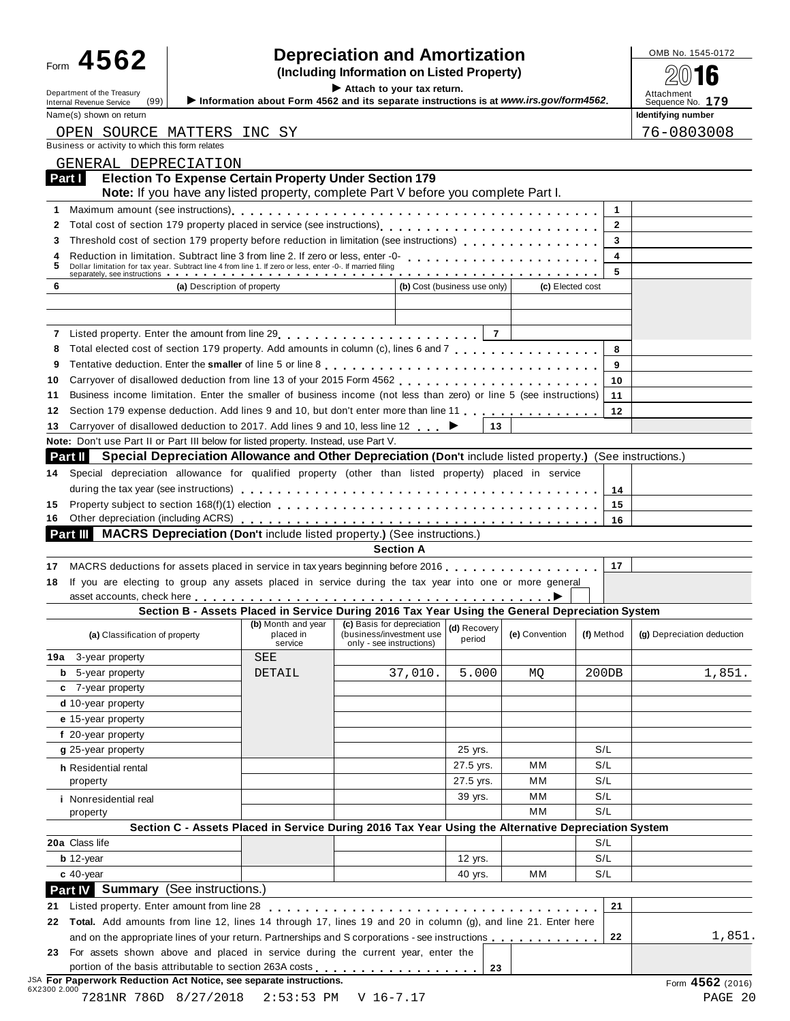## Form  $\bf 4562$  **combing information** and **Amortization combined to the SQS of**  $\bf 4562$  **(Including Information on Listed Property)**

Department of the Treasury<br>Internal Revenue Service (99) **b** Information about Form 4562 and its separate instructions is at www.irs.gov/form4562. Attachment<br>Name (a) above as the sequence No. 179

Form **TVVZ**<br> **Example 1998**<br>
Information about Form 4562 and its separate instructions is at www.irs gov/form4562<br>
Attachment of the Treasury (00)<br>
Information about Form 4562 and its separate instructions is at www.irs g Name(s) shown on return **Identifying number Identifying number Identifying number** 76-0803008

|  | OPEN SOURCE MATTERS INC SY                      |  |
|--|-------------------------------------------------|--|
|  | Business or activity to which this form relates |  |

|    | GENERAL DEPRECIATION                                                                                                                                                                                                           |                                 |                                                                                                     |                              |                  |              |                                      |
|----|--------------------------------------------------------------------------------------------------------------------------------------------------------------------------------------------------------------------------------|---------------------------------|-----------------------------------------------------------------------------------------------------|------------------------------|------------------|--------------|--------------------------------------|
|    | <b>Election To Expense Certain Property Under Section 179</b><br>Part I<br>Note: If you have any listed property, complete Part V before you complete Part I.                                                                  |                                 |                                                                                                     |                              |                  |              |                                      |
| 1  |                                                                                                                                                                                                                                |                                 |                                                                                                     |                              |                  | 1            |                                      |
| 2  | Total cost of section 179 property placed in service (see instructions)                                                                                                                                                        |                                 |                                                                                                     |                              |                  | $\mathbf{2}$ |                                      |
| З  | Threshold cost of section 179 property before reduction in limitation (see instructions)                                                                                                                                       |                                 |                                                                                                     |                              |                  | 3            |                                      |
|    | Reduction in limitation. Subtract line 3 from line 2. If zero or less, enter -0-                                                                                                                                               |                                 |                                                                                                     |                              |                  | 4            |                                      |
|    | Dollar limitation for tax year. Subtract line 4 from line 1. If zero or less, enter -0-. If married filing<br>separately, see instructions                                                                                     |                                 |                                                                                                     |                              |                  | 5            |                                      |
| 6  | (a) Description of property                                                                                                                                                                                                    |                                 |                                                                                                     | (b) Cost (business use only) | (c) Elected cost |              |                                      |
|    |                                                                                                                                                                                                                                |                                 |                                                                                                     |                              |                  |              |                                      |
|    |                                                                                                                                                                                                                                |                                 |                                                                                                     |                              |                  |              |                                      |
|    |                                                                                                                                                                                                                                |                                 |                                                                                                     |                              |                  |              |                                      |
| 8  | Total elected cost of section 179 property. Add amounts in column (c), lines 6 and 7                                                                                                                                           |                                 |                                                                                                     |                              |                  | 8            |                                      |
| 9  |                                                                                                                                                                                                                                |                                 |                                                                                                     |                              |                  | 9            |                                      |
| 10 |                                                                                                                                                                                                                                |                                 |                                                                                                     |                              |                  | 10           |                                      |
| 11 | Business income limitation. Enter the smaller of business income (not less than zero) or line 5 (see instructions)                                                                                                             |                                 |                                                                                                     |                              |                  | 11           |                                      |
| 12 | Section 179 expense deduction. Add lines 9 and 10, but don't enter more than line 11                                                                                                                                           |                                 |                                                                                                     |                              |                  | 12           |                                      |
| 13 | Carryover of disallowed deduction to 2017. Add lines 9 and 10, less line 12<br>Note: Don't use Part II or Part III below for listed property. Instead, use Part V.                                                             |                                 |                                                                                                     | 13                           |                  |              |                                      |
|    | <b>Special Depreciation Allowance and Other Depreciation (Don't include listed property.) (See instructions.)</b><br>Part II                                                                                                   |                                 |                                                                                                     |                              |                  |              |                                      |
|    | Special depreciation allowance for qualified property (other than listed property) placed in service                                                                                                                           |                                 |                                                                                                     |                              |                  |              |                                      |
| 14 |                                                                                                                                                                                                                                |                                 |                                                                                                     |                              |                  |              |                                      |
|    | Property subject to section 168(f)(1) election enterpretation of the section of the section of the section of the section of the section of the section of the section of the section of the section of the section of the sec |                                 |                                                                                                     |                              |                  | 14           |                                      |
| 15 |                                                                                                                                                                                                                                |                                 |                                                                                                     |                              |                  | 15<br>16     |                                      |
|    | <b>MACRS Depreciation (Don't include listed property.) (See instructions.)</b><br>Part III I                                                                                                                                   |                                 |                                                                                                     |                              |                  |              |                                      |
|    |                                                                                                                                                                                                                                |                                 |                                                                                                     |                              |                  |              |                                      |
|    |                                                                                                                                                                                                                                |                                 |                                                                                                     |                              |                  |              |                                      |
| 17 |                                                                                                                                                                                                                                |                                 | <b>Section A</b>                                                                                    |                              |                  | 17           |                                      |
| 18 | MACRS deductions for assets placed in service in tax years beginning before 2016.<br>If you are electing to group any assets placed in service during the tax year into one or more general                                    |                                 |                                                                                                     |                              |                  |              |                                      |
|    | asset accounts, check here <u>contact of the contract of the contract of the contract of</u>                                                                                                                                   |                                 | Section B - Assets Placed in Service During 2016 Tax Year Using the General Depreciation System     |                              |                  |              |                                      |
|    | (a) Classification of property                                                                                                                                                                                                 | (b) Month and year<br>placed in | (c) Basis for depreciation<br>(business/investment use                                              | (d) Recovery<br>period       | (e) Convention   | (f) Method   |                                      |
|    | <b>19a</b> 3-year property                                                                                                                                                                                                     | service<br>SEE                  | only - see instructions)                                                                            |                              |                  |              |                                      |
|    | <b>b</b> 5-year property                                                                                                                                                                                                       | DETAIL                          |                                                                                                     | 5.000                        |                  | 200DB        |                                      |
|    | c 7-year property                                                                                                                                                                                                              |                                 | 37,010.                                                                                             |                              | MQ               |              |                                      |
|    | $d$ 10-year property                                                                                                                                                                                                           |                                 |                                                                                                     |                              |                  |              |                                      |
|    | e 15-year property                                                                                                                                                                                                             |                                 |                                                                                                     |                              |                  |              |                                      |
|    | f 20-year property                                                                                                                                                                                                             |                                 |                                                                                                     |                              |                  |              | (g) Depreciation deduction<br>1,851. |
|    | g 25-year property                                                                                                                                                                                                             |                                 |                                                                                                     | 25 yrs.                      |                  | S/L          |                                      |
|    |                                                                                                                                                                                                                                |                                 |                                                                                                     | 27.5 yrs.                    | MМ               | S/L          |                                      |
|    | h Residential rental<br>property                                                                                                                                                                                               |                                 |                                                                                                     | 27.5 yrs.                    | мм               | S/L          |                                      |
|    | <i>i</i> Nonresidential real                                                                                                                                                                                                   |                                 |                                                                                                     | 39 yrs.                      | мм               | S/L          |                                      |
|    | property                                                                                                                                                                                                                       |                                 |                                                                                                     |                              | MM               | S/L          |                                      |
|    |                                                                                                                                                                                                                                |                                 | Section C - Assets Placed in Service During 2016 Tax Year Using the Alternative Depreciation System |                              |                  |              |                                      |
|    | 20a Class life                                                                                                                                                                                                                 |                                 |                                                                                                     |                              |                  | S/L          |                                      |
|    | $b$ 12-year                                                                                                                                                                                                                    |                                 |                                                                                                     | 12 yrs.                      |                  | S/L          |                                      |
|    | $c$ 40-year                                                                                                                                                                                                                    |                                 |                                                                                                     | 40 yrs.                      | мм               | S/L          |                                      |
|    | Part IV Summary (See instructions.)                                                                                                                                                                                            |                                 |                                                                                                     |                              |                  |              |                                      |
|    | Listed property. Enter amount from line 28 [1] [1] Listed property. Enter a mount from line 28 [1] Listed List                                                                                                                 |                                 |                                                                                                     |                              |                  | 21           |                                      |
| 21 | 22 Total. Add amounts from line 12, lines 14 through 17, lines 19 and 20 in column (g), and line 21. Enter here                                                                                                                |                                 |                                                                                                     |                              |                  |              |                                      |
|    | and on the appropriate lines of your return. Partnerships and S corporations - see instructions                                                                                                                                |                                 |                                                                                                     |                              |                  | 22           | 1,851.                               |
|    | 23 For assets shown above and placed in service during the current year, enter the                                                                                                                                             |                                 |                                                                                                     |                              |                  |              |                                      |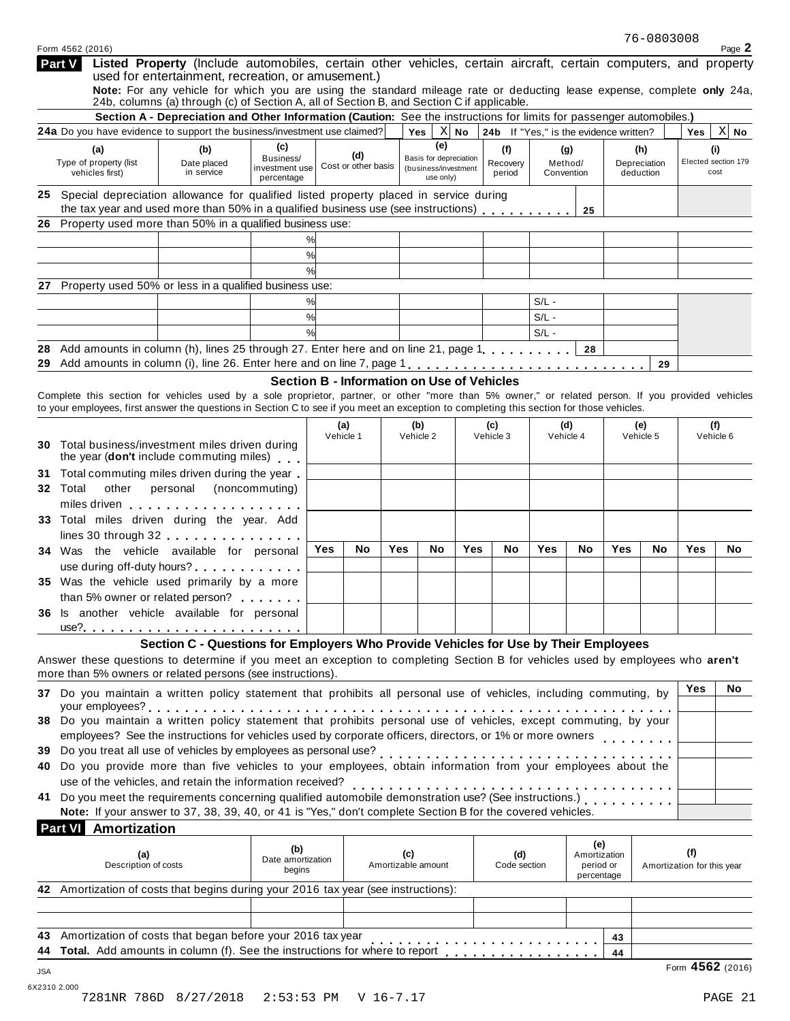|                | Form 4562 (2016)                                 |                                                                                                                                                                                                                                                                                                |                                           |               |                                            |     |                                                             |        |                                        |         |                                  |     |                                  |                                   | Page 2      |
|----------------|--------------------------------------------------|------------------------------------------------------------------------------------------------------------------------------------------------------------------------------------------------------------------------------------------------------------------------------------------------|-------------------------------------------|---------------|--------------------------------------------|-----|-------------------------------------------------------------|--------|----------------------------------------|---------|----------------------------------|-----|----------------------------------|-----------------------------------|-------------|
| Part V         |                                                  | Listed Property (Include automobiles, certain other vehicles, certain aircraft, certain computers, and property<br>used for entertainment, recreation, or amusement.)                                                                                                                          |                                           |               |                                            |     |                                                             |        |                                        |         |                                  |     |                                  |                                   |             |
|                |                                                  | Note: For any vehicle for which you are using the standard mileage rate or deducting lease expense, complete only 24a,<br>24b, columns (a) through (c) of Section A, all of Section B, and Section C if applicable.                                                                            |                                           |               |                                            |     |                                                             |        |                                        |         |                                  |     |                                  |                                   |             |
|                |                                                  | Section A - Depreciation and Other Information (Caution: See the instructions for limits for passenger automobiles.)<br>24a Do you have evidence to support the business/investment use claimed?                                                                                               |                                           |               |                                            |     | $Yes \mid$                                                  | $X$ No | 24b If "Yes," is the evidence written? |         |                                  |     |                                  |                                   | $X$ No      |
|                |                                                  |                                                                                                                                                                                                                                                                                                | (c)                                       |               |                                            |     | (e)                                                         |        |                                        |         |                                  |     |                                  | Yes                               |             |
|                | (a)<br>Type of property (list<br>vehicles first) | (b)<br>Date placed<br>in service                                                                                                                                                                                                                                                               | Business/<br>investment use<br>percentage |               | (d)<br>Cost or other basis                 |     | Basis for depreciation<br>(business/investment<br>use only) |        | (f)<br>Recovery<br>period              |         | (g)<br>Method/<br>Convention     |     | (h)<br>Depreciation<br>deduction | Elected section 179               | (i)<br>cost |
|                |                                                  | 25 Special depreciation allowance for qualified listed property placed in service during<br>the tax year and used more than 50% in a qualified business use (see instructions)                                                                                                                 |                                           |               |                                            |     |                                                             |        |                                        |         |                                  |     |                                  |                                   |             |
|                |                                                  | 26 Property used more than 50% in a qualified business use:                                                                                                                                                                                                                                    |                                           |               |                                            |     |                                                             |        |                                        |         | 25                               |     |                                  |                                   |             |
|                |                                                  |                                                                                                                                                                                                                                                                                                |                                           | %             |                                            |     |                                                             |        |                                        |         |                                  |     |                                  |                                   |             |
|                |                                                  |                                                                                                                                                                                                                                                                                                |                                           | %             |                                            |     |                                                             |        |                                        |         |                                  |     |                                  |                                   |             |
|                |                                                  |                                                                                                                                                                                                                                                                                                |                                           | $\frac{9}{6}$ |                                            |     |                                                             |        |                                        |         |                                  |     |                                  |                                   |             |
| 27             |                                                  | Property used 50% or less in a qualified business use:                                                                                                                                                                                                                                         |                                           |               |                                            |     |                                                             |        |                                        |         |                                  |     |                                  |                                   |             |
|                |                                                  |                                                                                                                                                                                                                                                                                                |                                           | %             |                                            |     |                                                             |        |                                        | $S/L -$ |                                  |     |                                  |                                   |             |
|                |                                                  |                                                                                                                                                                                                                                                                                                |                                           | %             |                                            |     |                                                             |        |                                        | $S/L -$ |                                  |     |                                  |                                   |             |
|                |                                                  |                                                                                                                                                                                                                                                                                                |                                           | $\frac{1}{2}$ |                                            |     |                                                             |        |                                        | $S/L -$ |                                  |     |                                  |                                   |             |
| 28             |                                                  | Add amounts in column (h), lines 25 through 27. Enter here and on line 21, page 1, , , , , , , , , ,                                                                                                                                                                                           |                                           |               |                                            |     |                                                             |        |                                        |         | 28                               |     |                                  |                                   |             |
|                |                                                  | 29 Add amounts in column (i), line 26. Enter here and on line 7, page 1                                                                                                                                                                                                                        |                                           |               |                                            |     |                                                             |        |                                        |         |                                  |     | 29                               |                                   |             |
|                |                                                  |                                                                                                                                                                                                                                                                                                |                                           |               | Section B - Information on Use of Vehicles |     |                                                             |        |                                        |         |                                  |     |                                  |                                   |             |
|                |                                                  | Complete this section for vehicles used by a sole proprietor, partner, or other "more than 5% owner," or related person. If you provided vehicles<br>to your employees, first answer the questions in Section C to see if you meet an exception to completing this section for those vehicles. |                                           |               |                                            |     |                                                             |        |                                        |         |                                  |     |                                  |                                   |             |
|                |                                                  |                                                                                                                                                                                                                                                                                                |                                           |               | (a)                                        |     | (b)                                                         |        | (c)                                    |         | (d)                              |     | (e)                              |                                   | (f)         |
|                |                                                  |                                                                                                                                                                                                                                                                                                |                                           |               | Vehicle 1                                  |     | Vehicle 2                                                   |        | Vehicle 3                              |         | Vehicle 4                        |     | Vehicle 5                        |                                   | Vehicle 6   |
|                |                                                  | <b>30</b> Total business/investment miles driven during<br>the year (don't include commuting miles)                                                                                                                                                                                            |                                           |               |                                            |     |                                                             |        |                                        |         |                                  |     |                                  |                                   |             |
| 31             |                                                  | Total commuting miles driven during the year.                                                                                                                                                                                                                                                  |                                           |               |                                            |     |                                                             |        |                                        |         |                                  |     |                                  |                                   |             |
| Total<br>32    | other                                            | personal (noncommuting)                                                                                                                                                                                                                                                                        |                                           |               |                                            |     |                                                             |        |                                        |         |                                  |     |                                  |                                   |             |
|                |                                                  |                                                                                                                                                                                                                                                                                                |                                           |               |                                            |     |                                                             |        |                                        |         |                                  |     |                                  |                                   |             |
|                |                                                  | 33 Total miles driven during the year. Add                                                                                                                                                                                                                                                     |                                           |               |                                            |     |                                                             |        |                                        |         |                                  |     |                                  |                                   |             |
|                |                                                  | lines 30 through 32 experience the set of the set of the set of the set of the set of the set of the set of the                                                                                                                                                                                |                                           |               |                                            |     |                                                             |        |                                        |         |                                  |     |                                  |                                   |             |
|                |                                                  | 34 Was the vehicle available for personal                                                                                                                                                                                                                                                      |                                           | Yes           | No.                                        | Yes | No.                                                         | Yes    | No                                     | Yes     | No.                              | Yes | <b>No</b>                        | Yes                               | No.         |
|                |                                                  |                                                                                                                                                                                                                                                                                                |                                           |               |                                            |     |                                                             |        |                                        |         |                                  |     |                                  |                                   |             |
|                |                                                  | 35 Was the vehicle used primarily by a more                                                                                                                                                                                                                                                    |                                           |               |                                            |     |                                                             |        |                                        |         |                                  |     |                                  |                                   |             |
|                |                                                  | than 5% owner or related person?                                                                                                                                                                                                                                                               |                                           |               |                                            |     |                                                             |        |                                        |         |                                  |     |                                  |                                   |             |
|                |                                                  | 36 Is another vehicle available for personal                                                                                                                                                                                                                                                   |                                           |               |                                            |     |                                                             |        |                                        |         |                                  |     |                                  |                                   |             |
|                |                                                  | use?. <u></u> .                                                                                                                                                                                                                                                                                |                                           |               |                                            |     |                                                             |        |                                        |         |                                  |     |                                  |                                   |             |
|                |                                                  | Section C - Questions for Employers Who Provide Vehicles for Use by Their Employees                                                                                                                                                                                                            |                                           |               |                                            |     |                                                             |        |                                        |         |                                  |     |                                  |                                   |             |
|                |                                                  | Answer these questions to determine if you meet an exception to completing Section B for vehicles used by employees who aren't<br>more than 5% owners or related persons (see instructions).                                                                                                   |                                           |               |                                            |     |                                                             |        |                                        |         |                                  |     |                                  |                                   |             |
|                |                                                  |                                                                                                                                                                                                                                                                                                |                                           |               |                                            |     |                                                             |        |                                        |         |                                  |     |                                  | Yes                               | No.         |
|                |                                                  | 37 Do you maintain a written policy statement that prohibits all personal use of vehicles, including commuting, by                                                                                                                                                                             |                                           |               |                                            |     |                                                             |        |                                        |         |                                  |     |                                  |                                   |             |
|                |                                                  | 38 Do you maintain a written policy statement that prohibits personal use of vehicles, except commuting, by your                                                                                                                                                                               |                                           |               |                                            |     |                                                             |        |                                        |         |                                  |     |                                  |                                   |             |
|                |                                                  | employees? See the instructions for vehicles used by corporate officers, directors, or 1% or more owners                                                                                                                                                                                       |                                           |               |                                            |     |                                                             |        |                                        |         |                                  |     |                                  |                                   |             |
| 39             |                                                  |                                                                                                                                                                                                                                                                                                |                                           |               |                                            |     |                                                             |        |                                        |         |                                  |     |                                  |                                   |             |
| 40             |                                                  | Do you provide more than five vehicles to your employees, obtain information from your employees about the                                                                                                                                                                                     |                                           |               |                                            |     |                                                             |        |                                        |         |                                  |     |                                  |                                   |             |
|                |                                                  | use of the vehicles, and retain the information received?                                                                                                                                                                                                                                      |                                           |               |                                            |     |                                                             |        |                                        |         |                                  |     |                                  |                                   |             |
| 41             |                                                  |                                                                                                                                                                                                                                                                                                |                                           |               |                                            |     |                                                             |        |                                        |         |                                  |     |                                  |                                   |             |
|                |                                                  | Note: If your answer to 37, 38, 39, 40, or 41 is "Yes," don't complete Section B for the covered vehicles.                                                                                                                                                                                     |                                           |               |                                            |     |                                                             |        |                                        |         |                                  |     |                                  |                                   |             |
| <b>Part VI</b> | Amortization                                     |                                                                                                                                                                                                                                                                                                |                                           |               |                                            |     |                                                             |        |                                        |         |                                  |     |                                  |                                   |             |
|                | (a)<br>Description of costs                      |                                                                                                                                                                                                                                                                                                | (b)<br>Date amortization                  |               |                                            | (c) | Amortizable amount                                          |        | (d)<br>Code section                    |         | (e)<br>Amortization<br>period or |     |                                  | (f)<br>Amortization for this year |             |
|                |                                                  |                                                                                                                                                                                                                                                                                                | begins                                    |               |                                            |     |                                                             |        |                                        |         | percentage                       |     |                                  |                                   |             |
|                |                                                  | 42 Amortization of costs that begins during your 2016 tax year (see instructions):                                                                                                                                                                                                             |                                           |               |                                            |     |                                                             |        |                                        |         |                                  |     |                                  |                                   |             |
|                |                                                  |                                                                                                                                                                                                                                                                                                |                                           |               |                                            |     |                                                             |        |                                        |         |                                  |     |                                  |                                   |             |
|                |                                                  |                                                                                                                                                                                                                                                                                                |                                           |               |                                            |     |                                                             |        |                                        |         |                                  |     |                                  |                                   |             |
|                |                                                  |                                                                                                                                                                                                                                                                                                |                                           |               |                                            |     |                                                             |        |                                        |         |                                  |     |                                  |                                   |             |
| 43.            |                                                  | Amortization of costs that began before your 2016 tax year<br>Total. Add amounts in column (f). See the instructions for where to report                                                                                                                                                       |                                           |               |                                            |     |                                                             |        |                                        |         |                                  | 43  |                                  |                                   |             |